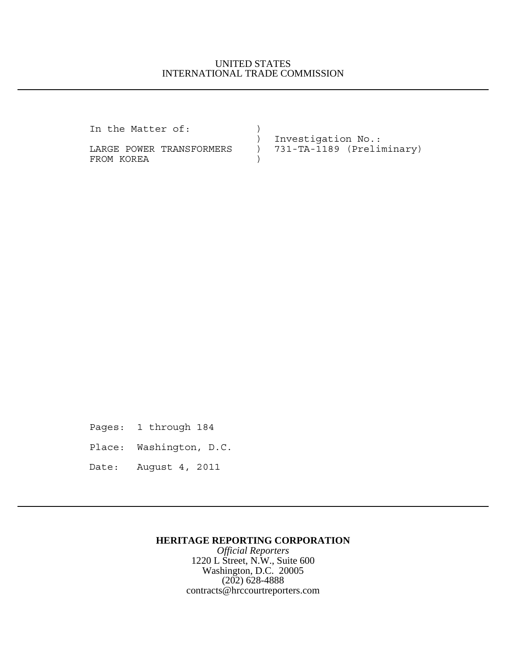## UNITED STATES INTERNATIONAL TRADE COMMISSION

In the Matter of:  $)$  ) Investigation No.: LARGE POWER TRANSFORMERS ) 731-TA-1189 (Preliminary) FROM KOREA )

Pages: 1 through 184

Place: Washington, D.C.

Date: August 4, 2011

## **HERITAGE REPORTING CORPORATION**

*Official Reporters* 1220 L Street, N.W., Suite 600 Washington, D.C. 20005 (202) 628-4888 contracts@hrccourtreporters.com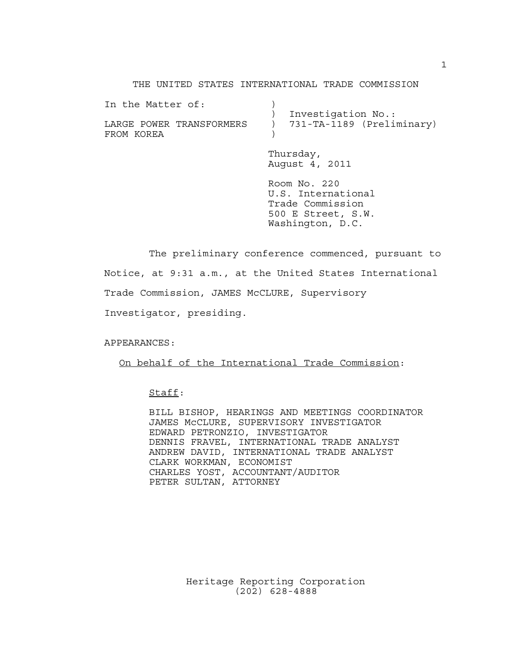THE UNITED STATES INTERNATIONAL TRADE COMMISSION

| In the Matter of:        |                             |
|--------------------------|-----------------------------|
|                          | Investigation No.:          |
| LARGE POWER TRANSFORMERS | ) 731-TA-1189 (Preliminary) |
| FROM KOREA               |                             |

Thursday, August 4, 2011

Room No. 220 U.S. International Trade Commission 500 E Street, S.W. Washington, D.C.

The preliminary conference commenced, pursuant to Notice, at 9:31 a.m., at the United States International Trade Commission, JAMES McCLURE, Supervisory Investigator, presiding.

APPEARANCES:

On behalf of the International Trade Commission:

Staff:

BILL BISHOP, HEARINGS AND MEETINGS COORDINATOR JAMES McCLURE, SUPERVISORY INVESTIGATOR EDWARD PETRONZIO, INVESTIGATOR DENNIS FRAVEL, INTERNATIONAL TRADE ANALYST ANDREW DAVID, INTERNATIONAL TRADE ANALYST CLARK WORKMAN, ECONOMIST CHARLES YOST, ACCOUNTANT/AUDITOR PETER SULTAN, ATTORNEY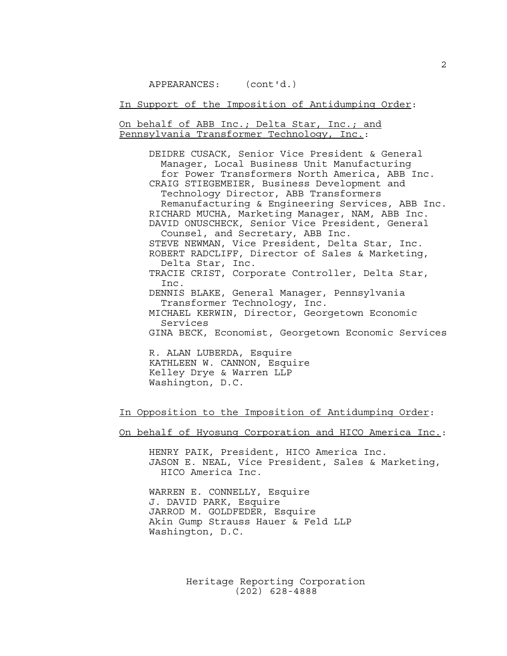In Support of the Imposition of Antidumping Order:

On behalf of ABB Inc.; Delta Star, Inc.; and Pennsylvania Transformer Technology, Inc.:

> DEIDRE CUSACK, Senior Vice President & General Manager, Local Business Unit Manufacturing for Power Transformers North America, ABB Inc. CRAIG STIEGEMEIER, Business Development and Technology Director, ABB Transformers Remanufacturing & Engineering Services, ABB Inc. RICHARD MUCHA, Marketing Manager, NAM, ABB Inc. DAVID ONUSCHECK, Senior Vice President, General Counsel, and Secretary, ABB Inc. STEVE NEWMAN, Vice President, Delta Star, Inc. ROBERT RADCLIFF, Director of Sales & Marketing, Delta Star, Inc. TRACIE CRIST, Corporate Controller, Delta Star, Inc. DENNIS BLAKE, General Manager, Pennsylvania Transformer Technology, Inc. MICHAEL KERWIN, Director, Georgetown Economic Services GINA BECK, Economist, Georgetown Economic Services

R. ALAN LUBERDA, Esquire KATHLEEN W. CANNON, Esquire Kelley Drye & Warren LLP Washington, D.C.

In Opposition to the Imposition of Antidumping Order:

On behalf of Hyosung Corporation and HICO America Inc.:

HENRY PAIK, President, HICO America Inc. JASON E. NEAL, Vice President, Sales & Marketing, HICO America Inc.

WARREN E. CONNELLY, Esquire J. DAVID PARK, Esquire JARROD M. GOLDFEDER, Esquire Akin Gump Strauss Hauer & Feld LLP Washington, D.C.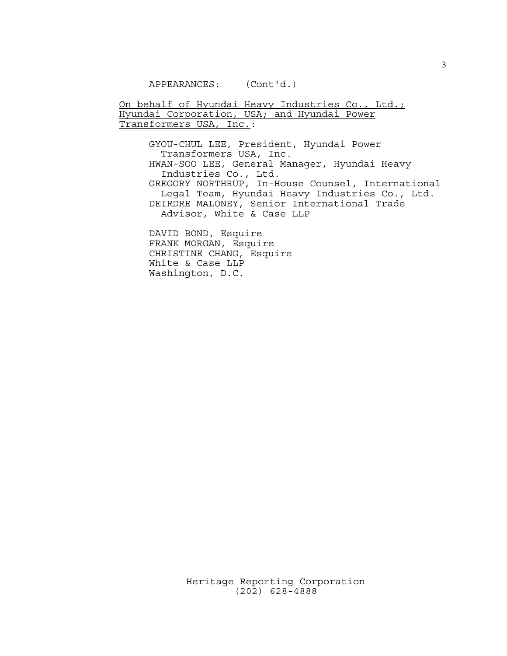On behalf of Hyundai Heavy Industries Co., Ltd.; Hyundai Corporation, USA; and Hyundai Power Transformers USA, Inc.:

GYOU-CHUL LEE, President, Hyundai Power Transformers USA, Inc. HWAN-SOO LEE, General Manager, Hyundai Heavy Industries Co., Ltd. GREGORY NORTHRUP, In-House Counsel, International Legal Team, Hyundai Heavy Industries Co., Ltd. DEIRDRE MALONEY, Senior International Trade Advisor, White & Case LLP

DAVID BOND, Esquire FRANK MORGAN, Esquire CHRISTINE CHANG, Esquire White & Case LLP Washington, D.C.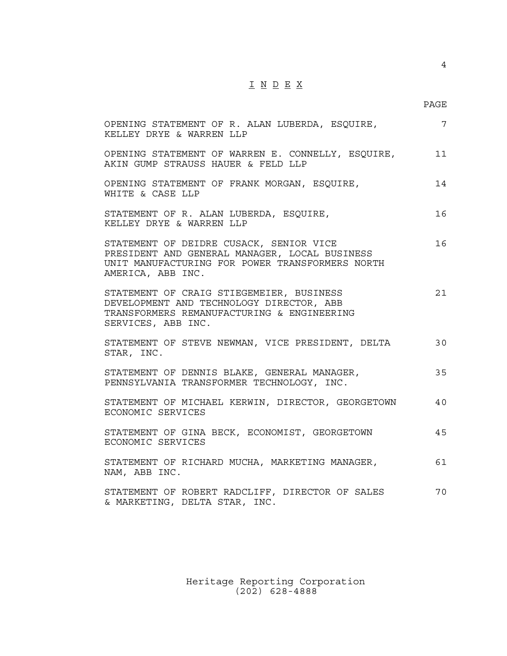## $\underline{\texttt{I}} \underline{\texttt{N}} \underline{\texttt{D}} \underline{\texttt{E}} \underline{\texttt{X}}$

4

| OPENING STATEMENT OF R. ALAN LUBERDA, ESQUIRE,<br>KELLEY DRYE & WARREN LLP                                                                                       | $\overline{7}$ |
|------------------------------------------------------------------------------------------------------------------------------------------------------------------|----------------|
| OPENING STATEMENT OF WARREN E. CONNELLY, ESQUIRE,<br>AKIN GUMP STRAUSS HAUER & FELD LLP                                                                          | 11             |
| OPENING STATEMENT OF FRANK MORGAN, ESQUIRE,<br>WHITE & CASE LLP                                                                                                  | 14             |
| STATEMENT OF R. ALAN LUBERDA, ESQUIRE,<br>KELLEY DRYE & WARREN LLP                                                                                               | 16             |
| STATEMENT OF DEIDRE CUSACK, SENIOR VICE<br>PRESIDENT AND GENERAL MANAGER, LOCAL BUSINESS<br>UNIT MANUFACTURING FOR POWER TRANSFORMERS NORTH<br>AMERICA, ABB INC. | 16             |
| STATEMENT OF CRAIG STIEGEMEIER, BUSINESS<br>DEVELOPMENT AND TECHNOLOGY DIRECTOR, ABB<br>TRANSFORMERS REMANUFACTURING & ENGINEERING<br>SERVICES, ABB INC.         | 21             |
| STATEMENT OF STEVE NEWMAN, VICE PRESIDENT, DELTA<br>STAR, INC.                                                                                                   | 30             |
| STATEMENT OF DENNIS BLAKE, GENERAL MANAGER,<br>PENNSYLVANIA TRANSFORMER TECHNOLOGY, INC.                                                                         | 35             |
| STATEMENT OF MICHAEL KERWIN, DIRECTOR, GEORGETOWN<br>ECONOMIC SERVICES                                                                                           | 40             |
| STATEMENT OF GINA BECK, ECONOMIST, GEORGETOWN<br>ECONOMIC SERVICES                                                                                               | 45             |
| STATEMENT OF RICHARD MUCHA, MARKETING MANAGER,<br>NAM, ABB INC.                                                                                                  | 61             |
| STATEMENT OF ROBERT RADCLIFF, DIRECTOR OF SALES<br>& MARKETING, DELTA STAR, INC.                                                                                 | 70             |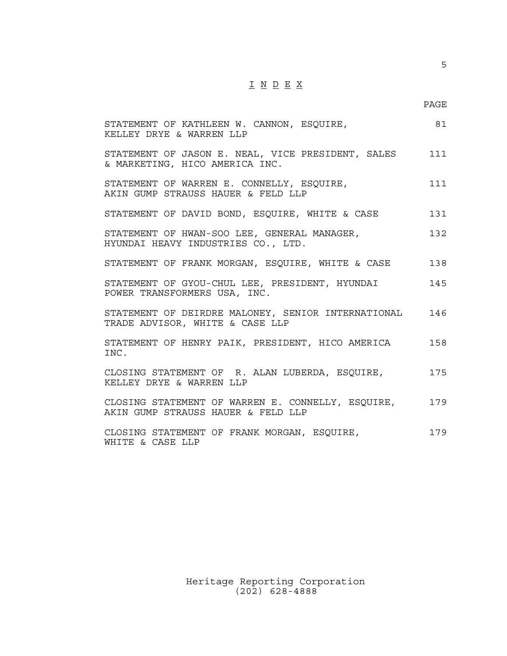## $\underline{\texttt{I}} \ \underline{\texttt{N}} \ \underline{\texttt{D}} \ \underline{\texttt{E}} \ \underline{\texttt{X}}$

| STATEMENT OF KATHLEEN W. CANNON, ESQUIRE,<br>KELLEY DRYE & WARREN LLP                   | 81  |
|-----------------------------------------------------------------------------------------|-----|
| STATEMENT OF JASON E. NEAL, VICE PRESIDENT, SALES<br>& MARKETING, HICO AMERICA INC.     | 111 |
| STATEMENT OF WARREN E. CONNELLY, ESQUIRE,<br>AKIN GUMP STRAUSS HAUER & FELD LLP         | 111 |
| STATEMENT OF DAVID BOND, ESQUIRE, WHITE & CASE                                          | 131 |
| STATEMENT OF HWAN-SOO LEE, GENERAL MANAGER,<br>HYUNDAI HEAVY INDUSTRIES CO., LTD.       | 132 |
| STATEMENT OF FRANK MORGAN, ESQUIRE, WHITE & CASE                                        | 138 |
| STATEMENT OF GYOU-CHUL LEE, PRESIDENT, HYUNDAI<br>POWER TRANSFORMERS USA, INC.          | 145 |
| STATEMENT OF DEIRDRE MALONEY, SENIOR INTERNATIONAL<br>TRADE ADVISOR, WHITE & CASE LLP   | 146 |
| STATEMENT OF HENRY PAIK, PRESIDENT, HICO AMERICA<br>TNC.                                | 158 |
| CLOSING STATEMENT OF R. ALAN LUBERDA, ESQUIRE,<br>KELLEY DRYE & WARREN LLP              | 175 |
| CLOSING STATEMENT OF WARREN E. CONNELLY, ESQUIRE,<br>AKIN GUMP STRAUSS HAUER & FELD LLP | 179 |
| CLOSING STATEMENT OF FRANK MORGAN, ESQUIRE,<br>WHITE & CASE LLP                         | 179 |

Heritage Reporting Corporation (202) 628-4888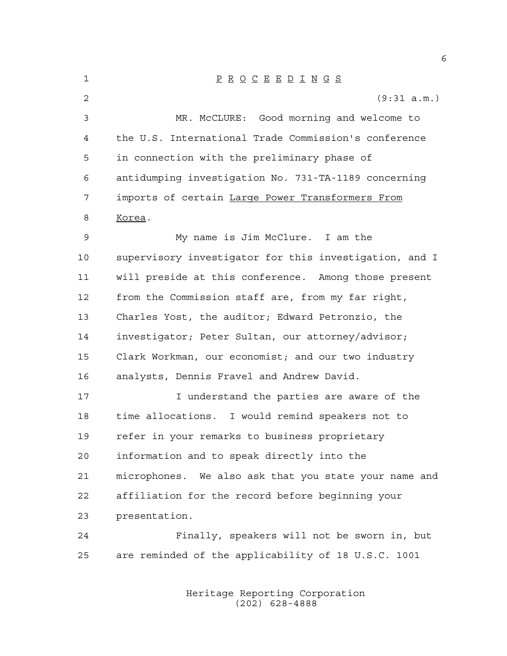P R O C E E D I N G S (9:31 a.m.) MR. McCLURE: Good morning and welcome to the U.S. International Trade Commission's conference in connection with the preliminary phase of antidumping investigation No. 731-TA-1189 concerning imports of certain Large Power Transformers From Korea. My name is Jim McClure. I am the supervisory investigator for this investigation, and I will preside at this conference. Among those present from the Commission staff are, from my far right, Charles Yost, the auditor; Edward Petronzio, the investigator; Peter Sultan, our attorney/advisor; Clark Workman, our economist; and our two industry analysts, Dennis Fravel and Andrew David. 17 17 I understand the parties are aware of the time allocations. I would remind speakers not to refer in your remarks to business proprietary information and to speak directly into the microphones. We also ask that you state your name and affiliation for the record before beginning your presentation. Finally, speakers will not be sworn in, but are reminded of the applicability of 18 U.S.C. 1001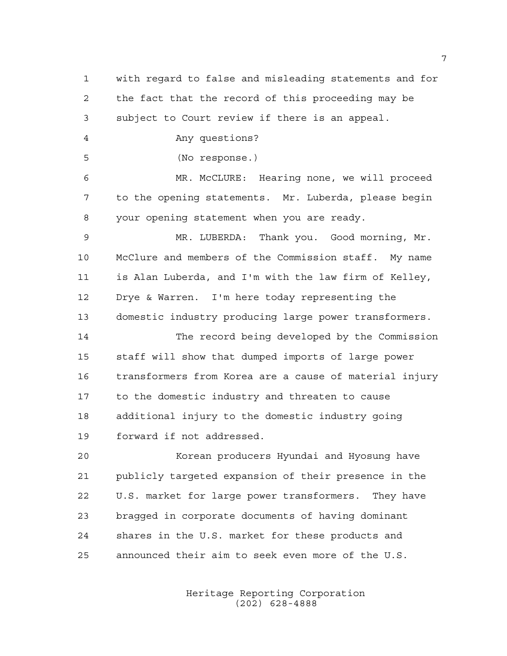with regard to false and misleading statements and for the fact that the record of this proceeding may be subject to Court review if there is an appeal. Any questions? (No response.) MR. McCLURE: Hearing none, we will proceed to the opening statements. Mr. Luberda, please begin your opening statement when you are ready. MR. LUBERDA: Thank you. Good morning, Mr. McClure and members of the Commission staff. My name is Alan Luberda, and I'm with the law firm of Kelley, Drye & Warren. I'm here today representing the domestic industry producing large power transformers. The record being developed by the Commission staff will show that dumped imports of large power transformers from Korea are a cause of material injury to the domestic industry and threaten to cause additional injury to the domestic industry going forward if not addressed. Korean producers Hyundai and Hyosung have publicly targeted expansion of their presence in the U.S. market for large power transformers. They have bragged in corporate documents of having dominant shares in the U.S. market for these products and announced their aim to seek even more of the U.S.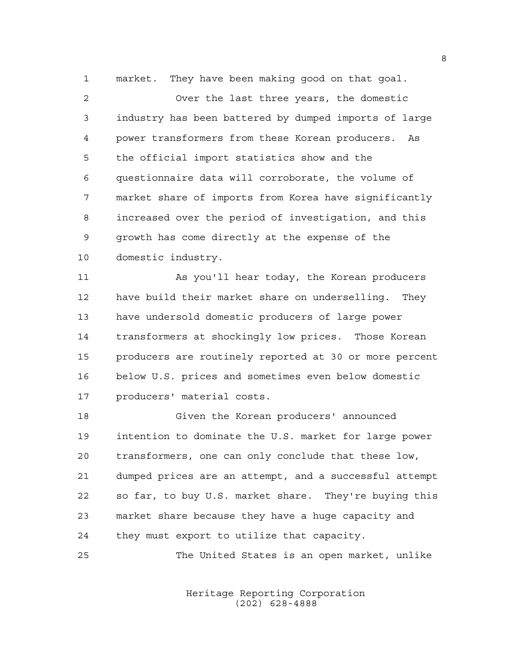market. They have been making good on that goal.

 Over the last three years, the domestic industry has been battered by dumped imports of large power transformers from these Korean producers. As the official import statistics show and the questionnaire data will corroborate, the volume of market share of imports from Korea have significantly increased over the period of investigation, and this growth has come directly at the expense of the domestic industry.

 As you'll hear today, the Korean producers have build their market share on underselling. They have undersold domestic producers of large power transformers at shockingly low prices. Those Korean producers are routinely reported at 30 or more percent below U.S. prices and sometimes even below domestic producers' material costs.

 Given the Korean producers' announced intention to dominate the U.S. market for large power transformers, one can only conclude that these low, dumped prices are an attempt, and a successful attempt so far, to buy U.S. market share. They're buying this market share because they have a huge capacity and they must export to utilize that capacity.

The United States is an open market, unlike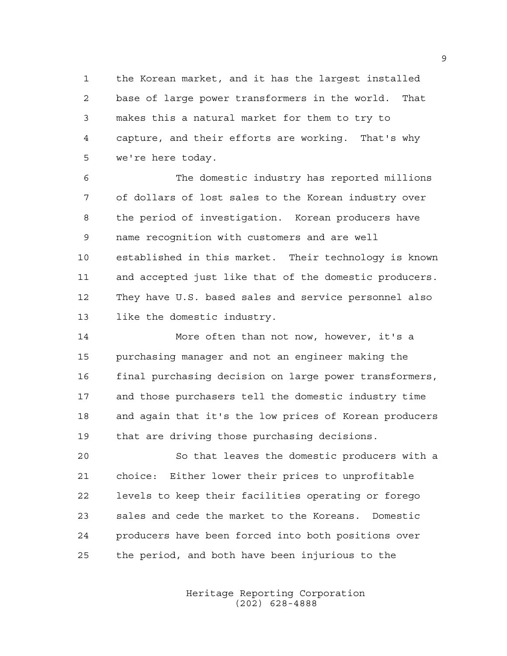the Korean market, and it has the largest installed base of large power transformers in the world. That makes this a natural market for them to try to capture, and their efforts are working. That's why we're here today.

 The domestic industry has reported millions of dollars of lost sales to the Korean industry over the period of investigation. Korean producers have name recognition with customers and are well established in this market. Their technology is known and accepted just like that of the domestic producers. They have U.S. based sales and service personnel also like the domestic industry.

 More often than not now, however, it's a purchasing manager and not an engineer making the final purchasing decision on large power transformers, and those purchasers tell the domestic industry time and again that it's the low prices of Korean producers that are driving those purchasing decisions.

 So that leaves the domestic producers with a choice: Either lower their prices to unprofitable levels to keep their facilities operating or forego sales and cede the market to the Koreans. Domestic producers have been forced into both positions over the period, and both have been injurious to the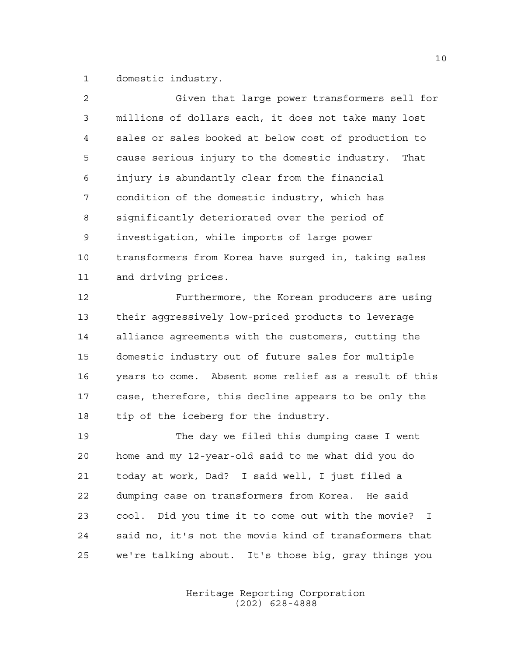domestic industry.

| $\overline{a}$ | Given that large power transformers sell for           |
|----------------|--------------------------------------------------------|
| 3              | millions of dollars each, it does not take many lost   |
| 4              | sales or sales booked at below cost of production to   |
| 5              | cause serious injury to the domestic industry. That    |
| 6              | injury is abundantly clear from the financial          |
| 7              | condition of the domestic industry, which has          |
| 8              | significantly deteriorated over the period of          |
| 9              | investigation, while imports of large power            |
| 10             | transformers from Korea have surged in, taking sales   |
| 11             | and driving prices.                                    |
| 12             | Furthermore, the Korean producers are using            |
| 13             | their aggressively low-priced products to leverage     |
| 14             | alliance agreements with the customers, cutting the    |
| 15             | domestic industry out of future sales for multiple     |
| 16             | years to come. Absent some relief as a result of this  |
| 17             | case, therefore, this decline appears to be only the   |
| 18             | tip of the iceberg for the industry.                   |
| 19             | The day we filed this dumping case I went              |
| 20             | home and my 12-year-old said to me what did you do     |
| 21             | today at work, Dad? I said well, I just filed a        |
| 22             | dumping case on transformers from Korea. He said       |
| 23             | cool. Did you time it to come out with the movie?<br>I |
| 24             | said no, it's not the movie kind of transformers that  |

Heritage Reporting Corporation (202) 628-4888

we're talking about. It's those big, gray things you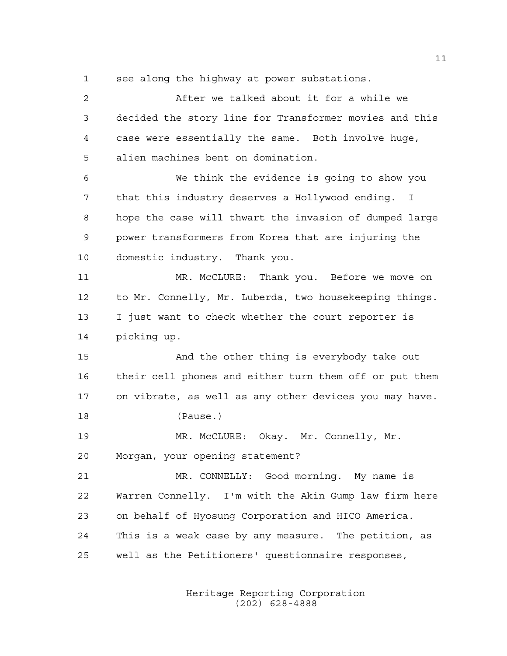see along the highway at power substations.

 After we talked about it for a while we decided the story line for Transformer movies and this case were essentially the same. Both involve huge, alien machines bent on domination. We think the evidence is going to show you that this industry deserves a Hollywood ending. I hope the case will thwart the invasion of dumped large power transformers from Korea that are injuring the domestic industry. Thank you. MR. McCLURE: Thank you. Before we move on to Mr. Connelly, Mr. Luberda, two housekeeping things. I just want to check whether the court reporter is picking up. And the other thing is everybody take out their cell phones and either turn them off or put them on vibrate, as well as any other devices you may have. (Pause.) MR. McCLURE: Okay. Mr. Connelly, Mr. Morgan, your opening statement? MR. CONNELLY: Good morning. My name is Warren Connelly. I'm with the Akin Gump law firm here on behalf of Hyosung Corporation and HICO America. This is a weak case by any measure. The petition, as well as the Petitioners' questionnaire responses,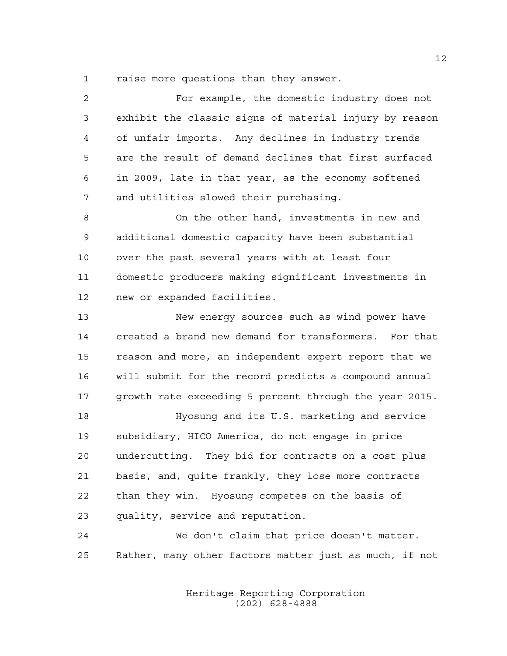raise more questions than they answer.

| 2  | For example, the domestic industry does not            |
|----|--------------------------------------------------------|
| 3  | exhibit the classic signs of material injury by reason |
| 4  | of unfair imports. Any declines in industry trends     |
| 5  | are the result of demand declines that first surfaced  |
| 6  | in 2009, late in that year, as the economy softened    |
| 7  | and utilities slowed their purchasing.                 |
| 8  | On the other hand, investments in new and              |
| 9  | additional domestic capacity have been substantial     |
| 10 | over the past several years with at least four         |
| 11 | domestic producers making significant investments in   |
| 12 | new or expanded facilities.                            |
| 13 | New energy sources such as wind power have             |
| 14 | created a brand new demand for transformers. For that  |
| 15 | reason and more, an independent expert report that we  |
| 16 | will submit for the record predicts a compound annual  |
| 17 | growth rate exceeding 5 percent through the year 2015. |
| 18 | Hyosung and its U.S. marketing and service             |
| 19 | subsidiary, HICO America, do not engage in price       |
| 20 | undercutting. They bid for contracts on a cost plus    |
| 21 | basis, and, quite frankly, they lose more contracts    |
| 22 | than they win. Hyosung competes on the basis of        |
| 23 | quality, service and reputation.                       |
| 24 | We don't claim that price doesn't matter.              |
| 25 | Rather, many other factors matter just as much, if not |

Heritage Reporting Corporation (202) 628-4888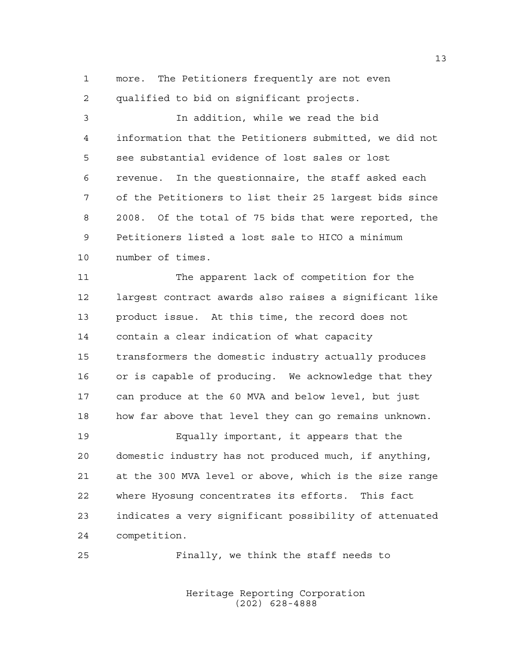more. The Petitioners frequently are not even qualified to bid on significant projects.

 In addition, while we read the bid information that the Petitioners submitted, we did not see substantial evidence of lost sales or lost revenue. In the questionnaire, the staff asked each of the Petitioners to list their 25 largest bids since 2008. Of the total of 75 bids that were reported, the Petitioners listed a lost sale to HICO a minimum number of times.

 The apparent lack of competition for the largest contract awards also raises a significant like product issue. At this time, the record does not contain a clear indication of what capacity transformers the domestic industry actually produces or is capable of producing. We acknowledge that they can produce at the 60 MVA and below level, but just how far above that level they can go remains unknown.

 Equally important, it appears that the domestic industry has not produced much, if anything, at the 300 MVA level or above, which is the size range where Hyosung concentrates its efforts. This fact indicates a very significant possibility of attenuated competition.

Finally, we think the staff needs to

Heritage Reporting Corporation (202) 628-4888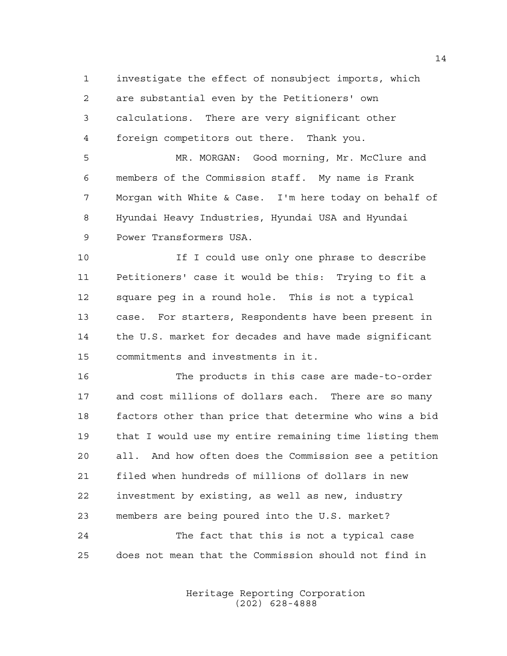investigate the effect of nonsubject imports, which

are substantial even by the Petitioners' own

```
3 calculations. There are very significant other
4 foreign competitors out there. Thank you.
```
 MR. MORGAN: Good morning, Mr. McClure and members of the Commission staff. My name is Frank Morgan with White & Case. I'm here today on behalf of Hyundai Heavy Industries, Hyundai USA and Hyundai Power Transformers USA.

 If I could use only one phrase to describe Petitioners' case it would be this: Trying to fit a square peg in a round hole. This is not a typical case. For starters, Respondents have been present in the U.S. market for decades and have made significant commitments and investments in it.

 The products in this case are made-to-order and cost millions of dollars each. There are so many factors other than price that determine who wins a bid that I would use my entire remaining time listing them all. And how often does the Commission see a petition filed when hundreds of millions of dollars in new investment by existing, as well as new, industry members are being poured into the U.S. market? The fact that this is not a typical case

does not mean that the Commission should not find in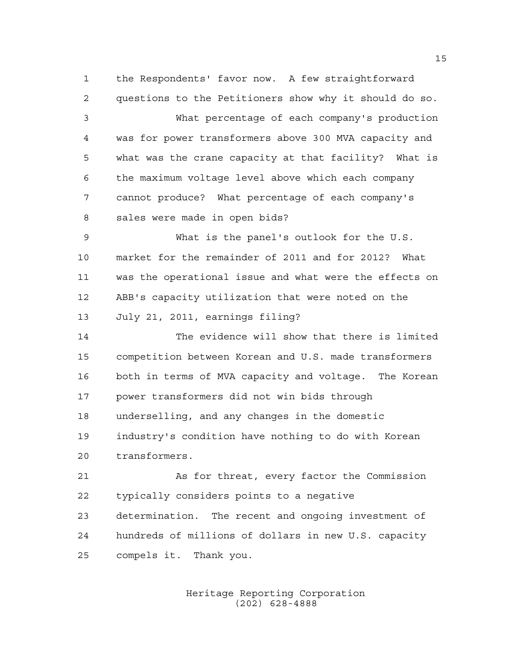the Respondents' favor now. A few straightforward questions to the Petitioners show why it should do so.

 What percentage of each company's production was for power transformers above 300 MVA capacity and what was the crane capacity at that facility? What is the maximum voltage level above which each company cannot produce? What percentage of each company's sales were made in open bids?

 What is the panel's outlook for the U.S. market for the remainder of 2011 and for 2012? What was the operational issue and what were the effects on ABB's capacity utilization that were noted on the July 21, 2011, earnings filing?

 The evidence will show that there is limited competition between Korean and U.S. made transformers both in terms of MVA capacity and voltage. The Korean power transformers did not win bids through underselling, and any changes in the domestic industry's condition have nothing to do with Korean transformers.

 As for threat, every factor the Commission typically considers points to a negative determination. The recent and ongoing investment of hundreds of millions of dollars in new U.S. capacity compels it. Thank you.

> Heritage Reporting Corporation (202) 628-4888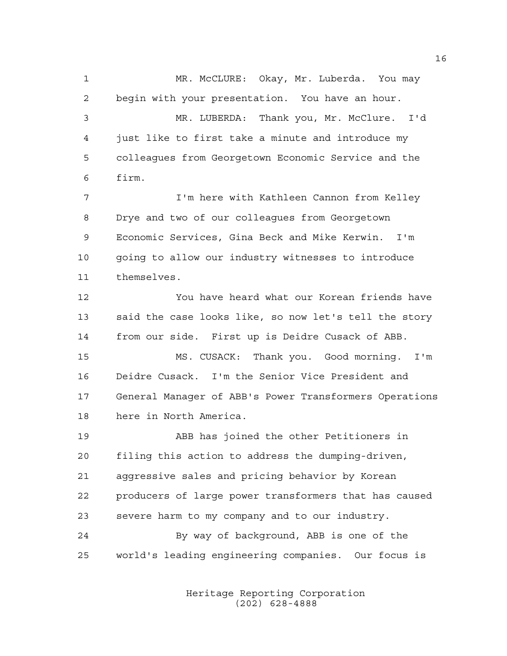1 MR. McCLURE: Okay, Mr. Luberda. You may begin with your presentation. You have an hour. MR. LUBERDA: Thank you, Mr. McClure. I'd just like to first take a minute and introduce my colleagues from Georgetown Economic Service and the firm. I'm here with Kathleen Cannon from Kelley Drye and two of our colleagues from Georgetown Economic Services, Gina Beck and Mike Kerwin. I'm going to allow our industry witnesses to introduce themselves. You have heard what our Korean friends have said the case looks like, so now let's tell the story from our side. First up is Deidre Cusack of ABB. MS. CUSACK: Thank you. Good morning. I'm Deidre Cusack. I'm the Senior Vice President and General Manager of ABB's Power Transformers Operations here in North America. ABB has joined the other Petitioners in filing this action to address the dumping-driven, aggressive sales and pricing behavior by Korean producers of large power transformers that has caused severe harm to my company and to our industry. By way of background, ABB is one of the world's leading engineering companies. Our focus is

> Heritage Reporting Corporation (202) 628-4888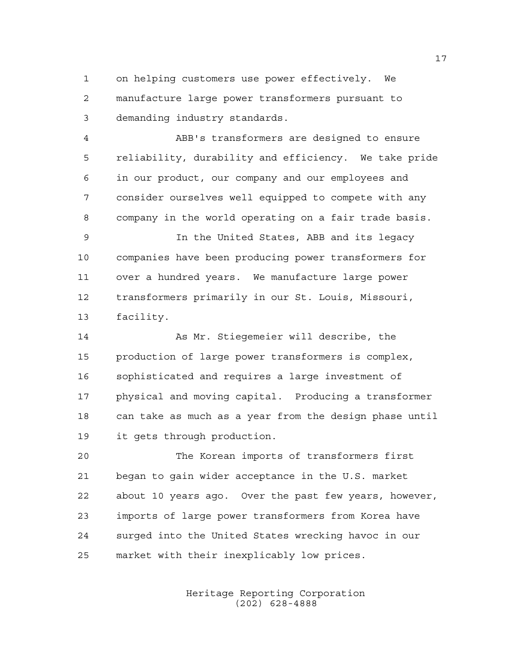on helping customers use power effectively. We manufacture large power transformers pursuant to demanding industry standards.

 ABB's transformers are designed to ensure reliability, durability and efficiency. We take pride in our product, our company and our employees and consider ourselves well equipped to compete with any company in the world operating on a fair trade basis.

 In the United States, ABB and its legacy companies have been producing power transformers for over a hundred years. We manufacture large power transformers primarily in our St. Louis, Missouri, facility.

 As Mr. Stiegemeier will describe, the production of large power transformers is complex, sophisticated and requires a large investment of physical and moving capital. Producing a transformer can take as much as a year from the design phase until it gets through production.

 The Korean imports of transformers first began to gain wider acceptance in the U.S. market about 10 years ago. Over the past few years, however, imports of large power transformers from Korea have surged into the United States wrecking havoc in our market with their inexplicably low prices.

> Heritage Reporting Corporation (202) 628-4888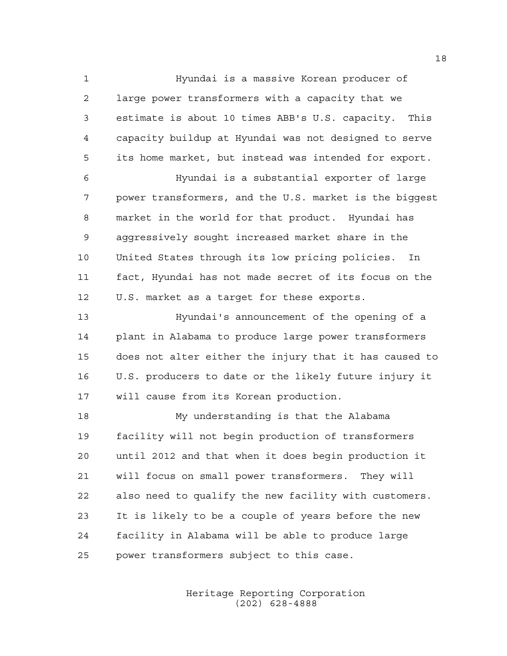Hyundai is a massive Korean producer of large power transformers with a capacity that we estimate is about 10 times ABB's U.S. capacity. This capacity buildup at Hyundai was not designed to serve its home market, but instead was intended for export.

 Hyundai is a substantial exporter of large power transformers, and the U.S. market is the biggest market in the world for that product. Hyundai has aggressively sought increased market share in the United States through its low pricing policies. In fact, Hyundai has not made secret of its focus on the U.S. market as a target for these exports.

 Hyundai's announcement of the opening of a plant in Alabama to produce large power transformers does not alter either the injury that it has caused to U.S. producers to date or the likely future injury it will cause from its Korean production.

 My understanding is that the Alabama facility will not begin production of transformers until 2012 and that when it does begin production it will focus on small power transformers. They will also need to qualify the new facility with customers. It is likely to be a couple of years before the new facility in Alabama will be able to produce large power transformers subject to this case.

> Heritage Reporting Corporation (202) 628-4888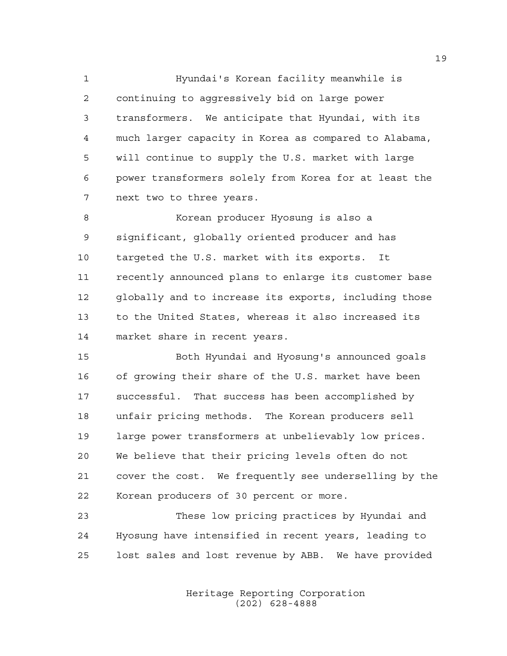Hyundai's Korean facility meanwhile is continuing to aggressively bid on large power transformers. We anticipate that Hyundai, with its much larger capacity in Korea as compared to Alabama, will continue to supply the U.S. market with large power transformers solely from Korea for at least the next two to three years.

 Korean producer Hyosung is also a significant, globally oriented producer and has targeted the U.S. market with its exports. It recently announced plans to enlarge its customer base globally and to increase its exports, including those to the United States, whereas it also increased its market share in recent years.

 Both Hyundai and Hyosung's announced goals of growing their share of the U.S. market have been successful. That success has been accomplished by unfair pricing methods. The Korean producers sell large power transformers at unbelievably low prices. We believe that their pricing levels often do not cover the cost. We frequently see underselling by the Korean producers of 30 percent or more.

 These low pricing practices by Hyundai and Hyosung have intensified in recent years, leading to lost sales and lost revenue by ABB. We have provided

> Heritage Reporting Corporation (202) 628-4888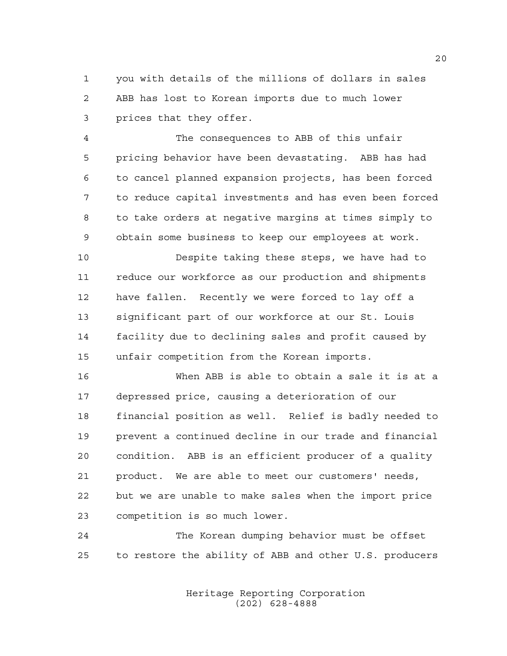you with details of the millions of dollars in sales ABB has lost to Korean imports due to much lower prices that they offer.

 The consequences to ABB of this unfair pricing behavior have been devastating. ABB has had to cancel planned expansion projects, has been forced to reduce capital investments and has even been forced to take orders at negative margins at times simply to obtain some business to keep our employees at work.

 Despite taking these steps, we have had to reduce our workforce as our production and shipments have fallen. Recently we were forced to lay off a significant part of our workforce at our St. Louis facility due to declining sales and profit caused by unfair competition from the Korean imports.

 When ABB is able to obtain a sale it is at a depressed price, causing a deterioration of our financial position as well. Relief is badly needed to prevent a continued decline in our trade and financial condition. ABB is an efficient producer of a quality product. We are able to meet our customers' needs, but we are unable to make sales when the import price competition is so much lower.

 The Korean dumping behavior must be offset to restore the ability of ABB and other U.S. producers

> Heritage Reporting Corporation (202) 628-4888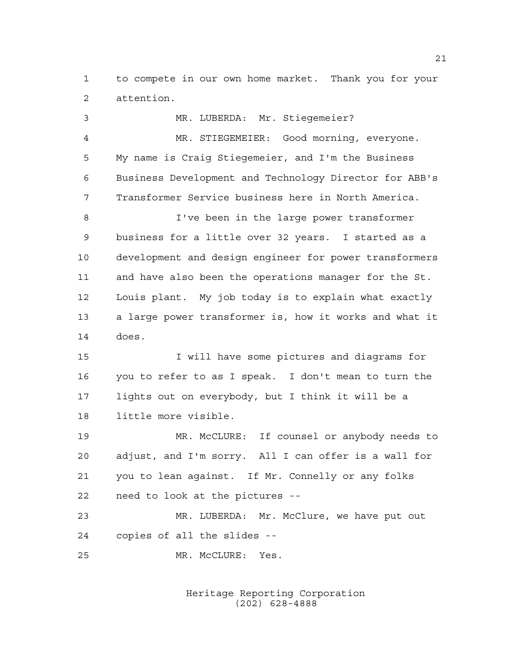to compete in our own home market. Thank you for your attention.

 MR. LUBERDA: Mr. Stiegemeier? MR. STIEGEMEIER: Good morning, everyone. My name is Craig Stiegemeier, and I'm the Business Business Development and Technology Director for ABB's Transformer Service business here in North America. I've been in the large power transformer business for a little over 32 years. I started as a development and design engineer for power transformers and have also been the operations manager for the St. Louis plant. My job today is to explain what exactly a large power transformer is, how it works and what it does. I will have some pictures and diagrams for you to refer to as I speak. I don't mean to turn the lights out on everybody, but I think it will be a little more visible. MR. McCLURE: If counsel or anybody needs to adjust, and I'm sorry. All I can offer is a wall for you to lean against. If Mr. Connelly or any folks need to look at the pictures -- MR. LUBERDA: Mr. McClure, we have put out copies of all the slides -- MR. McCLURE: Yes.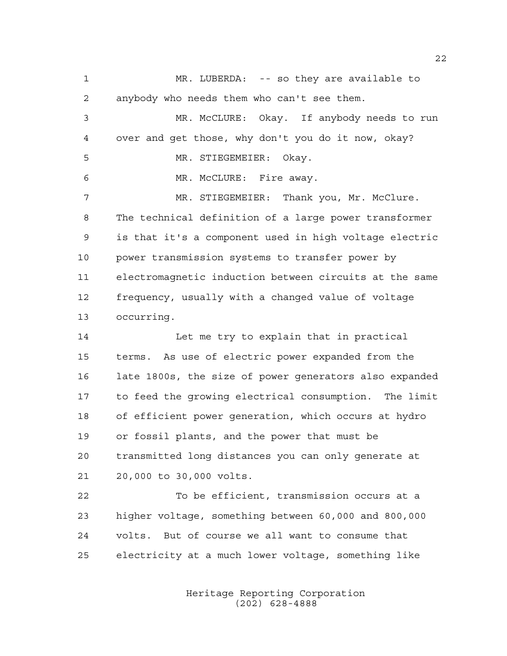MR. LUBERDA: -- so they are available to anybody who needs them who can't see them. MR. McCLURE: Okay. If anybody needs to run over and get those, why don't you do it now, okay? MR. STIEGEMEIER: Okay. MR. McCLURE: Fire away. MR. STIEGEMEIER: Thank you, Mr. McClure. The technical definition of a large power transformer is that it's a component used in high voltage electric power transmission systems to transfer power by electromagnetic induction between circuits at the same frequency, usually with a changed value of voltage occurring. 14 Let me try to explain that in practical terms. As use of electric power expanded from the late 1800s, the size of power generators also expanded to feed the growing electrical consumption. The limit

 of efficient power generation, which occurs at hydro or fossil plants, and the power that must be transmitted long distances you can only generate at 20,000 to 30,000 volts.

 To be efficient, transmission occurs at a higher voltage, something between 60,000 and 800,000 volts. But of course we all want to consume that electricity at a much lower voltage, something like

> Heritage Reporting Corporation (202) 628-4888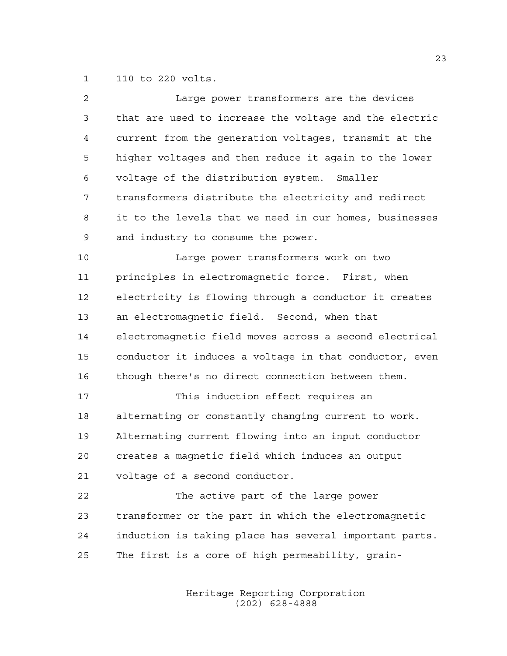110 to 220 volts.

| 2  | Large power transformers are the devices               |
|----|--------------------------------------------------------|
| 3  | that are used to increase the voltage and the electric |
| 4  | current from the generation voltages, transmit at the  |
| 5  | higher voltages and then reduce it again to the lower  |
| 6  | voltage of the distribution system. Smaller            |
| 7  | transformers distribute the electricity and redirect   |
| 8  | it to the levels that we need in our homes, businesses |
| 9  | and industry to consume the power.                     |
| 10 | Large power transformers work on two                   |
| 11 | principles in electromagnetic force. First, when       |
| 12 | electricity is flowing through a conductor it creates  |
| 13 | an electromagnetic field. Second, when that            |
| 14 | electromagnetic field moves across a second electrical |
| 15 | conductor it induces a voltage in that conductor, even |
| 16 | though there's no direct connection between them.      |
| 17 | This induction effect requires an                      |
| 18 | alternating or constantly changing current to work.    |
| 19 | Alternating current flowing into an input conductor    |
| 20 | creates a magnetic field which induces an output       |
| 21 | voltage of a second conductor.                         |
| 22 | The active part of the large power                     |
| 23 | transformer or the part in which the electromagnetic   |
| 24 | induction is taking place has several important parts. |
| 25 | The first is a core of high permeability, grain-       |
|    |                                                        |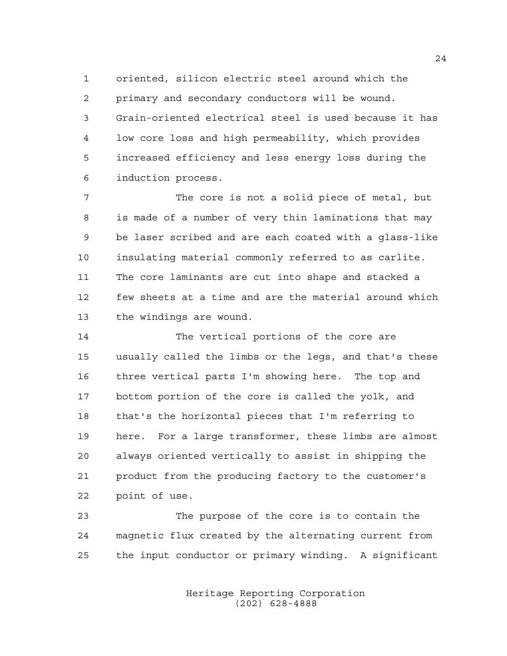oriented, silicon electric steel around which the primary and secondary conductors will be wound. Grain-oriented electrical steel is used because it has low core loss and high permeability, which provides increased efficiency and less energy loss during the induction process.

 The core is not a solid piece of metal, but is made of a number of very thin laminations that may be laser scribed and are each coated with a glass-like insulating material commonly referred to as carlite. The core laminants are cut into shape and stacked a few sheets at a time and are the material around which the windings are wound.

 The vertical portions of the core are usually called the limbs or the legs, and that's these three vertical parts I'm showing here. The top and bottom portion of the core is called the yolk, and that's the horizontal pieces that I'm referring to here. For a large transformer, these limbs are almost always oriented vertically to assist in shipping the product from the producing factory to the customer's point of use.

 The purpose of the core is to contain the magnetic flux created by the alternating current from the input conductor or primary winding. A significant

> Heritage Reporting Corporation (202) 628-4888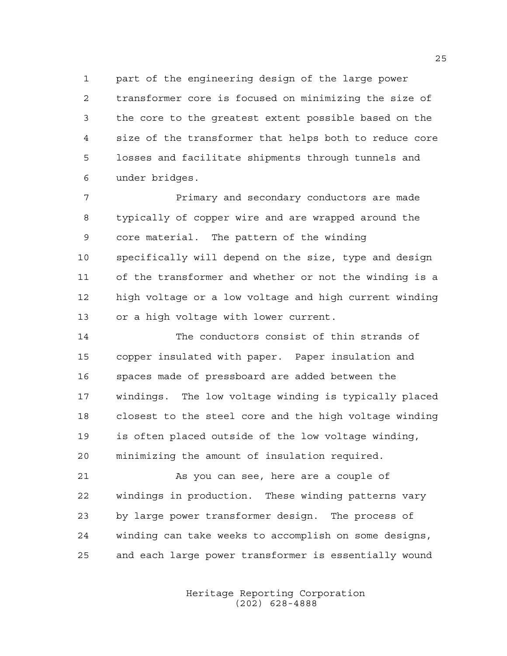part of the engineering design of the large power transformer core is focused on minimizing the size of the core to the greatest extent possible based on the size of the transformer that helps both to reduce core losses and facilitate shipments through tunnels and under bridges.

 Primary and secondary conductors are made typically of copper wire and are wrapped around the core material. The pattern of the winding specifically will depend on the size, type and design of the transformer and whether or not the winding is a high voltage or a low voltage and high current winding or a high voltage with lower current.

 The conductors consist of thin strands of copper insulated with paper. Paper insulation and spaces made of pressboard are added between the windings. The low voltage winding is typically placed closest to the steel core and the high voltage winding is often placed outside of the low voltage winding, minimizing the amount of insulation required.

 As you can see, here are a couple of windings in production. These winding patterns vary by large power transformer design. The process of winding can take weeks to accomplish on some designs, and each large power transformer is essentially wound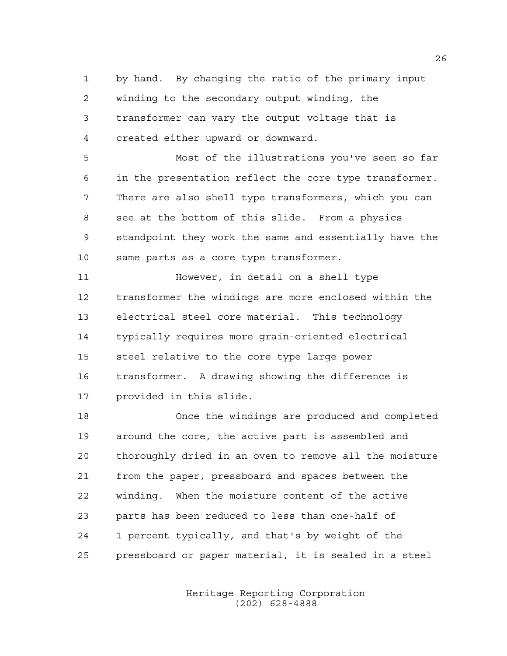by hand. By changing the ratio of the primary input winding to the secondary output winding, the transformer can vary the output voltage that is created either upward or downward.

 Most of the illustrations you've seen so far in the presentation reflect the core type transformer. There are also shell type transformers, which you can see at the bottom of this slide. From a physics standpoint they work the same and essentially have the same parts as a core type transformer.

 However, in detail on a shell type transformer the windings are more enclosed within the electrical steel core material. This technology typically requires more grain-oriented electrical steel relative to the core type large power transformer. A drawing showing the difference is provided in this slide.

 Once the windings are produced and completed around the core, the active part is assembled and thoroughly dried in an oven to remove all the moisture from the paper, pressboard and spaces between the winding. When the moisture content of the active parts has been reduced to less than one-half of 1 percent typically, and that's by weight of the pressboard or paper material, it is sealed in a steel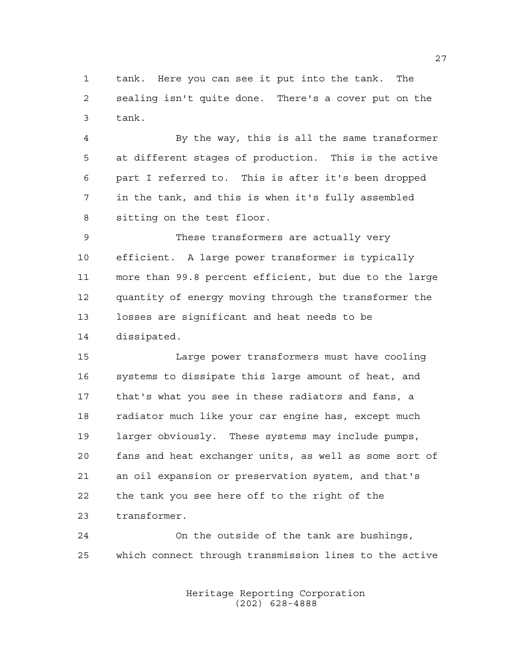tank. Here you can see it put into the tank. The sealing isn't quite done. There's a cover put on the tank.

 By the way, this is all the same transformer at different stages of production. This is the active part I referred to. This is after it's been dropped in the tank, and this is when it's fully assembled sitting on the test floor.

 These transformers are actually very efficient. A large power transformer is typically more than 99.8 percent efficient, but due to the large quantity of energy moving through the transformer the losses are significant and heat needs to be dissipated.

 Large power transformers must have cooling systems to dissipate this large amount of heat, and that's what you see in these radiators and fans, a radiator much like your car engine has, except much larger obviously. These systems may include pumps, fans and heat exchanger units, as well as some sort of an oil expansion or preservation system, and that's the tank you see here off to the right of the transformer.

 On the outside of the tank are bushings, which connect through transmission lines to the active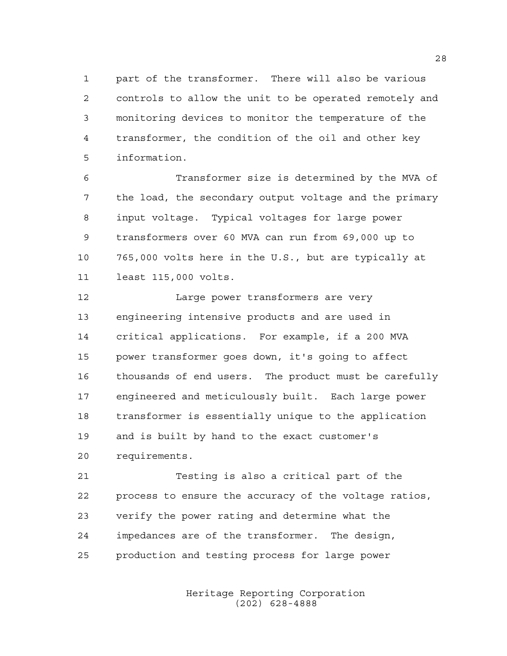part of the transformer. There will also be various controls to allow the unit to be operated remotely and monitoring devices to monitor the temperature of the transformer, the condition of the oil and other key information.

 Transformer size is determined by the MVA of the load, the secondary output voltage and the primary input voltage. Typical voltages for large power transformers over 60 MVA can run from 69,000 up to 765,000 volts here in the U.S., but are typically at least 115,000 volts.

 Large power transformers are very engineering intensive products and are used in critical applications. For example, if a 200 MVA power transformer goes down, it's going to affect thousands of end users. The product must be carefully engineered and meticulously built. Each large power transformer is essentially unique to the application and is built by hand to the exact customer's requirements.

 Testing is also a critical part of the process to ensure the accuracy of the voltage ratios, verify the power rating and determine what the impedances are of the transformer. The design, production and testing process for large power

> Heritage Reporting Corporation (202) 628-4888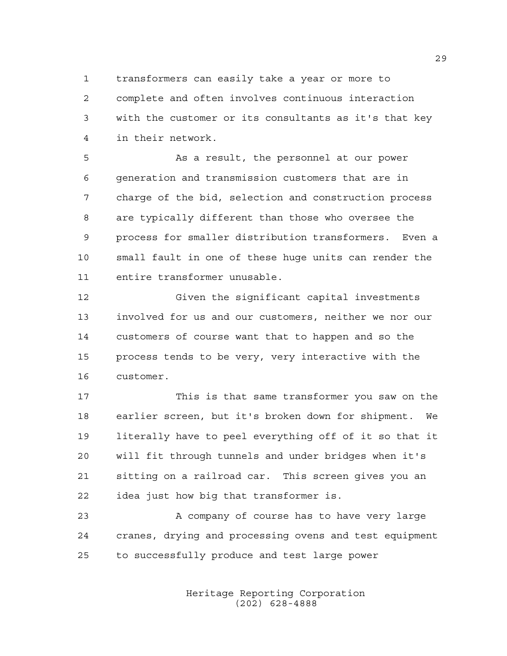transformers can easily take a year or more to complete and often involves continuous interaction with the customer or its consultants as it's that key in their network.

 As a result, the personnel at our power generation and transmission customers that are in charge of the bid, selection and construction process are typically different than those who oversee the process for smaller distribution transformers. Even a small fault in one of these huge units can render the entire transformer unusable.

 Given the significant capital investments involved for us and our customers, neither we nor our customers of course want that to happen and so the process tends to be very, very interactive with the customer.

 This is that same transformer you saw on the earlier screen, but it's broken down for shipment. We literally have to peel everything off of it so that it will fit through tunnels and under bridges when it's sitting on a railroad car. This screen gives you an idea just how big that transformer is.

23 A company of course has to have very large cranes, drying and processing ovens and test equipment to successfully produce and test large power

> Heritage Reporting Corporation (202) 628-4888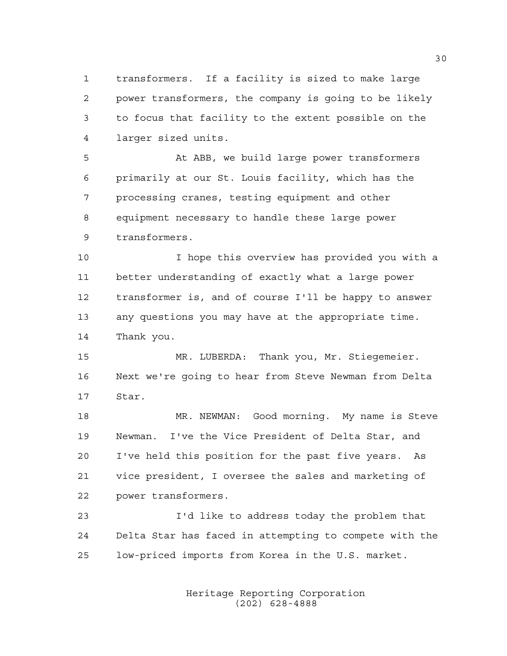transformers. If a facility is sized to make large power transformers, the company is going to be likely to focus that facility to the extent possible on the larger sized units.

 At ABB, we build large power transformers primarily at our St. Louis facility, which has the processing cranes, testing equipment and other equipment necessary to handle these large power transformers.

 I hope this overview has provided you with a better understanding of exactly what a large power transformer is, and of course I'll be happy to answer any questions you may have at the appropriate time. Thank you.

 MR. LUBERDA: Thank you, Mr. Stiegemeier. Next we're going to hear from Steve Newman from Delta Star.

 MR. NEWMAN: Good morning. My name is Steve Newman. I've the Vice President of Delta Star, and I've held this position for the past five years. As vice president, I oversee the sales and marketing of power transformers.

 I'd like to address today the problem that Delta Star has faced in attempting to compete with the low-priced imports from Korea in the U.S. market.

> Heritage Reporting Corporation (202) 628-4888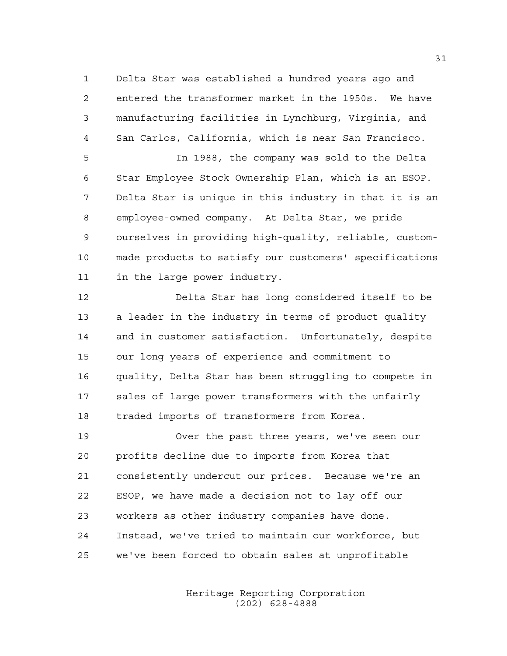Delta Star was established a hundred years ago and entered the transformer market in the 1950s. We have manufacturing facilities in Lynchburg, Virginia, and San Carlos, California, which is near San Francisco.

 In 1988, the company was sold to the Delta Star Employee Stock Ownership Plan, which is an ESOP. Delta Star is unique in this industry in that it is an employee-owned company. At Delta Star, we pride ourselves in providing high-quality, reliable, custom- made products to satisfy our customers' specifications in the large power industry.

 Delta Star has long considered itself to be a leader in the industry in terms of product quality and in customer satisfaction. Unfortunately, despite our long years of experience and commitment to quality, Delta Star has been struggling to compete in sales of large power transformers with the unfairly traded imports of transformers from Korea.

 Over the past three years, we've seen our profits decline due to imports from Korea that consistently undercut our prices. Because we're an ESOP, we have made a decision not to lay off our workers as other industry companies have done. Instead, we've tried to maintain our workforce, but we've been forced to obtain sales at unprofitable

> Heritage Reporting Corporation (202) 628-4888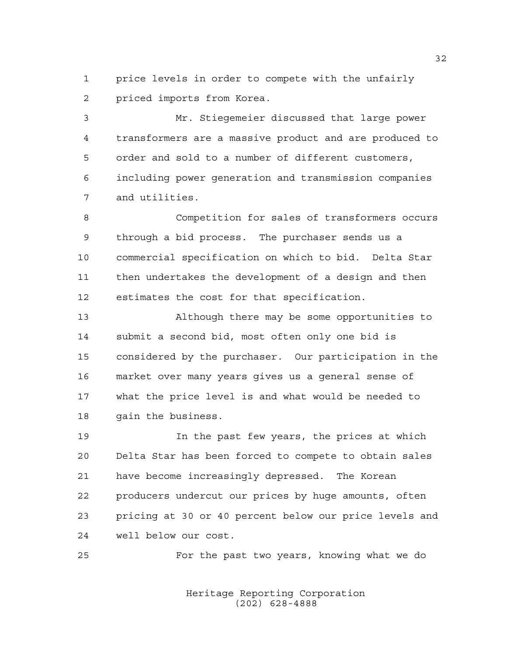price levels in order to compete with the unfairly priced imports from Korea.

 Mr. Stiegemeier discussed that large power transformers are a massive product and are produced to order and sold to a number of different customers, including power generation and transmission companies and utilities.

 Competition for sales of transformers occurs through a bid process. The purchaser sends us a commercial specification on which to bid. Delta Star then undertakes the development of a design and then estimates the cost for that specification.

 Although there may be some opportunities to submit a second bid, most often only one bid is considered by the purchaser. Our participation in the market over many years gives us a general sense of what the price level is and what would be needed to gain the business.

 In the past few years, the prices at which Delta Star has been forced to compete to obtain sales have become increasingly depressed. The Korean producers undercut our prices by huge amounts, often pricing at 30 or 40 percent below our price levels and well below our cost.

For the past two years, knowing what we do

Heritage Reporting Corporation (202) 628-4888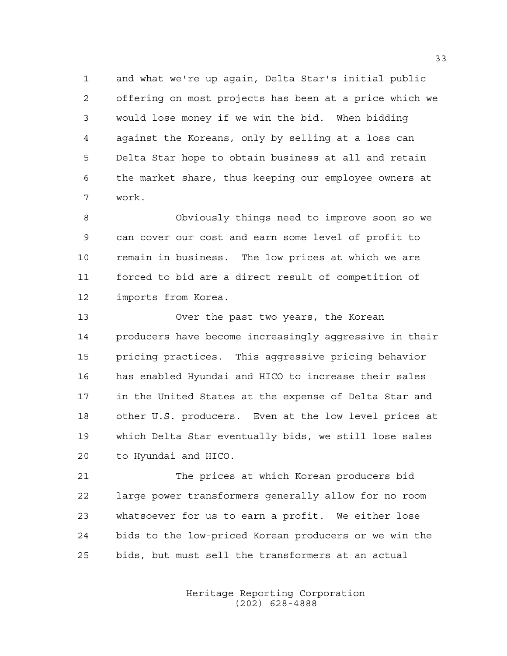and what we're up again, Delta Star's initial public offering on most projects has been at a price which we would lose money if we win the bid. When bidding against the Koreans, only by selling at a loss can Delta Star hope to obtain business at all and retain the market share, thus keeping our employee owners at work.

 Obviously things need to improve soon so we can cover our cost and earn some level of profit to remain in business. The low prices at which we are forced to bid are a direct result of competition of imports from Korea.

 Over the past two years, the Korean producers have become increasingly aggressive in their pricing practices. This aggressive pricing behavior has enabled Hyundai and HICO to increase their sales in the United States at the expense of Delta Star and other U.S. producers. Even at the low level prices at which Delta Star eventually bids, we still lose sales to Hyundai and HICO.

 The prices at which Korean producers bid large power transformers generally allow for no room whatsoever for us to earn a profit. We either lose bids to the low-priced Korean producers or we win the bids, but must sell the transformers at an actual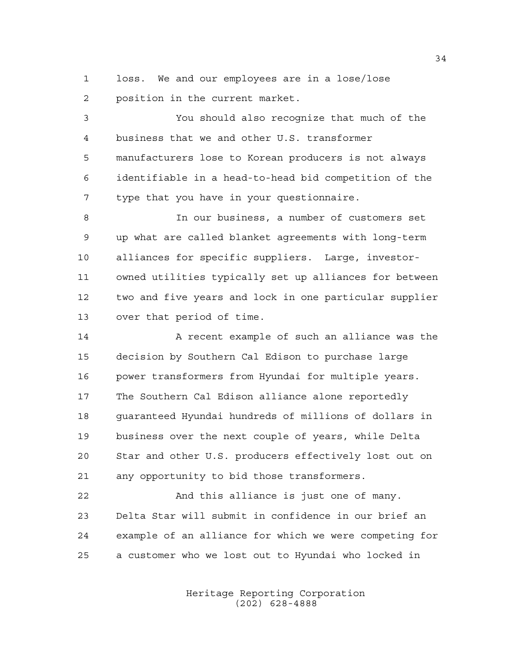loss. We and our employees are in a lose/lose position in the current market.

 You should also recognize that much of the business that we and other U.S. transformer manufacturers lose to Korean producers is not always identifiable in a head-to-head bid competition of the type that you have in your questionnaire.

 In our business, a number of customers set up what are called blanket agreements with long-term alliances for specific suppliers. Large, investor- owned utilities typically set up alliances for between two and five years and lock in one particular supplier over that period of time.

 A recent example of such an alliance was the decision by Southern Cal Edison to purchase large power transformers from Hyundai for multiple years. The Southern Cal Edison alliance alone reportedly guaranteed Hyundai hundreds of millions of dollars in business over the next couple of years, while Delta Star and other U.S. producers effectively lost out on any opportunity to bid those transformers.

 And this alliance is just one of many. Delta Star will submit in confidence in our brief an example of an alliance for which we were competing for a customer who we lost out to Hyundai who locked in

> Heritage Reporting Corporation (202) 628-4888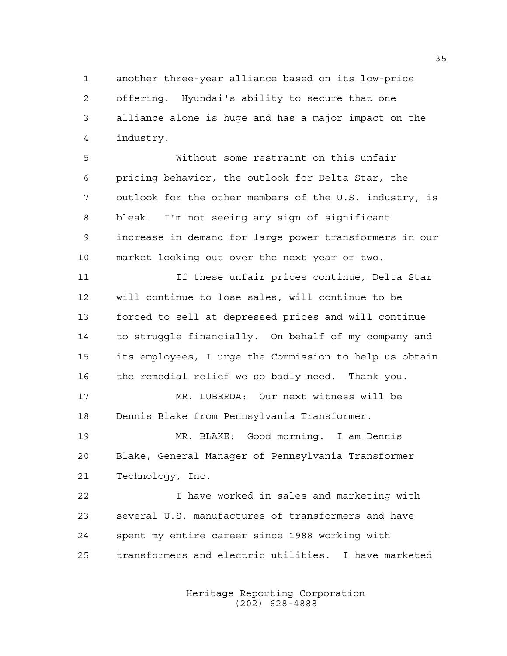another three-year alliance based on its low-price offering. Hyundai's ability to secure that one alliance alone is huge and has a major impact on the industry.

 Without some restraint on this unfair pricing behavior, the outlook for Delta Star, the outlook for the other members of the U.S. industry, is bleak. I'm not seeing any sign of significant increase in demand for large power transformers in our market looking out over the next year or two.

 If these unfair prices continue, Delta Star will continue to lose sales, will continue to be forced to sell at depressed prices and will continue to struggle financially. On behalf of my company and its employees, I urge the Commission to help us obtain the remedial relief we so badly need. Thank you.

 MR. LUBERDA: Our next witness will be Dennis Blake from Pennsylvania Transformer.

 MR. BLAKE: Good morning. I am Dennis Blake, General Manager of Pennsylvania Transformer Technology, Inc.

 I have worked in sales and marketing with several U.S. manufactures of transformers and have spent my entire career since 1988 working with transformers and electric utilities. I have marketed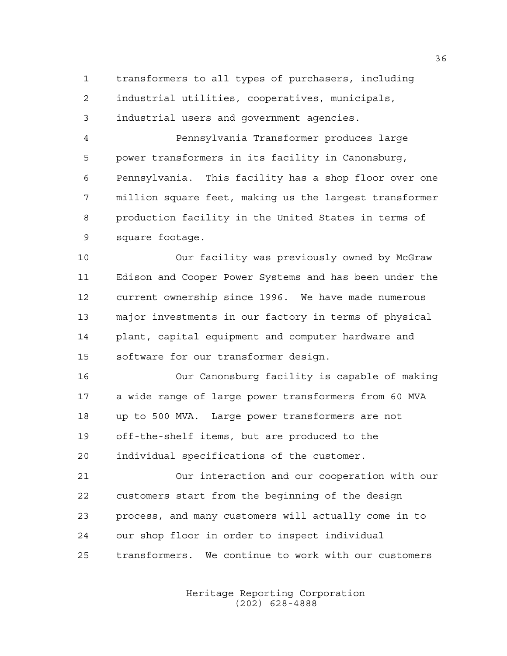transformers to all types of purchasers, including industrial utilities, cooperatives, municipals, industrial users and government agencies.

 Pennsylvania Transformer produces large power transformers in its facility in Canonsburg, Pennsylvania. This facility has a shop floor over one million square feet, making us the largest transformer production facility in the United States in terms of square footage.

 Our facility was previously owned by McGraw Edison and Cooper Power Systems and has been under the current ownership since 1996. We have made numerous major investments in our factory in terms of physical plant, capital equipment and computer hardware and software for our transformer design.

 Our Canonsburg facility is capable of making a wide range of large power transformers from 60 MVA up to 500 MVA. Large power transformers are not off-the-shelf items, but are produced to the individual specifications of the customer.

 Our interaction and our cooperation with our customers start from the beginning of the design process, and many customers will actually come in to our shop floor in order to inspect individual transformers. We continue to work with our customers

> Heritage Reporting Corporation (202) 628-4888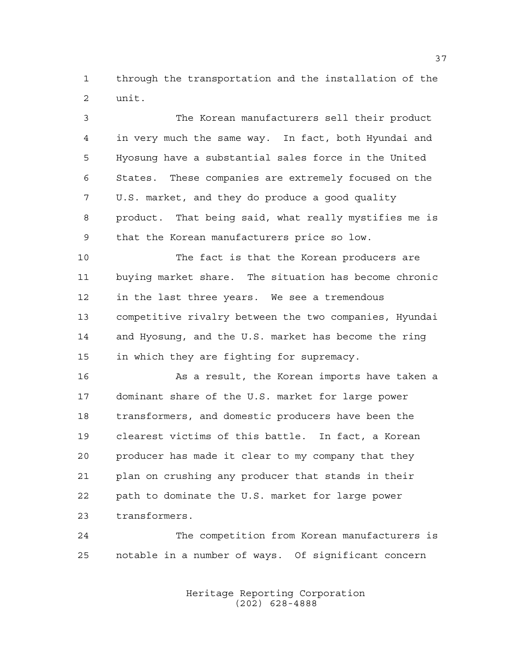through the transportation and the installation of the unit.

 The Korean manufacturers sell their product in very much the same way. In fact, both Hyundai and Hyosung have a substantial sales force in the United States. These companies are extremely focused on the U.S. market, and they do produce a good quality product. That being said, what really mystifies me is that the Korean manufacturers price so low.

 The fact is that the Korean producers are buying market share. The situation has become chronic in the last three years. We see a tremendous competitive rivalry between the two companies, Hyundai and Hyosung, and the U.S. market has become the ring in which they are fighting for supremacy.

 As a result, the Korean imports have taken a dominant share of the U.S. market for large power transformers, and domestic producers have been the clearest victims of this battle. In fact, a Korean producer has made it clear to my company that they plan on crushing any producer that stands in their path to dominate the U.S. market for large power transformers.

 The competition from Korean manufacturers is notable in a number of ways. Of significant concern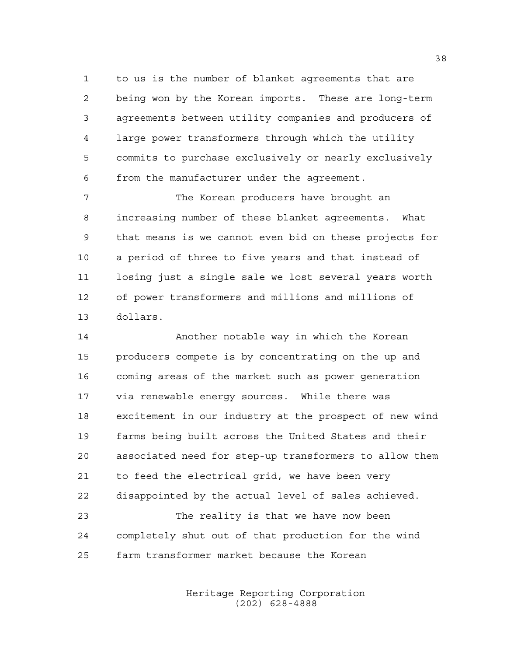to us is the number of blanket agreements that are being won by the Korean imports. These are long-term agreements between utility companies and producers of large power transformers through which the utility commits to purchase exclusively or nearly exclusively from the manufacturer under the agreement.

7 The Korean producers have brought an increasing number of these blanket agreements. What that means is we cannot even bid on these projects for a period of three to five years and that instead of losing just a single sale we lost several years worth of power transformers and millions and millions of dollars.

 Another notable way in which the Korean producers compete is by concentrating on the up and coming areas of the market such as power generation via renewable energy sources. While there was excitement in our industry at the prospect of new wind farms being built across the United States and their associated need for step-up transformers to allow them to feed the electrical grid, we have been very disappointed by the actual level of sales achieved. The reality is that we have now been

 completely shut out of that production for the wind farm transformer market because the Korean

> Heritage Reporting Corporation (202) 628-4888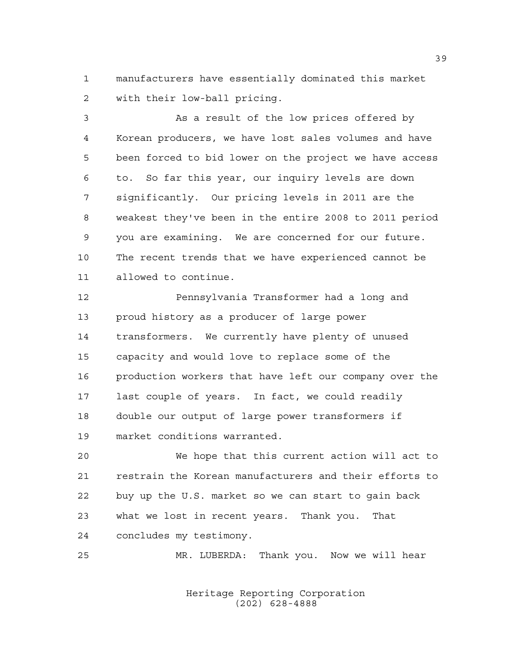manufacturers have essentially dominated this market with their low-ball pricing.

 As a result of the low prices offered by Korean producers, we have lost sales volumes and have been forced to bid lower on the project we have access to. So far this year, our inquiry levels are down significantly. Our pricing levels in 2011 are the weakest they've been in the entire 2008 to 2011 period you are examining. We are concerned for our future. The recent trends that we have experienced cannot be allowed to continue.

 Pennsylvania Transformer had a long and proud history as a producer of large power transformers. We currently have plenty of unused capacity and would love to replace some of the production workers that have left our company over the last couple of years. In fact, we could readily double our output of large power transformers if market conditions warranted.

 We hope that this current action will act to restrain the Korean manufacturers and their efforts to buy up the U.S. market so we can start to gain back what we lost in recent years. Thank you. That concludes my testimony.

MR. LUBERDA: Thank you. Now we will hear

Heritage Reporting Corporation (202) 628-4888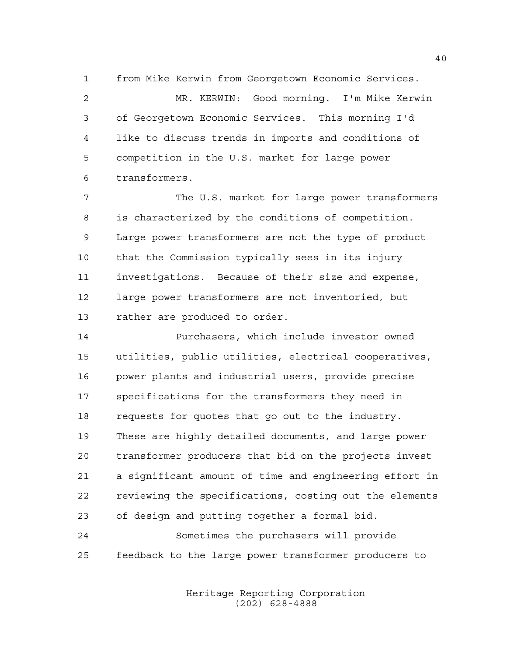from Mike Kerwin from Georgetown Economic Services.

 MR. KERWIN: Good morning. I'm Mike Kerwin of Georgetown Economic Services. This morning I'd like to discuss trends in imports and conditions of competition in the U.S. market for large power transformers.

 The U.S. market for large power transformers is characterized by the conditions of competition. Large power transformers are not the type of product that the Commission typically sees in its injury investigations. Because of their size and expense, large power transformers are not inventoried, but rather are produced to order.

 Purchasers, which include investor owned utilities, public utilities, electrical cooperatives, power plants and industrial users, provide precise specifications for the transformers they need in requests for quotes that go out to the industry. These are highly detailed documents, and large power transformer producers that bid on the projects invest a significant amount of time and engineering effort in reviewing the specifications, costing out the elements of design and putting together a formal bid.

 Sometimes the purchasers will provide feedback to the large power transformer producers to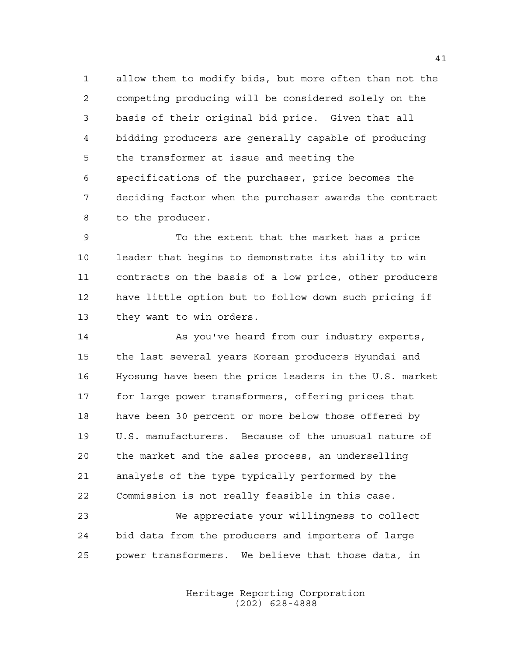allow them to modify bids, but more often than not the competing producing will be considered solely on the basis of their original bid price. Given that all bidding producers are generally capable of producing the transformer at issue and meeting the specifications of the purchaser, price becomes the deciding factor when the purchaser awards the contract to the producer.

 To the extent that the market has a price leader that begins to demonstrate its ability to win contracts on the basis of a low price, other producers have little option but to follow down such pricing if they want to win orders.

 As you've heard from our industry experts, the last several years Korean producers Hyundai and Hyosung have been the price leaders in the U.S. market for large power transformers, offering prices that have been 30 percent or more below those offered by U.S. manufacturers. Because of the unusual nature of the market and the sales process, an underselling analysis of the type typically performed by the Commission is not really feasible in this case.

 We appreciate your willingness to collect bid data from the producers and importers of large power transformers. We believe that those data, in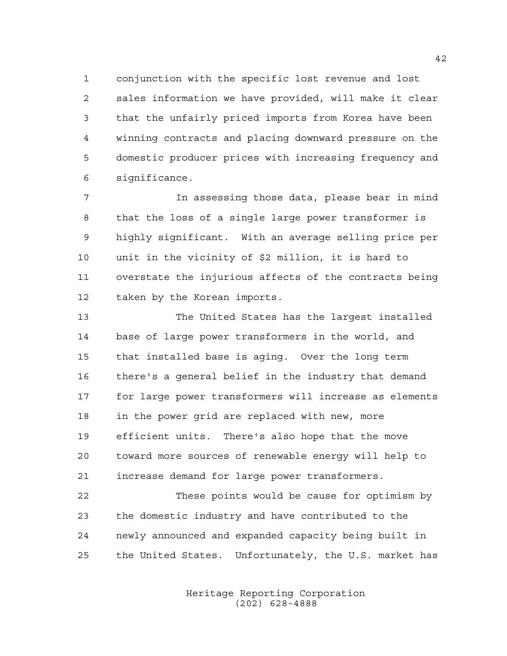conjunction with the specific lost revenue and lost sales information we have provided, will make it clear that the unfairly priced imports from Korea have been winning contracts and placing downward pressure on the domestic producer prices with increasing frequency and significance.

 In assessing those data, please bear in mind that the loss of a single large power transformer is highly significant. With an average selling price per unit in the vicinity of \$2 million, it is hard to overstate the injurious affects of the contracts being taken by the Korean imports.

 The United States has the largest installed base of large power transformers in the world, and that installed base is aging. Over the long term there's a general belief in the industry that demand for large power transformers will increase as elements in the power grid are replaced with new, more efficient units. There's also hope that the move toward more sources of renewable energy will help to increase demand for large power transformers.

 These points would be cause for optimism by the domestic industry and have contributed to the newly announced and expanded capacity being built in the United States. Unfortunately, the U.S. market has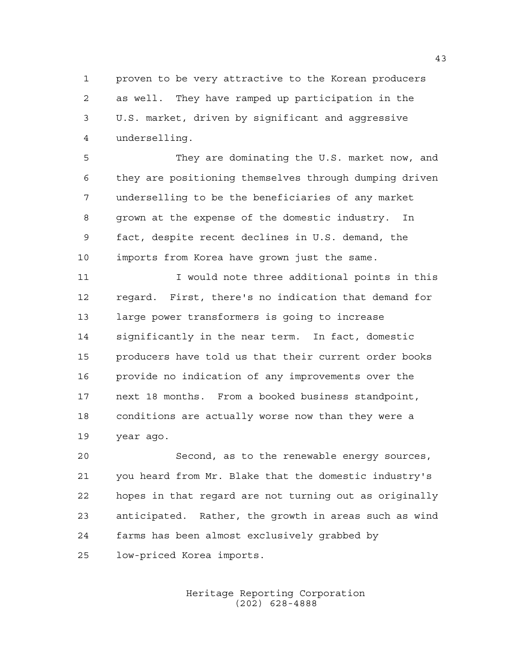proven to be very attractive to the Korean producers as well. They have ramped up participation in the U.S. market, driven by significant and aggressive underselling.

 They are dominating the U.S. market now, and they are positioning themselves through dumping driven underselling to be the beneficiaries of any market grown at the expense of the domestic industry. In fact, despite recent declines in U.S. demand, the imports from Korea have grown just the same.

11 11 I would note three additional points in this regard. First, there's no indication that demand for large power transformers is going to increase significantly in the near term. In fact, domestic producers have told us that their current order books provide no indication of any improvements over the next 18 months. From a booked business standpoint, conditions are actually worse now than they were a year ago.

 Second, as to the renewable energy sources, you heard from Mr. Blake that the domestic industry's hopes in that regard are not turning out as originally anticipated. Rather, the growth in areas such as wind farms has been almost exclusively grabbed by low-priced Korea imports.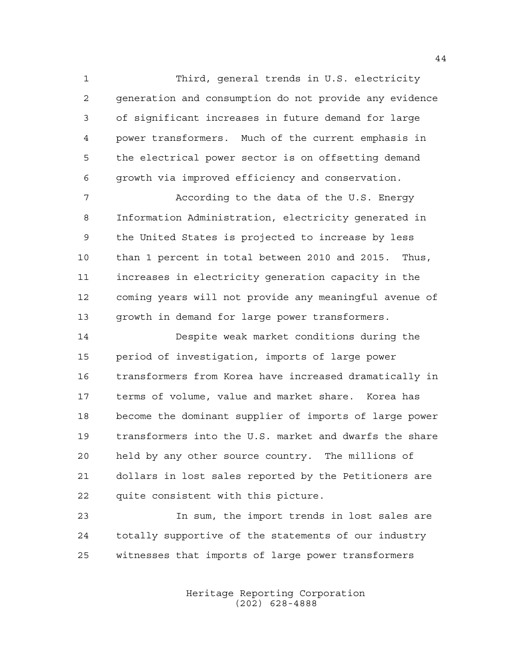Third, general trends in U.S. electricity generation and consumption do not provide any evidence of significant increases in future demand for large power transformers. Much of the current emphasis in the electrical power sector is on offsetting demand growth via improved efficiency and conservation.

 According to the data of the U.S. Energy Information Administration, electricity generated in the United States is projected to increase by less than 1 percent in total between 2010 and 2015. Thus, increases in electricity generation capacity in the coming years will not provide any meaningful avenue of growth in demand for large power transformers.

 Despite weak market conditions during the period of investigation, imports of large power transformers from Korea have increased dramatically in terms of volume, value and market share. Korea has become the dominant supplier of imports of large power transformers into the U.S. market and dwarfs the share held by any other source country. The millions of dollars in lost sales reported by the Petitioners are quite consistent with this picture.

 In sum, the import trends in lost sales are totally supportive of the statements of our industry witnesses that imports of large power transformers

> Heritage Reporting Corporation (202) 628-4888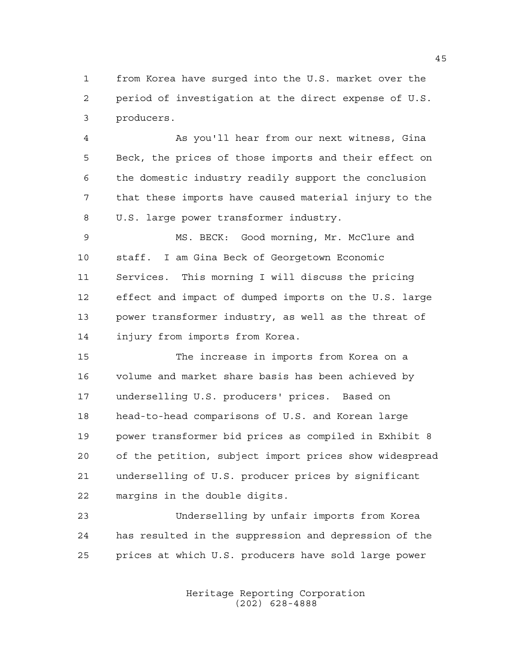from Korea have surged into the U.S. market over the period of investigation at the direct expense of U.S. producers.

 As you'll hear from our next witness, Gina Beck, the prices of those imports and their effect on the domestic industry readily support the conclusion that these imports have caused material injury to the U.S. large power transformer industry.

 MS. BECK: Good morning, Mr. McClure and staff. I am Gina Beck of Georgetown Economic Services. This morning I will discuss the pricing effect and impact of dumped imports on the U.S. large power transformer industry, as well as the threat of injury from imports from Korea.

 The increase in imports from Korea on a volume and market share basis has been achieved by underselling U.S. producers' prices. Based on head-to-head comparisons of U.S. and Korean large power transformer bid prices as compiled in Exhibit 8 of the petition, subject import prices show widespread underselling of U.S. producer prices by significant margins in the double digits.

 Underselling by unfair imports from Korea has resulted in the suppression and depression of the prices at which U.S. producers have sold large power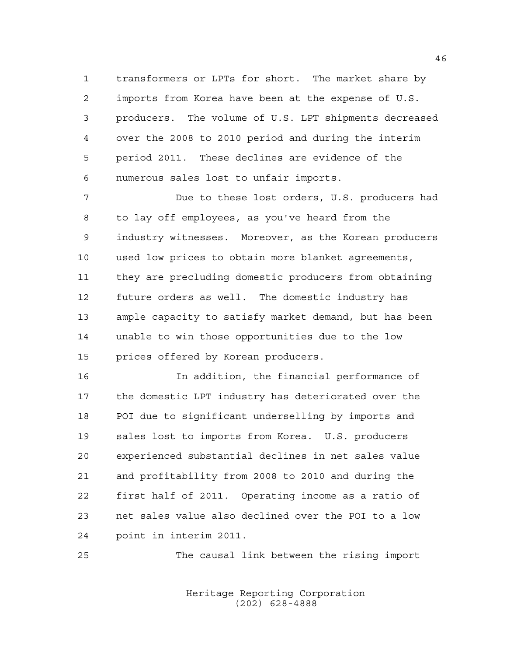transformers or LPTs for short. The market share by imports from Korea have been at the expense of U.S. producers. The volume of U.S. LPT shipments decreased over the 2008 to 2010 period and during the interim period 2011. These declines are evidence of the numerous sales lost to unfair imports.

 Due to these lost orders, U.S. producers had to lay off employees, as you've heard from the industry witnesses. Moreover, as the Korean producers used low prices to obtain more blanket agreements, they are precluding domestic producers from obtaining future orders as well. The domestic industry has ample capacity to satisfy market demand, but has been unable to win those opportunities due to the low prices offered by Korean producers.

 In addition, the financial performance of the domestic LPT industry has deteriorated over the POI due to significant underselling by imports and sales lost to imports from Korea. U.S. producers experienced substantial declines in net sales value and profitability from 2008 to 2010 and during the first half of 2011. Operating income as a ratio of net sales value also declined over the POI to a low point in interim 2011.

The causal link between the rising import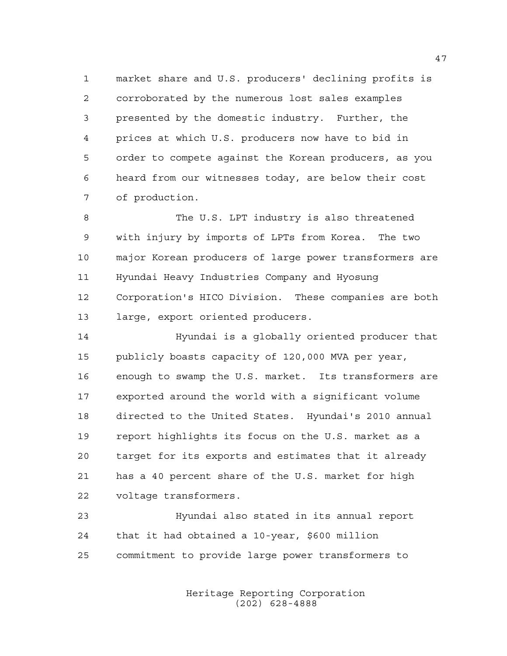market share and U.S. producers' declining profits is corroborated by the numerous lost sales examples presented by the domestic industry. Further, the prices at which U.S. producers now have to bid in order to compete against the Korean producers, as you heard from our witnesses today, are below their cost of production.

 The U.S. LPT industry is also threatened with injury by imports of LPTs from Korea. The two major Korean producers of large power transformers are Hyundai Heavy Industries Company and Hyosung Corporation's HICO Division. These companies are both large, export oriented producers.

 Hyundai is a globally oriented producer that publicly boasts capacity of 120,000 MVA per year, enough to swamp the U.S. market. Its transformers are exported around the world with a significant volume directed to the United States. Hyundai's 2010 annual report highlights its focus on the U.S. market as a target for its exports and estimates that it already has a 40 percent share of the U.S. market for high voltage transformers.

 Hyundai also stated in its annual report that it had obtained a 10-year, \$600 million commitment to provide large power transformers to

> Heritage Reporting Corporation (202) 628-4888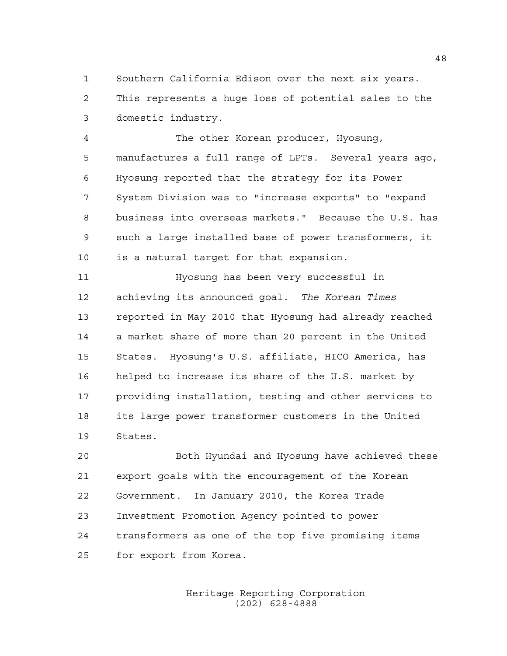Southern California Edison over the next six years. This represents a huge loss of potential sales to the

domestic industry.

 The other Korean producer, Hyosung, manufactures a full range of LPTs. Several years ago, Hyosung reported that the strategy for its Power System Division was to "increase exports" to "expand business into overseas markets." Because the U.S. has such a large installed base of power transformers, it is a natural target for that expansion.

 Hyosung has been very successful in achieving its announced goal. *The Korean Times* reported in May 2010 that Hyosung had already reached a market share of more than 20 percent in the United States. Hyosung's U.S. affiliate, HICO America, has helped to increase its share of the U.S. market by providing installation, testing and other services to its large power transformer customers in the United States.

 Both Hyundai and Hyosung have achieved these export goals with the encouragement of the Korean Government. In January 2010, the Korea Trade Investment Promotion Agency pointed to power transformers as one of the top five promising items for export from Korea.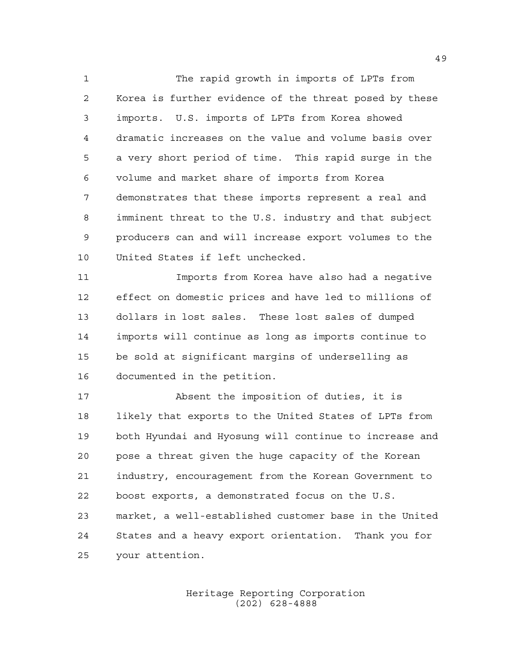The rapid growth in imports of LPTs from Korea is further evidence of the threat posed by these imports. U.S. imports of LPTs from Korea showed dramatic increases on the value and volume basis over a very short period of time. This rapid surge in the volume and market share of imports from Korea demonstrates that these imports represent a real and imminent threat to the U.S. industry and that subject producers can and will increase export volumes to the United States if left unchecked.

 Imports from Korea have also had a negative effect on domestic prices and have led to millions of dollars in lost sales. These lost sales of dumped imports will continue as long as imports continue to be sold at significant margins of underselling as documented in the petition.

 Absent the imposition of duties, it is likely that exports to the United States of LPTs from both Hyundai and Hyosung will continue to increase and pose a threat given the huge capacity of the Korean industry, encouragement from the Korean Government to boost exports, a demonstrated focus on the U.S. market, a well-established customer base in the United States and a heavy export orientation. Thank you for your attention.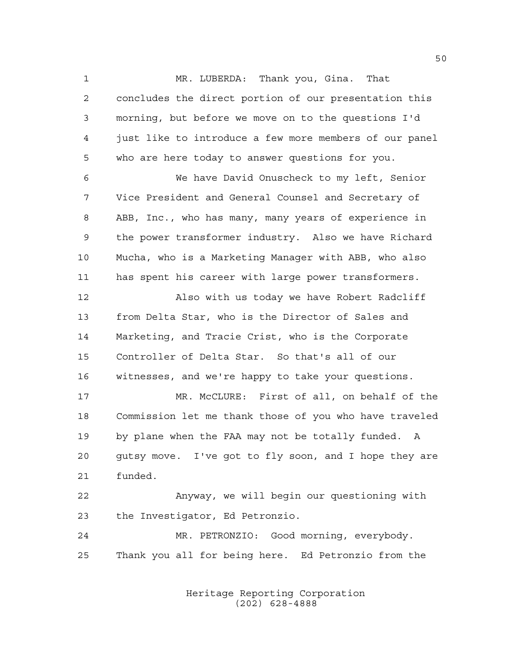MR. LUBERDA: Thank you, Gina. That concludes the direct portion of our presentation this morning, but before we move on to the questions I'd just like to introduce a few more members of our panel who are here today to answer questions for you.

 We have David Onuscheck to my left, Senior Vice President and General Counsel and Secretary of ABB, Inc., who has many, many years of experience in the power transformer industry. Also we have Richard Mucha, who is a Marketing Manager with ABB, who also has spent his career with large power transformers.

 Also with us today we have Robert Radcliff from Delta Star, who is the Director of Sales and Marketing, and Tracie Crist, who is the Corporate Controller of Delta Star. So that's all of our witnesses, and we're happy to take your questions.

 MR. McCLURE: First of all, on behalf of the Commission let me thank those of you who have traveled by plane when the FAA may not be totally funded. A gutsy move. I've got to fly soon, and I hope they are funded.

 Anyway, we will begin our questioning with the Investigator, Ed Petronzio.

 MR. PETRONZIO: Good morning, everybody. Thank you all for being here. Ed Petronzio from the

> Heritage Reporting Corporation (202) 628-4888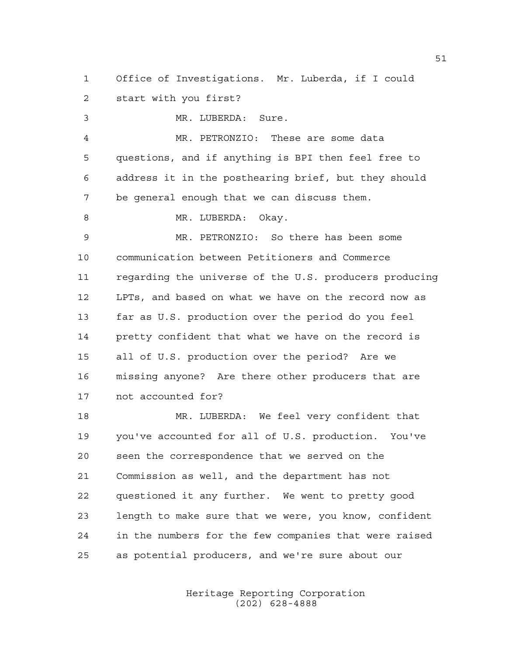Office of Investigations. Mr. Luberda, if I could start with you first?

 MR. LUBERDA: Sure. MR. PETRONZIO: These are some data questions, and if anything is BPI then feel free to address it in the posthearing brief, but they should be general enough that we can discuss them. 8 MR. LUBERDA: Okay. MR. PETRONZIO: So there has been some communication between Petitioners and Commerce regarding the universe of the U.S. producers producing LPTs, and based on what we have on the record now as far as U.S. production over the period do you feel pretty confident that what we have on the record is all of U.S. production over the period? Are we missing anyone? Are there other producers that are not accounted for? MR. LUBERDA: We feel very confident that you've accounted for all of U.S. production. You've seen the correspondence that we served on the Commission as well, and the department has not questioned it any further. We went to pretty good length to make sure that we were, you know, confident in the numbers for the few companies that were raised as potential producers, and we're sure about our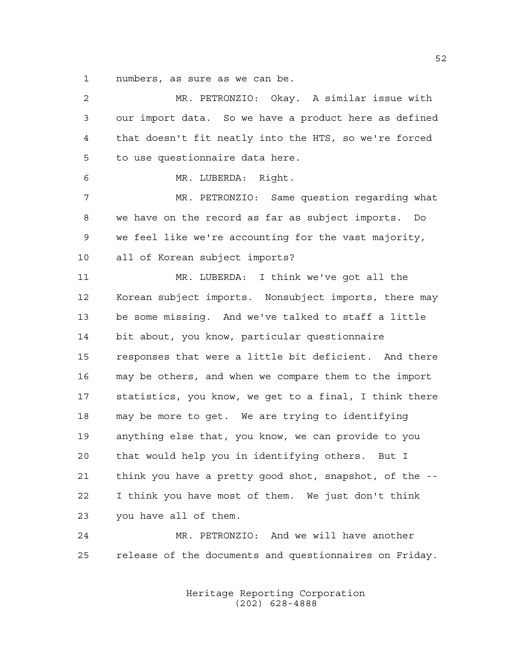numbers, as sure as we can be.

 MR. PETRONZIO: Okay. A similar issue with our import data. So we have a product here as defined that doesn't fit neatly into the HTS, so we're forced to use questionnaire data here. MR. LUBERDA: Right. MR. PETRONZIO: Same question regarding what we have on the record as far as subject imports. Do we feel like we're accounting for the vast majority, all of Korean subject imports? MR. LUBERDA: I think we've got all the Korean subject imports. Nonsubject imports, there may be some missing. And we've talked to staff a little bit about, you know, particular questionnaire responses that were a little bit deficient. And there may be others, and when we compare them to the import statistics, you know, we get to a final, I think there may be more to get. We are trying to identifying anything else that, you know, we can provide to you that would help you in identifying others. But I think you have a pretty good shot, snapshot, of the -- I think you have most of them. We just don't think you have all of them. MR. PETRONZIO: And we will have another release of the documents and questionnaires on Friday.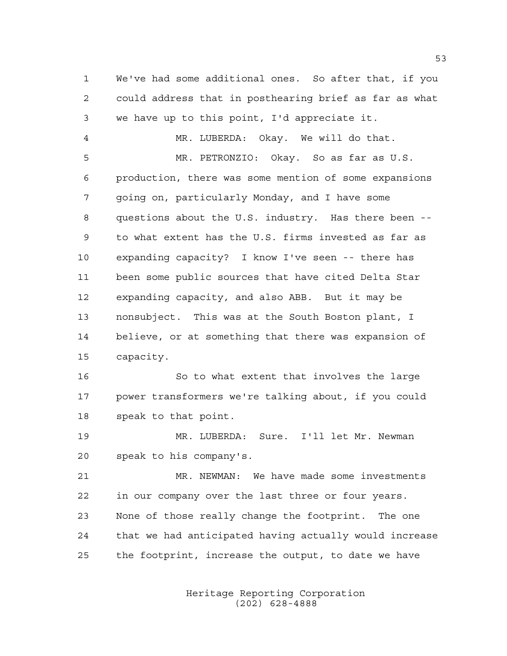We've had some additional ones. So after that, if you could address that in posthearing brief as far as what we have up to this point, I'd appreciate it.

 MR. LUBERDA: Okay. We will do that. MR. PETRONZIO: Okay. So as far as U.S. production, there was some mention of some expansions going on, particularly Monday, and I have some questions about the U.S. industry. Has there been -- to what extent has the U.S. firms invested as far as expanding capacity? I know I've seen -- there has been some public sources that have cited Delta Star expanding capacity, and also ABB. But it may be nonsubject. This was at the South Boston plant, I believe, or at something that there was expansion of capacity.

16 So to what extent that involves the large power transformers we're talking about, if you could speak to that point.

 MR. LUBERDA: Sure. I'll let Mr. Newman speak to his company's.

 MR. NEWMAN: We have made some investments in our company over the last three or four years. None of those really change the footprint. The one that we had anticipated having actually would increase the footprint, increase the output, to date we have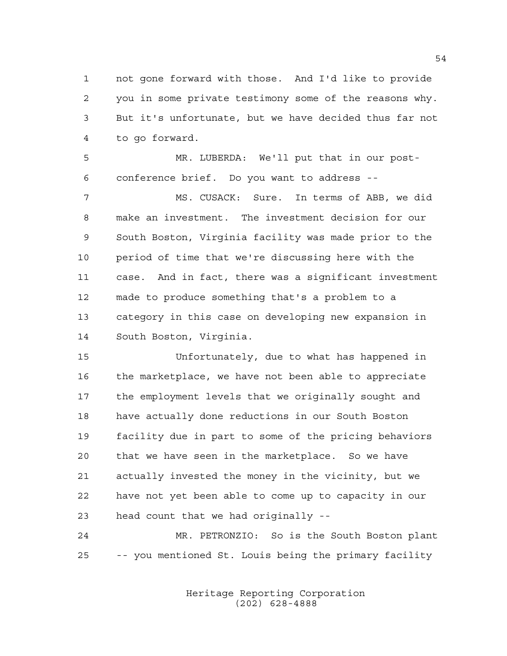not gone forward with those. And I'd like to provide you in some private testimony some of the reasons why. But it's unfortunate, but we have decided thus far not to go forward.

 MR. LUBERDA: We'll put that in our post-conference brief. Do you want to address --

 MS. CUSACK: Sure. In terms of ABB, we did make an investment. The investment decision for our South Boston, Virginia facility was made prior to the period of time that we're discussing here with the case. And in fact, there was a significant investment made to produce something that's a problem to a category in this case on developing new expansion in South Boston, Virginia.

 Unfortunately, due to what has happened in the marketplace, we have not been able to appreciate the employment levels that we originally sought and have actually done reductions in our South Boston facility due in part to some of the pricing behaviors that we have seen in the marketplace. So we have actually invested the money in the vicinity, but we have not yet been able to come up to capacity in our head count that we had originally --

 MR. PETRONZIO: So is the South Boston plant -- you mentioned St. Louis being the primary facility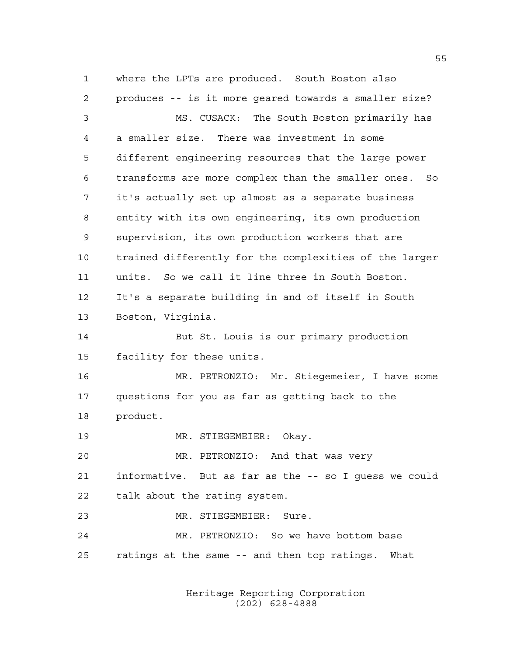where the LPTs are produced. South Boston also produces -- is it more geared towards a smaller size? MS. CUSACK: The South Boston primarily has a smaller size. There was investment in some different engineering resources that the large power transforms are more complex than the smaller ones. So it's actually set up almost as a separate business entity with its own engineering, its own production supervision, its own production workers that are trained differently for the complexities of the larger units. So we call it line three in South Boston. It's a separate building in and of itself in South Boston, Virginia. But St. Louis is our primary production facility for these units. MR. PETRONZIO: Mr. Stiegemeier, I have some questions for you as far as getting back to the product. MR. STIEGEMEIER: Okay. MR. PETRONZIO: And that was very informative. But as far as the -- so I guess we could talk about the rating system. MR. STIEGEMEIER: Sure. MR. PETRONZIO: So we have bottom base

ratings at the same -- and then top ratings. What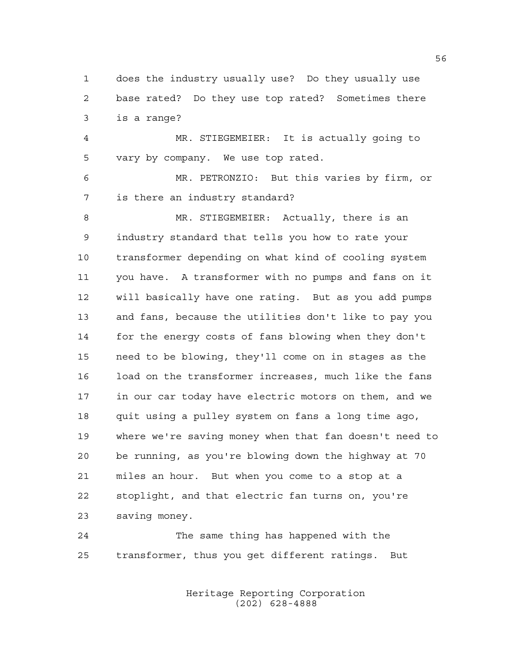does the industry usually use? Do they usually use base rated? Do they use top rated? Sometimes there is a range?

 MR. STIEGEMEIER: It is actually going to vary by company. We use top rated.

 MR. PETRONZIO: But this varies by firm, or is there an industry standard?

 MR. STIEGEMEIER: Actually, there is an industry standard that tells you how to rate your transformer depending on what kind of cooling system you have. A transformer with no pumps and fans on it will basically have one rating. But as you add pumps and fans, because the utilities don't like to pay you for the energy costs of fans blowing when they don't need to be blowing, they'll come on in stages as the load on the transformer increases, much like the fans in our car today have electric motors on them, and we quit using a pulley system on fans a long time ago, where we're saving money when that fan doesn't need to be running, as you're blowing down the highway at 70 miles an hour. But when you come to a stop at a stoplight, and that electric fan turns on, you're saving money.

 The same thing has happened with the transformer, thus you get different ratings. But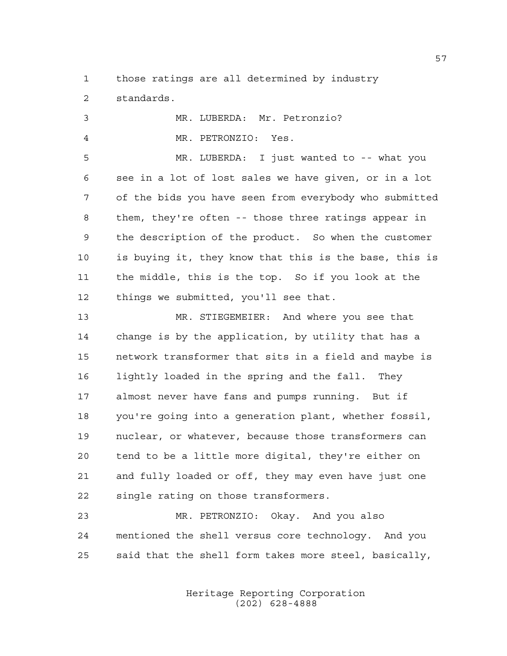those ratings are all determined by industry standards.

| 3           | MR. LUBERDA: Mr. Petronzio?                            |
|-------------|--------------------------------------------------------|
| 4           | MR. PETRONZIO: Yes.                                    |
| 5           | MR. LUBERDA: I just wanted to -- what you              |
| 6           | see in a lot of lost sales we have given, or in a lot  |
| 7           | of the bids you have seen from everybody who submitted |
| 8           | them, they're often -- those three ratings appear in   |
| $\mathsf 9$ | the description of the product. So when the customer   |
| 10          | is buying it, they know that this is the base, this is |
| 11          | the middle, this is the top. So if you look at the     |
| 12          | things we submitted, you'll see that.                  |
| 13          | MR. STIEGEMEIER: And where you see that                |
| 14          | change is by the application, by utility that has a    |
| 15          | network transformer that sits in a field and maybe is  |
| 16          | lightly loaded in the spring and the fall. They        |
| 17          | almost never have fans and pumps running. But if       |
| 18          | you're going into a generation plant, whether fossil,  |
| 19          | nuclear, or whatever, because those transformers can   |
| 20          | tend to be a little more digital, they're either on    |
| 21          | and fully loaded or off, they may even have just one   |
| 22          | single rating on those transformers.                   |
| 23          | MR. PETRONZIO: Okay. And you also                      |

 mentioned the shell versus core technology. And you said that the shell form takes more steel, basically,

> Heritage Reporting Corporation (202) 628-4888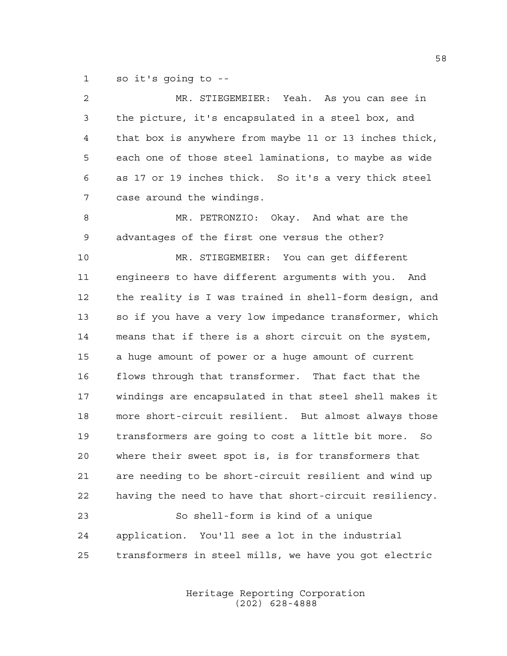so it's going to --

| 2  | MR. STIEGEMEIER: Yeah. As you can see in               |
|----|--------------------------------------------------------|
| 3  | the picture, it's encapsulated in a steel box, and     |
| 4  | that box is anywhere from maybe 11 or 13 inches thick, |
| 5  | each one of those steel laminations, to maybe as wide  |
| 6  | as 17 or 19 inches thick. So it's a very thick steel   |
| 7  | case around the windings.                              |
| 8  | MR. PETRONZIO: Okay. And what are the                  |
| 9  | advantages of the first one versus the other?          |
| 10 | MR. STIEGEMEIER: You can get different                 |
| 11 | engineers to have different arguments with you. And    |
| 12 | the reality is I was trained in shell-form design, and |
| 13 | so if you have a very low impedance transformer, which |
| 14 | means that if there is a short circuit on the system,  |
| 15 | a huge amount of power or a huge amount of current     |
| 16 | flows through that transformer. That fact that the     |
| 17 | windings are encapsulated in that steel shell makes it |
| 18 | more short-circuit resilient. But almost always those  |
| 19 | transformers are going to cost a little bit more. So   |
| 20 | where their sweet spot is, is for transformers that    |
| 21 | are needing to be short-circuit resilient and wind up  |
| 22 | having the need to have that short-circuit resiliency. |
| 23 | So shell-form is kind of a unique                      |
| 24 | You'll see a lot in the industrial<br>application.     |
| 25 | transformers in steel mills, we have you got electric  |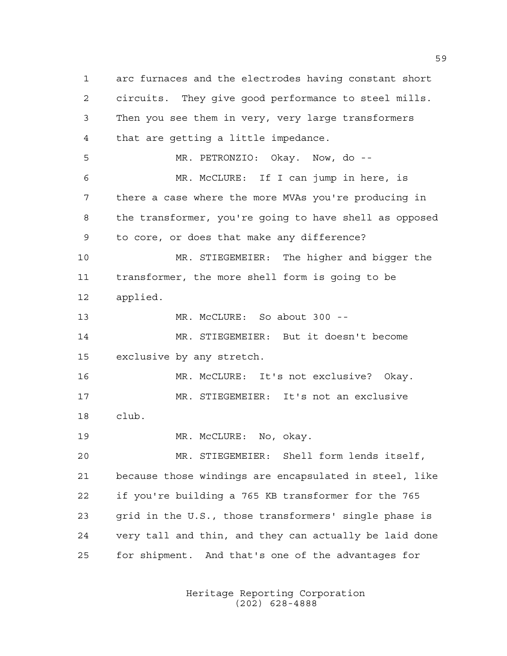arc furnaces and the electrodes having constant short circuits. They give good performance to steel mills. Then you see them in very, very large transformers that are getting a little impedance. MR. PETRONZIO: Okay. Now, do -- MR. McCLURE: If I can jump in here, is there a case where the more MVAs you're producing in the transformer, you're going to have shell as opposed to core, or does that make any difference? MR. STIEGEMEIER: The higher and bigger the transformer, the more shell form is going to be applied. MR. McCLURE: So about 300 -- MR. STIEGEMEIER: But it doesn't become exclusive by any stretch. MR. McCLURE: It's not exclusive? Okay. MR. STIEGEMEIER: It's not an exclusive club. 19 MR. McCLURE: No, okay. MR. STIEGEMEIER: Shell form lends itself, because those windings are encapsulated in steel, like if you're building a 765 KB transformer for the 765 grid in the U.S., those transformers' single phase is very tall and thin, and they can actually be laid done for shipment. And that's one of the advantages for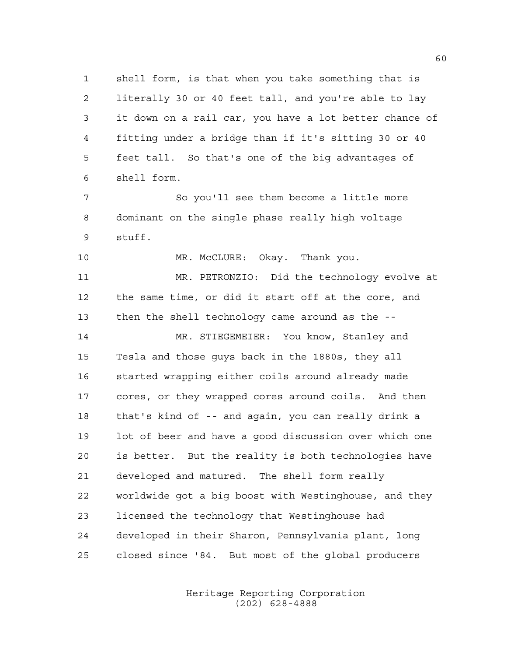shell form, is that when you take something that is literally 30 or 40 feet tall, and you're able to lay it down on a rail car, you have a lot better chance of fitting under a bridge than if it's sitting 30 or 40 feet tall. So that's one of the big advantages of shell form.

 So you'll see them become a little more dominant on the single phase really high voltage stuff.

10 MR. McCLURE: Okay. Thank you.

 MR. PETRONZIO: Did the technology evolve at the same time, or did it start off at the core, and then the shell technology came around as the --

 MR. STIEGEMEIER: You know, Stanley and Tesla and those guys back in the 1880s, they all started wrapping either coils around already made cores, or they wrapped cores around coils. And then that's kind of -- and again, you can really drink a lot of beer and have a good discussion over which one is better. But the reality is both technologies have developed and matured. The shell form really worldwide got a big boost with Westinghouse, and they licensed the technology that Westinghouse had developed in their Sharon, Pennsylvania plant, long closed since '84. But most of the global producers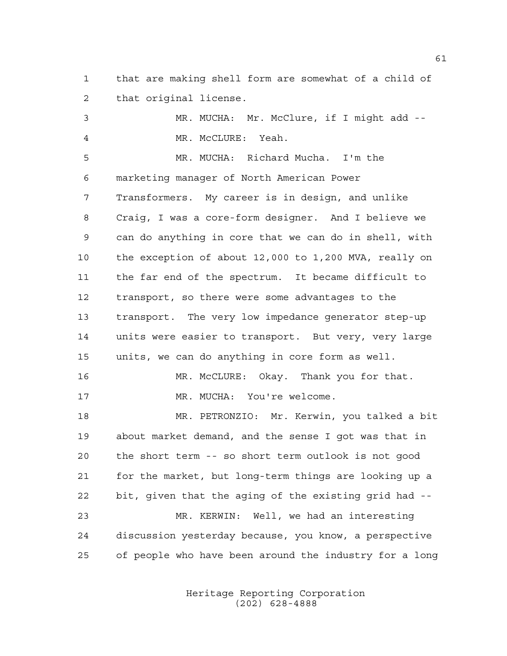that are making shell form are somewhat of a child of that original license.

 MR. MUCHA: Mr. McClure, if I might add -- MR. McCLURE: Yeah. MR. MUCHA: Richard Mucha. I'm the marketing manager of North American Power Transformers. My career is in design, and unlike Craig, I was a core-form designer. And I believe we can do anything in core that we can do in shell, with the exception of about 12,000 to 1,200 MVA, really on the far end of the spectrum. It became difficult to transport, so there were some advantages to the transport. The very low impedance generator step-up units were easier to transport. But very, very large units, we can do anything in core form as well. MR. McCLURE: Okay. Thank you for that. 17 MR. MUCHA: You're welcome. MR. PETRONZIO: Mr. Kerwin, you talked a bit about market demand, and the sense I got was that in the short term -- so short term outlook is not good for the market, but long-term things are looking up a bit, given that the aging of the existing grid had -- MR. KERWIN: Well, we had an interesting discussion yesterday because, you know, a perspective of people who have been around the industry for a long

> Heritage Reporting Corporation (202) 628-4888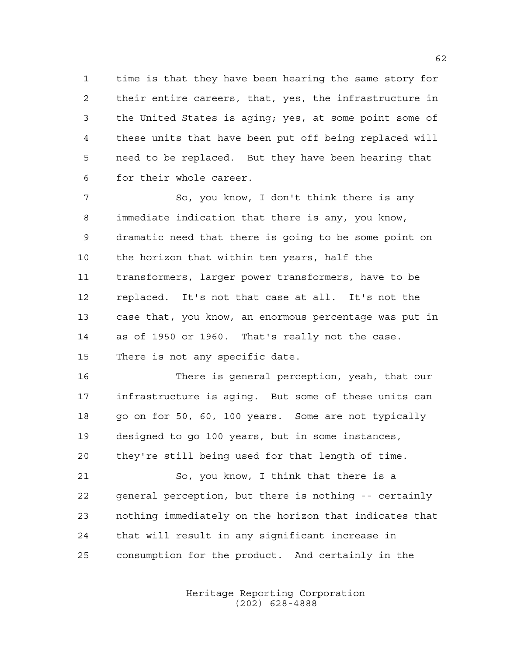time is that they have been hearing the same story for their entire careers, that, yes, the infrastructure in the United States is aging; yes, at some point some of these units that have been put off being replaced will need to be replaced. But they have been hearing that for their whole career.

 So, you know, I don't think there is any immediate indication that there is any, you know, dramatic need that there is going to be some point on the horizon that within ten years, half the transformers, larger power transformers, have to be replaced. It's not that case at all. It's not the case that, you know, an enormous percentage was put in as of 1950 or 1960. That's really not the case. There is not any specific date.

 There is general perception, yeah, that our infrastructure is aging. But some of these units can 18 go on for 50, 60, 100 years. Some are not typically designed to go 100 years, but in some instances, they're still being used for that length of time.

 So, you know, I think that there is a general perception, but there is nothing -- certainly nothing immediately on the horizon that indicates that that will result in any significant increase in consumption for the product. And certainly in the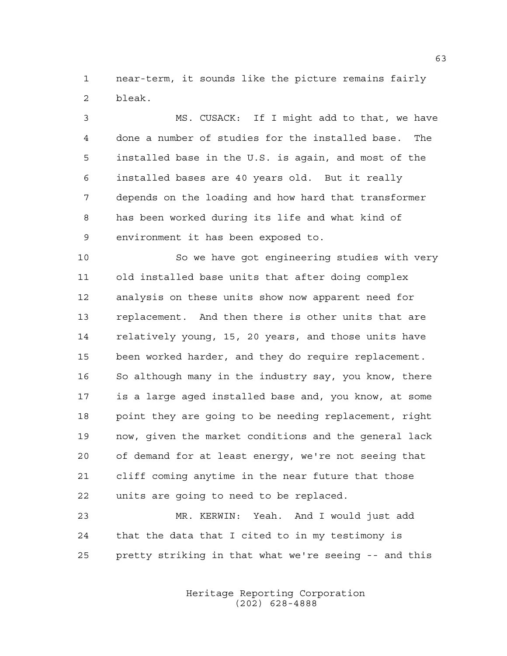near-term, it sounds like the picture remains fairly bleak.

 MS. CUSACK: If I might add to that, we have done a number of studies for the installed base. The installed base in the U.S. is again, and most of the installed bases are 40 years old. But it really depends on the loading and how hard that transformer has been worked during its life and what kind of environment it has been exposed to.

 So we have got engineering studies with very old installed base units that after doing complex analysis on these units show now apparent need for replacement. And then there is other units that are relatively young, 15, 20 years, and those units have been worked harder, and they do require replacement. 16 So although many in the industry say, you know, there is a large aged installed base and, you know, at some point they are going to be needing replacement, right now, given the market conditions and the general lack of demand for at least energy, we're not seeing that cliff coming anytime in the near future that those units are going to need to be replaced.

 MR. KERWIN: Yeah. And I would just add that the data that I cited to in my testimony is pretty striking in that what we're seeing -- and this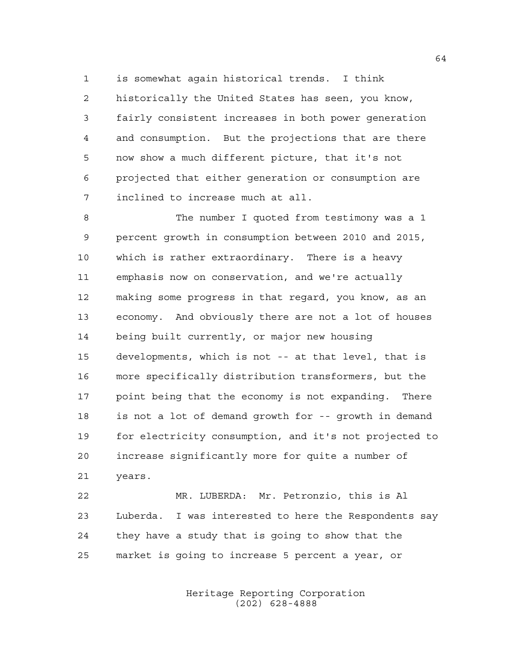is somewhat again historical trends. I think historically the United States has seen, you know, fairly consistent increases in both power generation and consumption. But the projections that are there now show a much different picture, that it's not projected that either generation or consumption are inclined to increase much at all.

 The number I quoted from testimony was a 1 percent growth in consumption between 2010 and 2015, which is rather extraordinary. There is a heavy emphasis now on conservation, and we're actually making some progress in that regard, you know, as an economy. And obviously there are not a lot of houses being built currently, or major new housing developments, which is not -- at that level, that is more specifically distribution transformers, but the point being that the economy is not expanding. There is not a lot of demand growth for -- growth in demand for electricity consumption, and it's not projected to increase significantly more for quite a number of years.

 MR. LUBERDA: Mr. Petronzio, this is Al Luberda. I was interested to here the Respondents say they have a study that is going to show that the market is going to increase 5 percent a year, or

> Heritage Reporting Corporation (202) 628-4888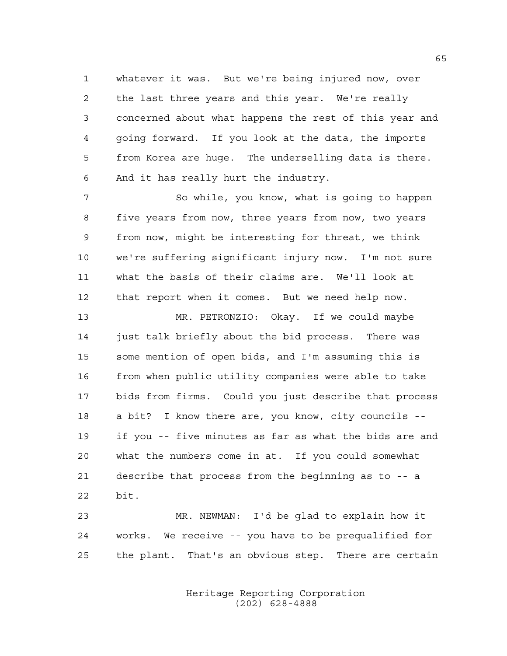whatever it was. But we're being injured now, over the last three years and this year. We're really concerned about what happens the rest of this year and going forward. If you look at the data, the imports from Korea are huge. The underselling data is there. And it has really hurt the industry.

 So while, you know, what is going to happen five years from now, three years from now, two years from now, might be interesting for threat, we think we're suffering significant injury now. I'm not sure what the basis of their claims are. We'll look at that report when it comes. But we need help now.

 MR. PETRONZIO: Okay. If we could maybe just talk briefly about the bid process. There was some mention of open bids, and I'm assuming this is from when public utility companies were able to take bids from firms. Could you just describe that process a bit? I know there are, you know, city councils -- if you -- five minutes as far as what the bids are and what the numbers come in at. If you could somewhat describe that process from the beginning as to -- a bit.

 MR. NEWMAN: I'd be glad to explain how it works. We receive -- you have to be prequalified for the plant. That's an obvious step. There are certain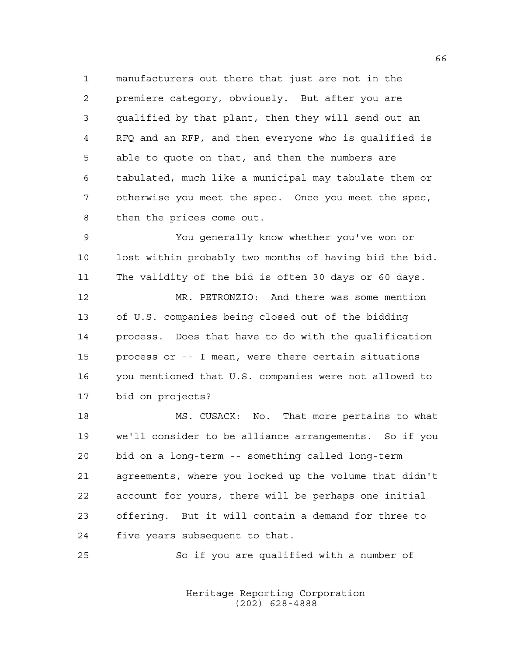manufacturers out there that just are not in the premiere category, obviously. But after you are qualified by that plant, then they will send out an RFQ and an RFP, and then everyone who is qualified is able to quote on that, and then the numbers are tabulated, much like a municipal may tabulate them or otherwise you meet the spec. Once you meet the spec, then the prices come out.

 You generally know whether you've won or lost within probably two months of having bid the bid. The validity of the bid is often 30 days or 60 days.

 MR. PETRONZIO: And there was some mention of U.S. companies being closed out of the bidding process. Does that have to do with the qualification process or -- I mean, were there certain situations you mentioned that U.S. companies were not allowed to bid on projects?

 MS. CUSACK: No. That more pertains to what we'll consider to be alliance arrangements. So if you bid on a long-term -- something called long-term agreements, where you locked up the volume that didn't account for yours, there will be perhaps one initial offering. But it will contain a demand for three to five years subsequent to that.

So if you are qualified with a number of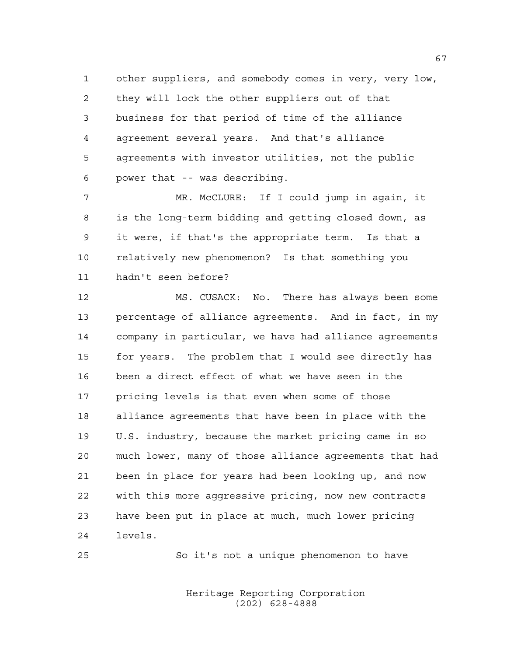other suppliers, and somebody comes in very, very low, they will lock the other suppliers out of that business for that period of time of the alliance agreement several years. And that's alliance agreements with investor utilities, not the public power that -- was describing.

 MR. McCLURE: If I could jump in again, it is the long-term bidding and getting closed down, as it were, if that's the appropriate term. Is that a relatively new phenomenon? Is that something you hadn't seen before?

 MS. CUSACK: No. There has always been some percentage of alliance agreements. And in fact, in my company in particular, we have had alliance agreements for years. The problem that I would see directly has been a direct effect of what we have seen in the pricing levels is that even when some of those alliance agreements that have been in place with the U.S. industry, because the market pricing came in so much lower, many of those alliance agreements that had been in place for years had been looking up, and now with this more aggressive pricing, now new contracts have been put in place at much, much lower pricing levels.

So it's not a unique phenomenon to have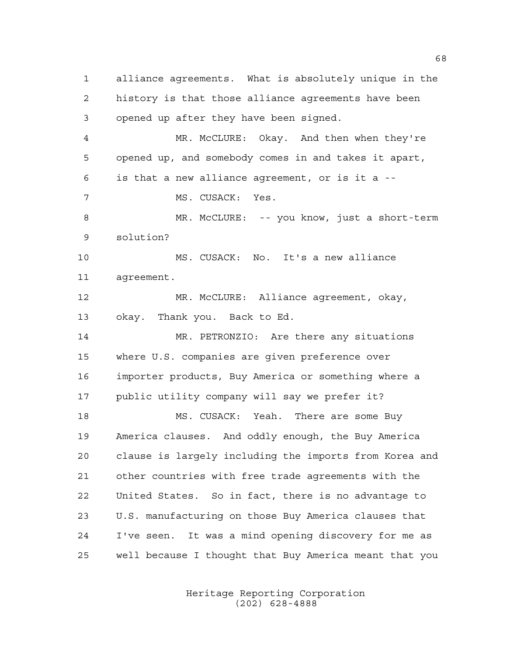alliance agreements. What is absolutely unique in the history is that those alliance agreements have been opened up after they have been signed. MR. McCLURE: Okay. And then when they're opened up, and somebody comes in and takes it apart, is that a new alliance agreement, or is it a -- MS. CUSACK: Yes. MR. McCLURE: -- you know, just a short-term solution? MS. CUSACK: No. It's a new alliance agreement. MR. McCLURE: Alliance agreement, okay, okay. Thank you. Back to Ed. MR. PETRONZIO: Are there any situations where U.S. companies are given preference over importer products, Buy America or something where a public utility company will say we prefer it? 18 MS. CUSACK: Yeah. There are some Buy America clauses. And oddly enough, the Buy America clause is largely including the imports from Korea and other countries with free trade agreements with the United States. So in fact, there is no advantage to U.S. manufacturing on those Buy America clauses that I've seen. It was a mind opening discovery for me as well because I thought that Buy America meant that you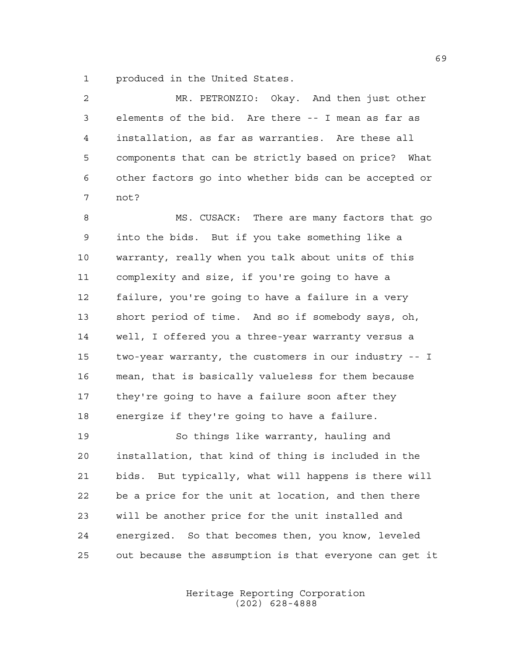produced in the United States.

| $\overline{a}$ | MR. PETRONZIO: Okay. And then just other              |
|----------------|-------------------------------------------------------|
| 3              | elements of the bid. Are there -- I mean as far as    |
| 4              | installation, as far as warranties. Are these all     |
| 5              | components that can be strictly based on price? What  |
| 6              | other factors go into whether bids can be accepted or |
| 7              | not?                                                  |
| 8              | MS. CUSACK: There are many factors that go            |
| $\mathsf 9$    | into the bids. But if you take something like a       |
| 10             | warranty, really when you talk about units of this    |
| 11             | complexity and size, if you're going to have a        |
| 12             | failure, you're going to have a failure in a very     |
| 13             | short period of time. And so if somebody says, oh,    |
| 14             | well, I offered you a three-year warranty versus a    |
| 15             | two-year warranty, the customers in our industry -- I |
| 16             | mean, that is basically valueless for them because    |
| 17             | they're going to have a failure soon after they       |
| 18             | energize if they're going to have a failure.          |
| 19             | So things like warranty, hauling and                  |
| 20             | installation, that kind of thing is included in the   |
| 21             | bids. But typically, what will happens is there will  |
| 22             | be a price for the unit at location, and then there   |
| 23             | will be another price for the unit installed and      |
| 24             | energized. So that becomes then, you know, leveled    |

out because the assumption is that everyone can get it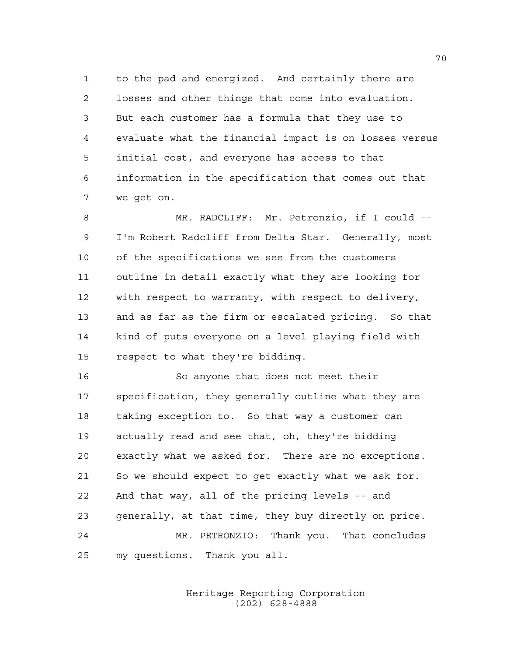to the pad and energized. And certainly there are losses and other things that come into evaluation. But each customer has a formula that they use to evaluate what the financial impact is on losses versus initial cost, and everyone has access to that information in the specification that comes out that we get on.

 MR. RADCLIFF: Mr. Petronzio, if I could -- I'm Robert Radcliff from Delta Star. Generally, most of the specifications we see from the customers outline in detail exactly what they are looking for with respect to warranty, with respect to delivery, and as far as the firm or escalated pricing. So that kind of puts everyone on a level playing field with respect to what they're bidding.

 So anyone that does not meet their specification, they generally outline what they are taking exception to. So that way a customer can actually read and see that, oh, they're bidding exactly what we asked for. There are no exceptions. So we should expect to get exactly what we ask for. And that way, all of the pricing levels -- and generally, at that time, they buy directly on price. MR. PETRONZIO: Thank you. That concludes my questions. Thank you all.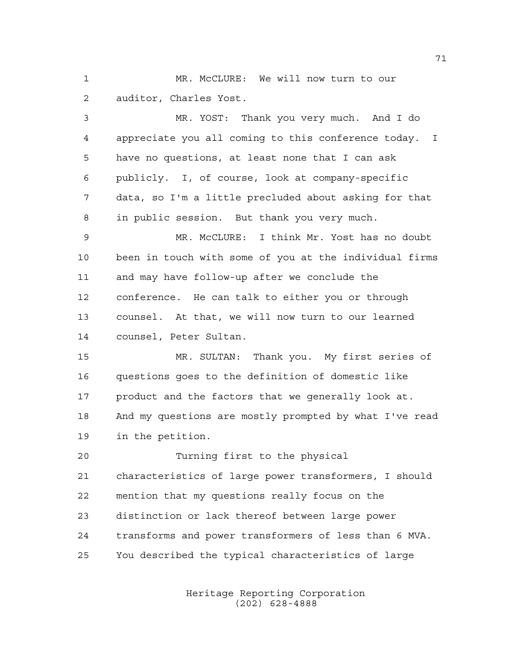MR. McCLURE: We will now turn to our auditor, Charles Yost.

 MR. YOST: Thank you very much. And I do appreciate you all coming to this conference today. I have no questions, at least none that I can ask publicly. I, of course, look at company-specific data, so I'm a little precluded about asking for that in public session. But thank you very much.

 MR. McCLURE: I think Mr. Yost has no doubt been in touch with some of you at the individual firms and may have follow-up after we conclude the conference. He can talk to either you or through counsel. At that, we will now turn to our learned counsel, Peter Sultan.

 MR. SULTAN: Thank you. My first series of questions goes to the definition of domestic like product and the factors that we generally look at. And my questions are mostly prompted by what I've read in the petition.

 Turning first to the physical characteristics of large power transformers, I should mention that my questions really focus on the distinction or lack thereof between large power transforms and power transformers of less than 6 MVA. You described the typical characteristics of large

> Heritage Reporting Corporation (202) 628-4888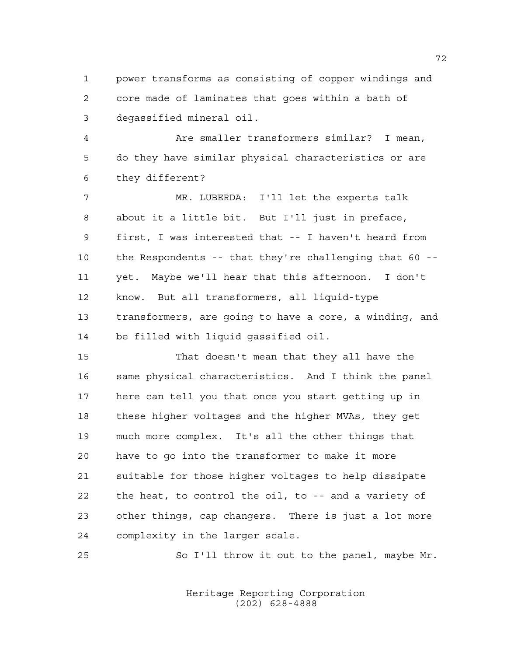power transforms as consisting of copper windings and core made of laminates that goes within a bath of degassified mineral oil.

 Are smaller transformers similar? I mean, do they have similar physical characteristics or are they different?

 MR. LUBERDA: I'll let the experts talk about it a little bit. But I'll just in preface, first, I was interested that -- I haven't heard from the Respondents -- that they're challenging that 60 -- yet. Maybe we'll hear that this afternoon. I don't know. But all transformers, all liquid-type transformers, are going to have a core, a winding, and be filled with liquid gassified oil.

 That doesn't mean that they all have the same physical characteristics. And I think the panel here can tell you that once you start getting up in these higher voltages and the higher MVAs, they get much more complex. It's all the other things that have to go into the transformer to make it more suitable for those higher voltages to help dissipate the heat, to control the oil, to -- and a variety of other things, cap changers. There is just a lot more complexity in the larger scale.

25 So I'll throw it out to the panel, maybe Mr.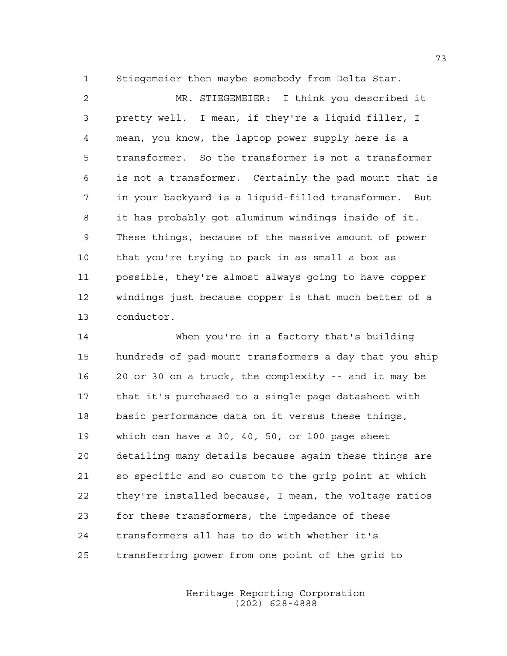Stiegemeier then maybe somebody from Delta Star.

 MR. STIEGEMEIER: I think you described it pretty well. I mean, if they're a liquid filler, I mean, you know, the laptop power supply here is a transformer. So the transformer is not a transformer is not a transformer. Certainly the pad mount that is in your backyard is a liquid-filled transformer. But it has probably got aluminum windings inside of it. These things, because of the massive amount of power that you're trying to pack in as small a box as possible, they're almost always going to have copper windings just because copper is that much better of a conductor.

 When you're in a factory that's building hundreds of pad-mount transformers a day that you ship 20 or 30 on a truck, the complexity -- and it may be that it's purchased to a single page datasheet with basic performance data on it versus these things, which can have a 30, 40, 50, or 100 page sheet detailing many details because again these things are so specific and so custom to the grip point at which they're installed because, I mean, the voltage ratios for these transformers, the impedance of these transformers all has to do with whether it's transferring power from one point of the grid to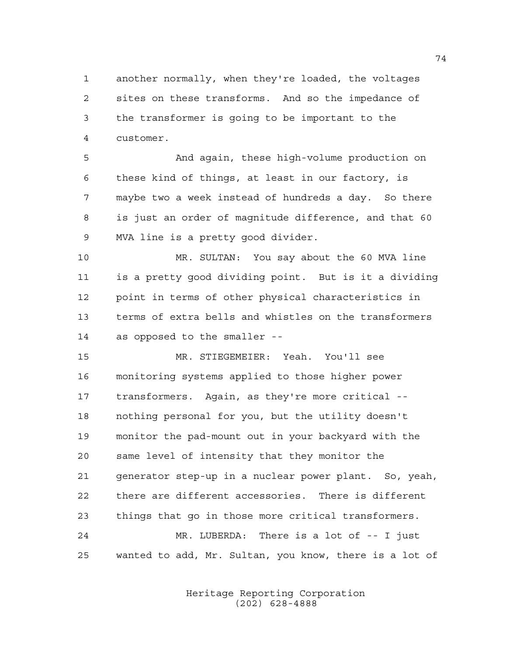another normally, when they're loaded, the voltages sites on these transforms. And so the impedance of the transformer is going to be important to the customer.

 And again, these high-volume production on these kind of things, at least in our factory, is maybe two a week instead of hundreds a day. So there is just an order of magnitude difference, and that 60 MVA line is a pretty good divider.

 MR. SULTAN: You say about the 60 MVA line is a pretty good dividing point. But is it a dividing point in terms of other physical characteristics in terms of extra bells and whistles on the transformers as opposed to the smaller --

 MR. STIEGEMEIER: Yeah. You'll see monitoring systems applied to those higher power transformers. Again, as they're more critical -- nothing personal for you, but the utility doesn't monitor the pad-mount out in your backyard with the same level of intensity that they monitor the generator step-up in a nuclear power plant. So, yeah, there are different accessories. There is different things that go in those more critical transformers. MR. LUBERDA: There is a lot of -- I just

wanted to add, Mr. Sultan, you know, there is a lot of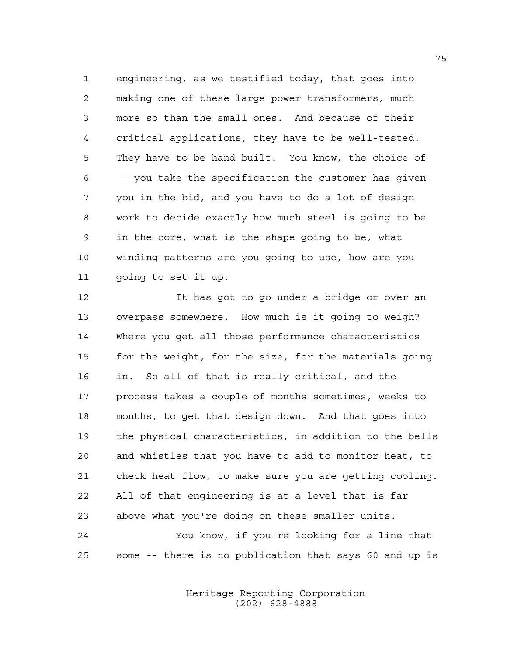engineering, as we testified today, that goes into making one of these large power transformers, much more so than the small ones. And because of their critical applications, they have to be well-tested. They have to be hand built. You know, the choice of -- you take the specification the customer has given you in the bid, and you have to do a lot of design work to decide exactly how much steel is going to be in the core, what is the shape going to be, what winding patterns are you going to use, how are you going to set it up.

 It has got to go under a bridge or over an overpass somewhere. How much is it going to weigh? Where you get all those performance characteristics for the weight, for the size, for the materials going in. So all of that is really critical, and the process takes a couple of months sometimes, weeks to months, to get that design down. And that goes into the physical characteristics, in addition to the bells and whistles that you have to add to monitor heat, to check heat flow, to make sure you are getting cooling. All of that engineering is at a level that is far above what you're doing on these smaller units. You know, if you're looking for a line that

some -- there is no publication that says 60 and up is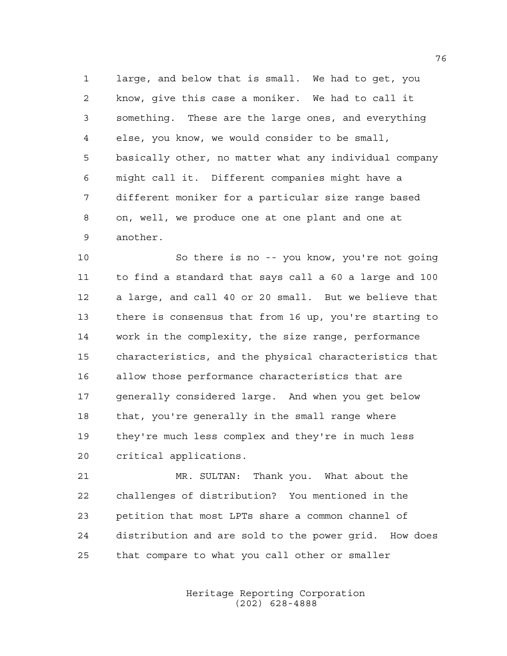large, and below that is small. We had to get, you know, give this case a moniker. We had to call it something. These are the large ones, and everything else, you know, we would consider to be small, basically other, no matter what any individual company might call it. Different companies might have a different moniker for a particular size range based on, well, we produce one at one plant and one at another.

 So there is no -- you know, you're not going to find a standard that says call a 60 a large and 100 a large, and call 40 or 20 small. But we believe that there is consensus that from 16 up, you're starting to work in the complexity, the size range, performance characteristics, and the physical characteristics that allow those performance characteristics that are generally considered large. And when you get below that, you're generally in the small range where they're much less complex and they're in much less critical applications.

 MR. SULTAN: Thank you. What about the challenges of distribution? You mentioned in the petition that most LPTs share a common channel of distribution and are sold to the power grid. How does that compare to what you call other or smaller

> Heritage Reporting Corporation (202) 628-4888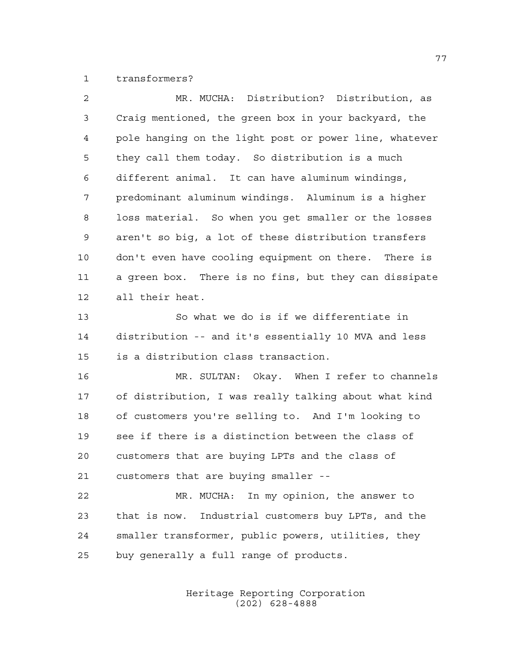transformers?

| 2  | MR. MUCHA: Distribution? Distribution, as              |
|----|--------------------------------------------------------|
| 3  | Craig mentioned, the green box in your backyard, the   |
| 4  | pole hanging on the light post or power line, whatever |
| 5  | they call them today. So distribution is a much        |
| 6  | different animal. It can have aluminum windings,       |
| 7  | predominant aluminum windings. Aluminum is a higher    |
| 8  | loss material. So when you get smaller or the losses   |
| 9  | aren't so big, a lot of these distribution transfers   |
| 10 | don't even have cooling equipment on there. There is   |
| 11 | a green box. There is no fins, but they can dissipate  |
| 12 | all their heat.                                        |
| 13 | So what we do is if we differentiate in                |
| 14 | distribution -- and it's essentially 10 MVA and less   |
| 15 | is a distribution class transaction.                   |
| 16 | MR. SULTAN: Okay. When I refer to channels             |
| 17 | of distribution, I was really talking about what kind  |
| 18 | of customers you're selling to. And I'm looking to     |
| 19 | see if there is a distinction between the class of     |
| 20 | customers that are buying LPTs and the class of        |
| 21 | customers that are buying smaller --                   |
| 22 | MR. MUCHA: In my opinion, the answer to                |
| 23 | that is now. Industrial customers buy LPTs, and the    |
| 24 | smaller transformer, public powers, utilities, they    |
| 25 | buy generally a full range of products.                |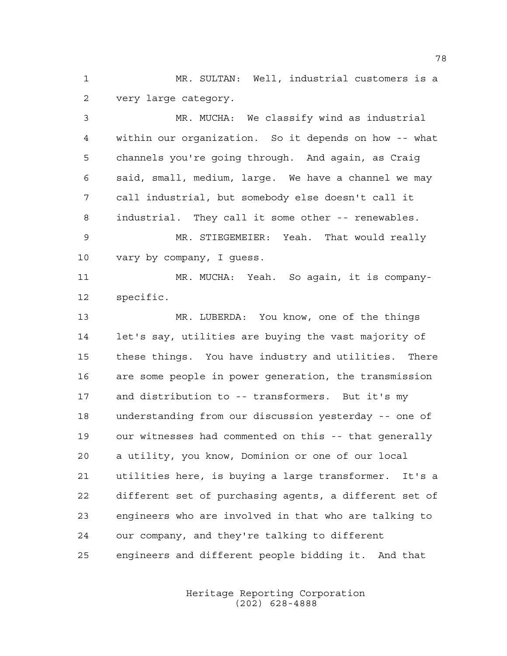MR. SULTAN: Well, industrial customers is a very large category.

 MR. MUCHA: We classify wind as industrial within our organization. So it depends on how -- what channels you're going through. And again, as Craig said, small, medium, large. We have a channel we may call industrial, but somebody else doesn't call it industrial. They call it some other -- renewables. MR. STIEGEMEIER: Yeah. That would really vary by company, I guess. MR. MUCHA: Yeah. So again, it is company- specific. MR. LUBERDA: You know, one of the things

 let's say, utilities are buying the vast majority of these things. You have industry and utilities. There are some people in power generation, the transmission and distribution to -- transformers. But it's my understanding from our discussion yesterday -- one of our witnesses had commented on this -- that generally a utility, you know, Dominion or one of our local utilities here, is buying a large transformer. It's a different set of purchasing agents, a different set of engineers who are involved in that who are talking to our company, and they're talking to different engineers and different people bidding it. And that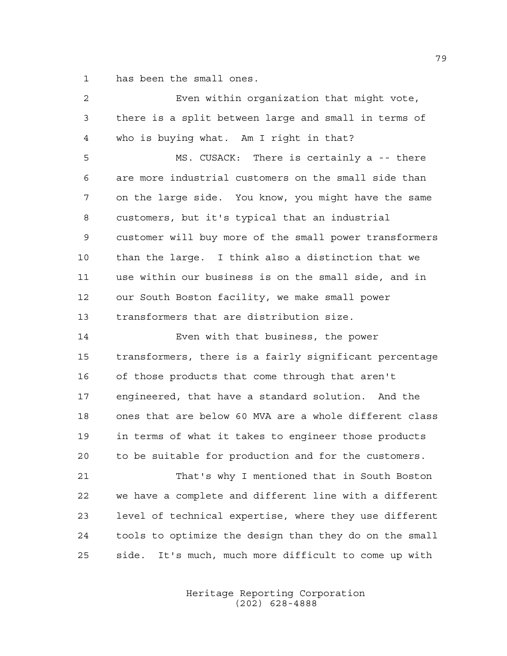has been the small ones.

| 2  | Even within organization that might vote,               |
|----|---------------------------------------------------------|
| 3  | there is a split between large and small in terms of    |
| 4  | who is buying what. Am I right in that?                 |
| 5  | MS. CUSACK: There is certainly a -- there               |
| 6  | are more industrial customers on the small side than    |
| 7  | on the large side. You know, you might have the same    |
| 8  | customers, but it's typical that an industrial          |
| 9  | customer will buy more of the small power transformers  |
| 10 | than the large. I think also a distinction that we      |
| 11 | use within our business is on the small side, and in    |
| 12 | our South Boston facility, we make small power          |
| 13 | transformers that are distribution size.                |
| 14 | Even with that business, the power                      |
| 15 | transformers, there is a fairly significant percentage  |
| 16 | of those products that come through that aren't         |
| 17 | engineered, that have a standard solution. And the      |
| 18 | ones that are below 60 MVA are a whole different class  |
| 19 | in terms of what it takes to engineer those products    |
| 20 | to be suitable for production and for the customers.    |
| 21 | That's why I mentioned that in South Boston             |
| 22 | we have a complete and different line with a different  |
| 23 | level of technical expertise, where they use different  |
| 24 | tools to optimize the design than they do on the small  |
| 25 | It's much, much more difficult to come up with<br>side. |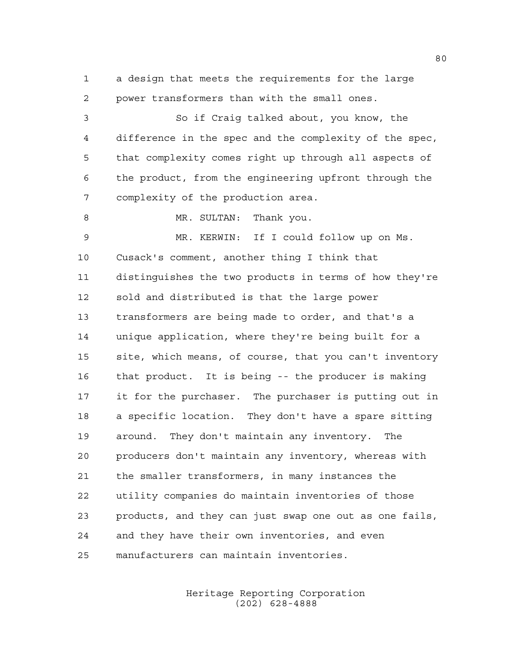a design that meets the requirements for the large power transformers than with the small ones.

 So if Craig talked about, you know, the difference in the spec and the complexity of the spec, that complexity comes right up through all aspects of the product, from the engineering upfront through the complexity of the production area.

8 MR. SULTAN: Thank you.

 MR. KERWIN: If I could follow up on Ms. Cusack's comment, another thing I think that distinguishes the two products in terms of how they're sold and distributed is that the large power transformers are being made to order, and that's a unique application, where they're being built for a site, which means, of course, that you can't inventory that product. It is being -- the producer is making it for the purchaser. The purchaser is putting out in a specific location. They don't have a spare sitting around. They don't maintain any inventory. The producers don't maintain any inventory, whereas with the smaller transformers, in many instances the utility companies do maintain inventories of those products, and they can just swap one out as one fails, and they have their own inventories, and even manufacturers can maintain inventories.

> Heritage Reporting Corporation (202) 628-4888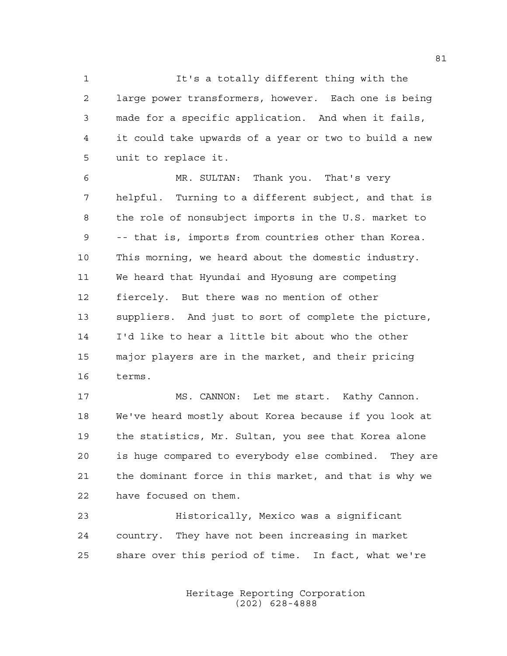It's a totally different thing with the large power transformers, however. Each one is being made for a specific application. And when it fails, it could take upwards of a year or two to build a new unit to replace it.

 MR. SULTAN: Thank you. That's very helpful. Turning to a different subject, and that is the role of nonsubject imports in the U.S. market to -- that is, imports from countries other than Korea. This morning, we heard about the domestic industry. We heard that Hyundai and Hyosung are competing fiercely. But there was no mention of other suppliers. And just to sort of complete the picture, I'd like to hear a little bit about who the other major players are in the market, and their pricing terms.

17 MS. CANNON: Let me start. Kathy Cannon. We've heard mostly about Korea because if you look at the statistics, Mr. Sultan, you see that Korea alone is huge compared to everybody else combined. They are the dominant force in this market, and that is why we have focused on them.

 Historically, Mexico was a significant country. They have not been increasing in market share over this period of time. In fact, what we're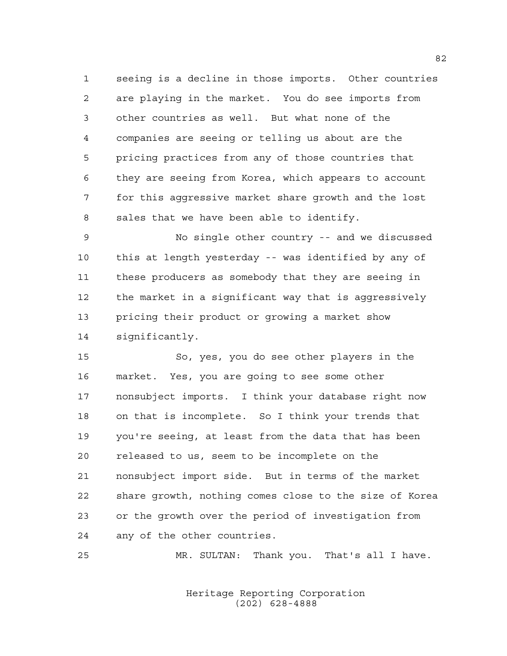seeing is a decline in those imports. Other countries are playing in the market. You do see imports from other countries as well. But what none of the companies are seeing or telling us about are the pricing practices from any of those countries that they are seeing from Korea, which appears to account for this aggressive market share growth and the lost sales that we have been able to identify.

 No single other country -- and we discussed this at length yesterday -- was identified by any of these producers as somebody that they are seeing in the market in a significant way that is aggressively pricing their product or growing a market show significantly.

 So, yes, you do see other players in the market. Yes, you are going to see some other nonsubject imports. I think your database right now on that is incomplete. So I think your trends that you're seeing, at least from the data that has been released to us, seem to be incomplete on the nonsubject import side. But in terms of the market share growth, nothing comes close to the size of Korea or the growth over the period of investigation from any of the other countries.

MR. SULTAN: Thank you. That's all I have.

Heritage Reporting Corporation (202) 628-4888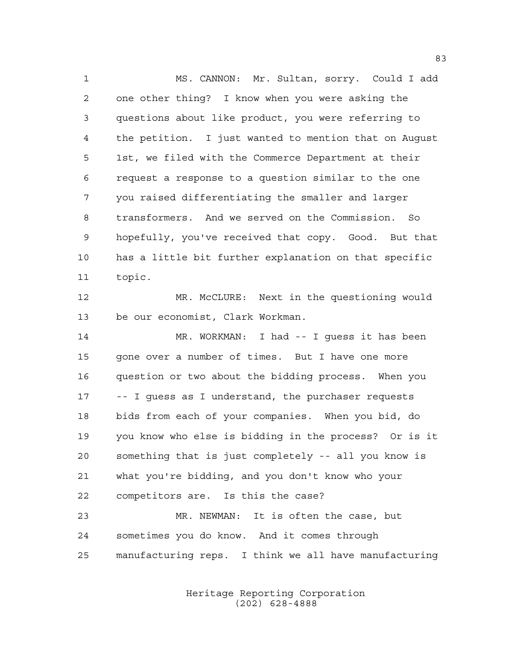MS. CANNON: Mr. Sultan, sorry. Could I add one other thing? I know when you were asking the questions about like product, you were referring to the petition. I just wanted to mention that on August 1st, we filed with the Commerce Department at their request a response to a question similar to the one you raised differentiating the smaller and larger transformers. And we served on the Commission. So hopefully, you've received that copy. Good. But that has a little bit further explanation on that specific topic.

 MR. McCLURE: Next in the questioning would be our economist, Clark Workman.

 MR. WORKMAN: I had -- I guess it has been gone over a number of times. But I have one more question or two about the bidding process. When you -- I guess as I understand, the purchaser requests bids from each of your companies. When you bid, do you know who else is bidding in the process? Or is it something that is just completely -- all you know is what you're bidding, and you don't know who your competitors are. Is this the case?

 MR. NEWMAN: It is often the case, but sometimes you do know. And it comes through manufacturing reps. I think we all have manufacturing

> Heritage Reporting Corporation (202) 628-4888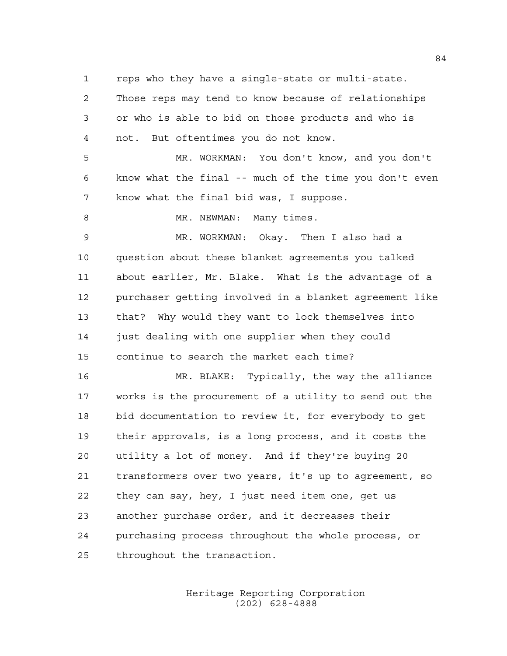reps who they have a single-state or multi-state.

 Those reps may tend to know because of relationships or who is able to bid on those products and who is not. But oftentimes you do not know.

 MR. WORKMAN: You don't know, and you don't know what the final -- much of the time you don't even know what the final bid was, I suppose.

8 MR. NEWMAN: Many times.

 MR. WORKMAN: Okay. Then I also had a question about these blanket agreements you talked about earlier, Mr. Blake. What is the advantage of a purchaser getting involved in a blanket agreement like that? Why would they want to lock themselves into 14 just dealing with one supplier when they could continue to search the market each time?

 MR. BLAKE: Typically, the way the alliance works is the procurement of a utility to send out the bid documentation to review it, for everybody to get their approvals, is a long process, and it costs the utility a lot of money. And if they're buying 20 transformers over two years, it's up to agreement, so they can say, hey, I just need item one, get us another purchase order, and it decreases their purchasing process throughout the whole process, or throughout the transaction.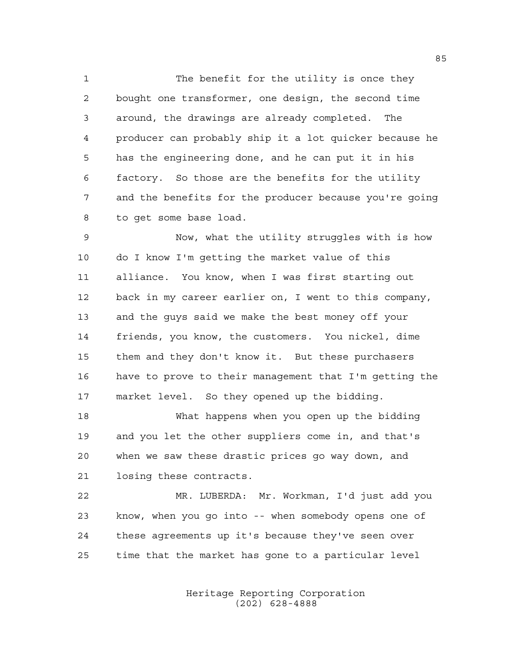The benefit for the utility is once they bought one transformer, one design, the second time around, the drawings are already completed. The producer can probably ship it a lot quicker because he has the engineering done, and he can put it in his factory. So those are the benefits for the utility and the benefits for the producer because you're going to get some base load.

 Now, what the utility struggles with is how do I know I'm getting the market value of this alliance. You know, when I was first starting out back in my career earlier on, I went to this company, and the guys said we make the best money off your friends, you know, the customers. You nickel, dime them and they don't know it. But these purchasers have to prove to their management that I'm getting the market level. So they opened up the bidding.

 What happens when you open up the bidding and you let the other suppliers come in, and that's when we saw these drastic prices go way down, and losing these contracts.

 MR. LUBERDA: Mr. Workman, I'd just add you know, when you go into -- when somebody opens one of these agreements up it's because they've seen over time that the market has gone to a particular level

> Heritage Reporting Corporation (202) 628-4888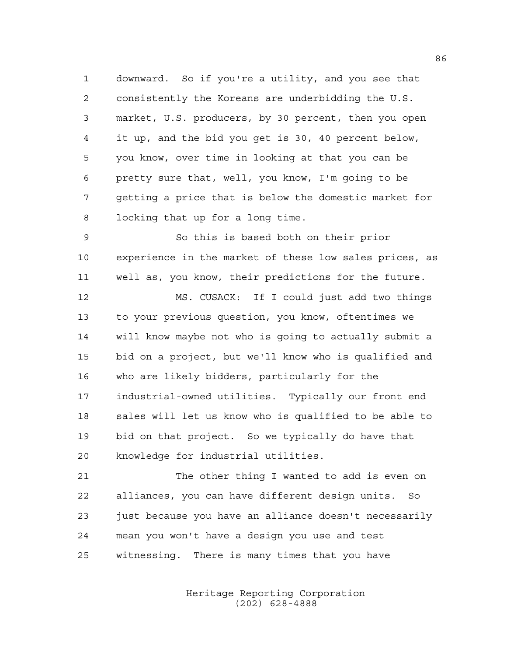downward. So if you're a utility, and you see that consistently the Koreans are underbidding the U.S. market, U.S. producers, by 30 percent, then you open it up, and the bid you get is 30, 40 percent below, you know, over time in looking at that you can be pretty sure that, well, you know, I'm going to be getting a price that is below the domestic market for locking that up for a long time.

 So this is based both on their prior experience in the market of these low sales prices, as well as, you know, their predictions for the future.

 MS. CUSACK: If I could just add two things to your previous question, you know, oftentimes we will know maybe not who is going to actually submit a bid on a project, but we'll know who is qualified and who are likely bidders, particularly for the industrial-owned utilities. Typically our front end sales will let us know who is qualified to be able to bid on that project. So we typically do have that knowledge for industrial utilities.

 The other thing I wanted to add is even on alliances, you can have different design units. So 23 just because you have an alliance doesn't necessarily mean you won't have a design you use and test witnessing. There is many times that you have

> Heritage Reporting Corporation (202) 628-4888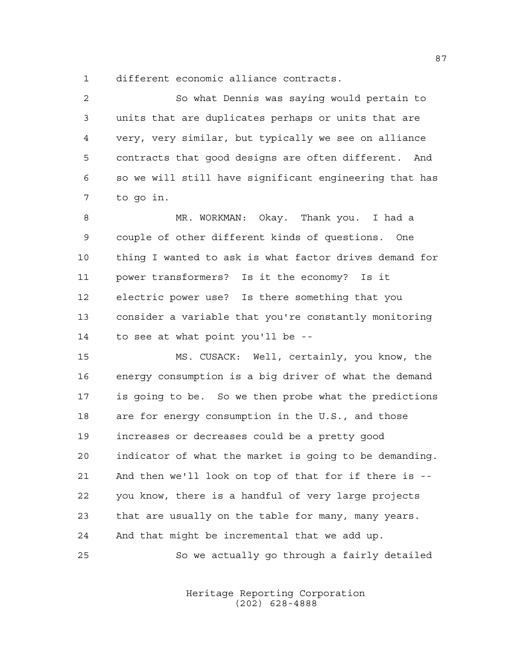different economic alliance contracts.

 So what Dennis was saying would pertain to units that are duplicates perhaps or units that are very, very similar, but typically we see on alliance contracts that good designs are often different. And so we will still have significant engineering that has to go in.

 MR. WORKMAN: Okay. Thank you. I had a couple of other different kinds of questions. One thing I wanted to ask is what factor drives demand for power transformers? Is it the economy? Is it electric power use? Is there something that you consider a variable that you're constantly monitoring to see at what point you'll be --

 MS. CUSACK: Well, certainly, you know, the energy consumption is a big driver of what the demand is going to be. So we then probe what the predictions are for energy consumption in the U.S., and those increases or decreases could be a pretty good indicator of what the market is going to be demanding. And then we'll look on top of that for if there is -- you know, there is a handful of very large projects that are usually on the table for many, many years. And that might be incremental that we add up.

So we actually go through a fairly detailed

Heritage Reporting Corporation (202) 628-4888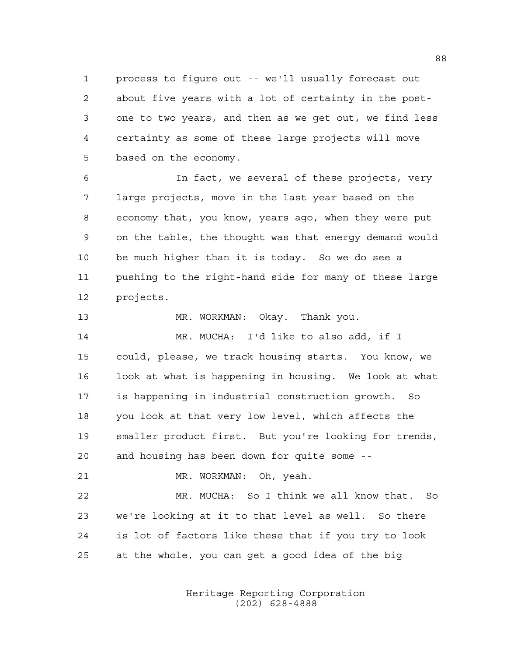process to figure out -- we'll usually forecast out about five years with a lot of certainty in the post- one to two years, and then as we get out, we find less certainty as some of these large projects will move based on the economy.

 In fact, we several of these projects, very large projects, move in the last year based on the economy that, you know, years ago, when they were put on the table, the thought was that energy demand would be much higher than it is today. So we do see a pushing to the right-hand side for many of these large projects.

MR. WORKMAN: Okay. Thank you.

 MR. MUCHA: I'd like to also add, if I could, please, we track housing starts. You know, we look at what is happening in housing. We look at what is happening in industrial construction growth. So you look at that very low level, which affects the smaller product first. But you're looking for trends, and housing has been down for quite some --

MR. WORKMAN: Oh, yeah.

 MR. MUCHA: So I think we all know that. So we're looking at it to that level as well. So there is lot of factors like these that if you try to look at the whole, you can get a good idea of the big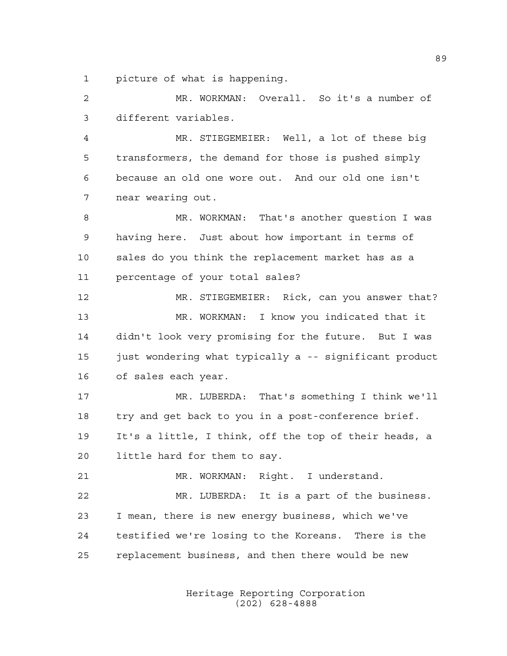picture of what is happening.

 MR. WORKMAN: Overall. So it's a number of different variables.

 MR. STIEGEMEIER: Well, a lot of these big transformers, the demand for those is pushed simply because an old one wore out. And our old one isn't near wearing out.

 MR. WORKMAN: That's another question I was having here. Just about how important in terms of sales do you think the replacement market has as a percentage of your total sales?

 MR. STIEGEMEIER: Rick, can you answer that? MR. WORKMAN: I know you indicated that it didn't look very promising for the future. But I was 15 just wondering what typically a -- significant product of sales each year.

 MR. LUBERDA: That's something I think we'll try and get back to you in a post-conference brief. It's a little, I think, off the top of their heads, a little hard for them to say.

MR. WORKMAN: Right. I understand.

 MR. LUBERDA: It is a part of the business. I mean, there is new energy business, which we've testified we're losing to the Koreans. There is the replacement business, and then there would be new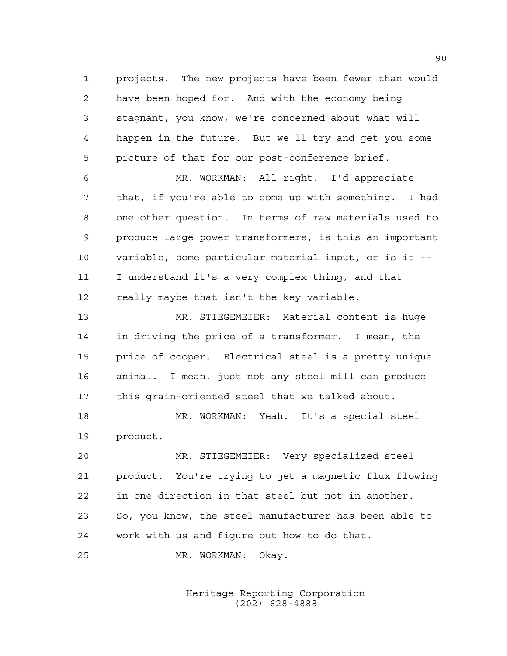projects. The new projects have been fewer than would have been hoped for. And with the economy being stagnant, you know, we're concerned about what will happen in the future. But we'll try and get you some picture of that for our post-conference brief.

 MR. WORKMAN: All right. I'd appreciate that, if you're able to come up with something. I had one other question. In terms of raw materials used to produce large power transformers, is this an important variable, some particular material input, or is it -- I understand it's a very complex thing, and that 12 really maybe that isn't the key variable.

 MR. STIEGEMEIER: Material content is huge in driving the price of a transformer. I mean, the price of cooper. Electrical steel is a pretty unique animal. I mean, just not any steel mill can produce this grain-oriented steel that we talked about.

 MR. WORKMAN: Yeah. It's a special steel product.

 MR. STIEGEMEIER: Very specialized steel product. You're trying to get a magnetic flux flowing in one direction in that steel but not in another. So, you know, the steel manufacturer has been able to work with us and figure out how to do that.

MR. WORKMAN: Okay.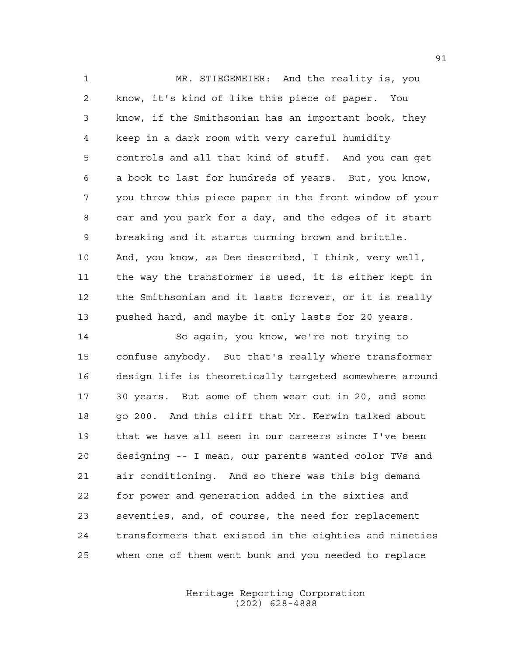MR. STIEGEMEIER: And the reality is, you know, it's kind of like this piece of paper. You know, if the Smithsonian has an important book, they keep in a dark room with very careful humidity controls and all that kind of stuff. And you can get a book to last for hundreds of years. But, you know, you throw this piece paper in the front window of your car and you park for a day, and the edges of it start breaking and it starts turning brown and brittle. And, you know, as Dee described, I think, very well, the way the transformer is used, it is either kept in the Smithsonian and it lasts forever, or it is really pushed hard, and maybe it only lasts for 20 years.

 So again, you know, we're not trying to confuse anybody. But that's really where transformer design life is theoretically targeted somewhere around 30 years. But some of them wear out in 20, and some go 200. And this cliff that Mr. Kerwin talked about that we have all seen in our careers since I've been designing -- I mean, our parents wanted color TVs and air conditioning. And so there was this big demand for power and generation added in the sixties and seventies, and, of course, the need for replacement transformers that existed in the eighties and nineties when one of them went bunk and you needed to replace

> Heritage Reporting Corporation (202) 628-4888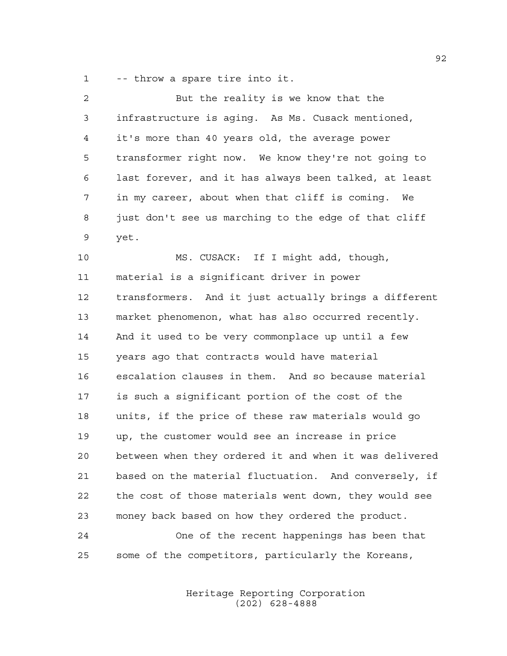-- throw a spare tire into it.

| 2  | But the reality is we know that the                    |
|----|--------------------------------------------------------|
| 3  | infrastructure is aging. As Ms. Cusack mentioned,      |
| 4  | it's more than 40 years old, the average power         |
| 5  | transformer right now. We know they're not going to    |
| 6  | last forever, and it has always been talked, at least  |
| 7  | in my career, about when that cliff is coming.<br>We   |
| 8  | just don't see us marching to the edge of that cliff   |
| 9  | yet.                                                   |
| 10 | MS. CUSACK: If I might add, though,                    |
| 11 | material is a significant driver in power              |
| 12 | transformers. And it just actually brings a different  |
| 13 | market phenomenon, what has also occurred recently.    |
| 14 | And it used to be very commonplace up until a few      |
| 15 | years ago that contracts would have material           |
| 16 | escalation clauses in them. And so because material    |
| 17 | is such a significant portion of the cost of the       |
| 18 | units, if the price of these raw materials would go    |
| 19 | up, the customer would see an increase in price        |
| 20 | between when they ordered it and when it was delivered |
| 21 | based on the material fluctuation. And conversely, if  |
| 22 | the cost of those materials went down, they would see  |
| 23 | money back based on how they ordered the product.      |
| 24 | One of the recent happenings has been that             |
| 25 | some of the competitors, particularly the Koreans,     |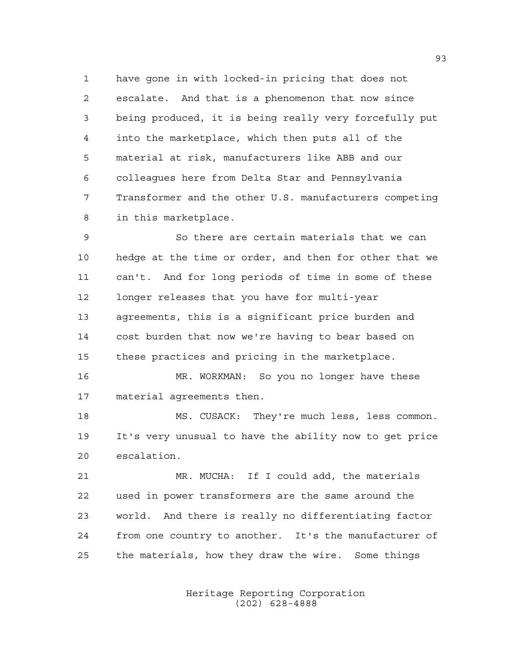have gone in with locked-in pricing that does not escalate. And that is a phenomenon that now since being produced, it is being really very forcefully put into the marketplace, which then puts all of the material at risk, manufacturers like ABB and our colleagues here from Delta Star and Pennsylvania Transformer and the other U.S. manufacturers competing in this marketplace.

 So there are certain materials that we can hedge at the time or order, and then for other that we can't. And for long periods of time in some of these longer releases that you have for multi-year agreements, this is a significant price burden and cost burden that now we're having to bear based on these practices and pricing in the marketplace.

 MR. WORKMAN: So you no longer have these material agreements then.

 MS. CUSACK: They're much less, less common. It's very unusual to have the ability now to get price escalation.

 MR. MUCHA: If I could add, the materials used in power transformers are the same around the world. And there is really no differentiating factor from one country to another. It's the manufacturer of the materials, how they draw the wire. Some things

> Heritage Reporting Corporation (202) 628-4888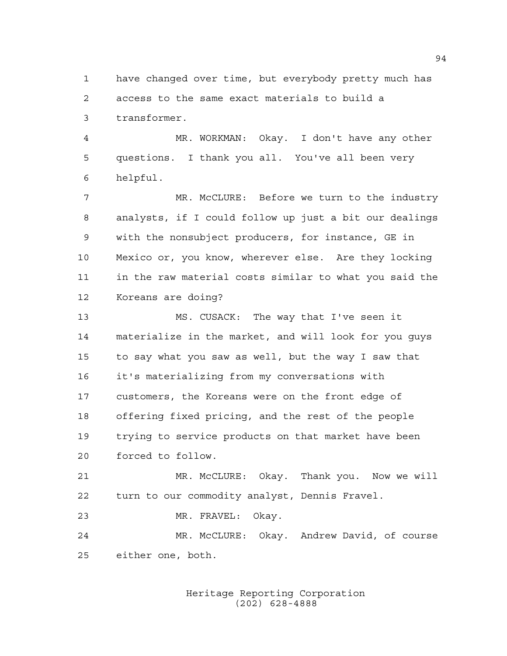have changed over time, but everybody pretty much has access to the same exact materials to build a transformer.

 MR. WORKMAN: Okay. I don't have any other questions. I thank you all. You've all been very helpful.

 MR. McCLURE: Before we turn to the industry analysts, if I could follow up just a bit our dealings with the nonsubject producers, for instance, GE in Mexico or, you know, wherever else. Are they locking in the raw material costs similar to what you said the Koreans are doing?

 MS. CUSACK: The way that I've seen it materialize in the market, and will look for you guys to say what you saw as well, but the way I saw that it's materializing from my conversations with customers, the Koreans were on the front edge of offering fixed pricing, and the rest of the people trying to service products on that market have been forced to follow.

 MR. McCLURE: Okay. Thank you. Now we will turn to our commodity analyst, Dennis Fravel.

MR. FRAVEL: Okay.

 MR. McCLURE: Okay. Andrew David, of course either one, both.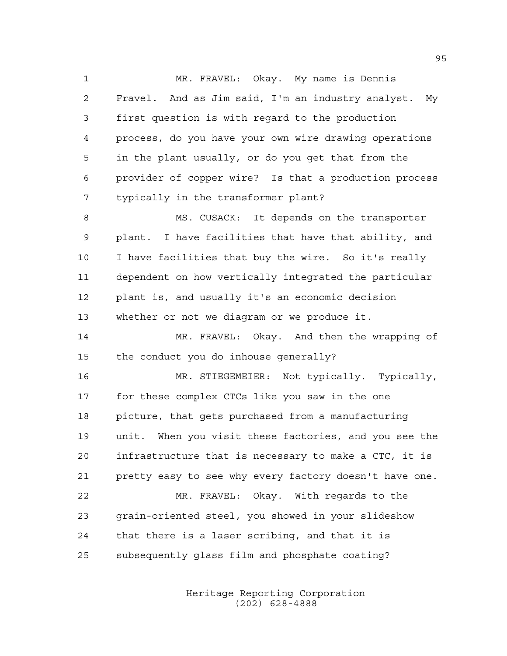1 MR. FRAVEL: Okay. My name is Dennis Fravel. And as Jim said, I'm an industry analyst. My first question is with regard to the production process, do you have your own wire drawing operations in the plant usually, or do you get that from the provider of copper wire? Is that a production process typically in the transformer plant?

8 MS. CUSACK: It depends on the transporter plant. I have facilities that have that ability, and I have facilities that buy the wire. So it's really dependent on how vertically integrated the particular plant is, and usually it's an economic decision whether or not we diagram or we produce it.

14 MR. FRAVEL: Okay. And then the wrapping of the conduct you do inhouse generally?

 MR. STIEGEMEIER: Not typically. Typically, for these complex CTCs like you saw in the one picture, that gets purchased from a manufacturing unit. When you visit these factories, and you see the infrastructure that is necessary to make a CTC, it is pretty easy to see why every factory doesn't have one. MR. FRAVEL: Okay. With regards to the grain-oriented steel, you showed in your slideshow that there is a laser scribing, and that it is

subsequently glass film and phosphate coating?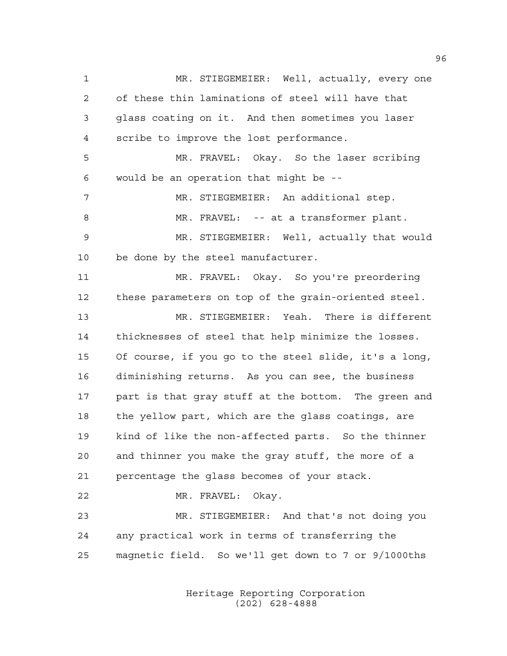MR. STIEGEMEIER: Well, actually, every one of these thin laminations of steel will have that glass coating on it. And then sometimes you laser scribe to improve the lost performance. MR. FRAVEL: Okay. So the laser scribing would be an operation that might be -- MR. STIEGEMEIER: An additional step. MR. FRAVEL: -- at a transformer plant. MR. STIEGEMEIER: Well, actually that would be done by the steel manufacturer. MR. FRAVEL: Okay. So you're preordering these parameters on top of the grain-oriented steel. MR. STIEGEMEIER: Yeah. There is different thicknesses of steel that help minimize the losses. Of course, if you go to the steel slide, it's a long, diminishing returns. As you can see, the business part is that gray stuff at the bottom. The green and the yellow part, which are the glass coatings, are kind of like the non-affected parts. So the thinner and thinner you make the gray stuff, the more of a percentage the glass becomes of your stack. MR. FRAVEL: Okay. MR. STIEGEMEIER: And that's not doing you any practical work in terms of transferring the magnetic field. So we'll get down to 7 or 9/1000ths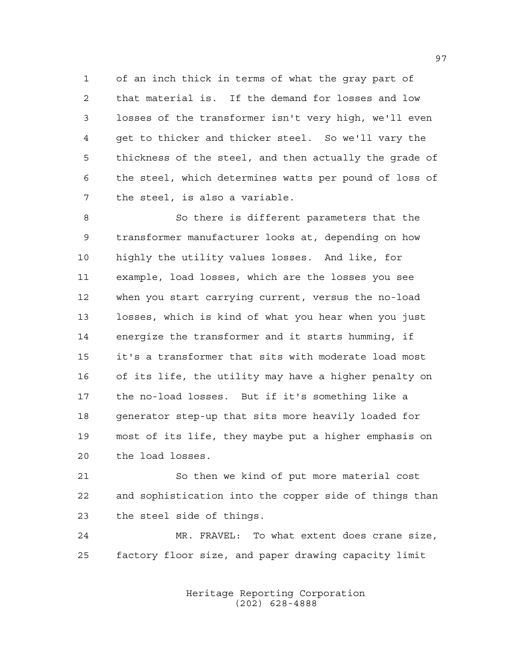of an inch thick in terms of what the gray part of that material is. If the demand for losses and low losses of the transformer isn't very high, we'll even get to thicker and thicker steel. So we'll vary the thickness of the steel, and then actually the grade of the steel, which determines watts per pound of loss of the steel, is also a variable.

 So there is different parameters that the transformer manufacturer looks at, depending on how highly the utility values losses. And like, for example, load losses, which are the losses you see when you start carrying current, versus the no-load losses, which is kind of what you hear when you just energize the transformer and it starts humming, if it's a transformer that sits with moderate load most of its life, the utility may have a higher penalty on the no-load losses. But if it's something like a generator step-up that sits more heavily loaded for most of its life, they maybe put a higher emphasis on the load losses.

 So then we kind of put more material cost and sophistication into the copper side of things than the steel side of things.

 MR. FRAVEL: To what extent does crane size, factory floor size, and paper drawing capacity limit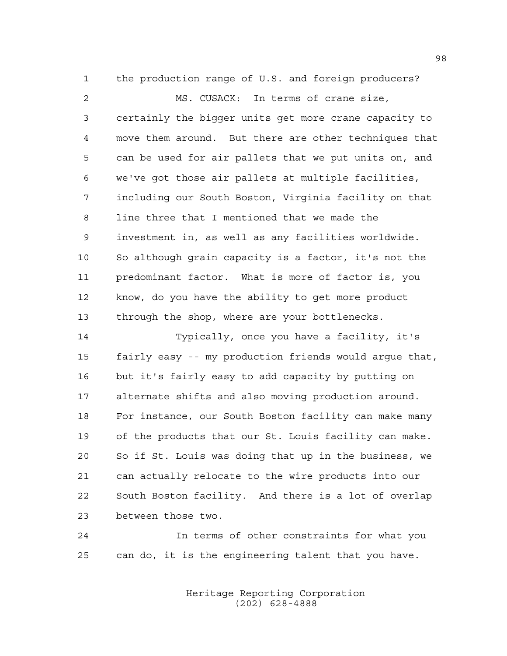the production range of U.S. and foreign producers?

 MS. CUSACK: In terms of crane size, certainly the bigger units get more crane capacity to move them around. But there are other techniques that can be used for air pallets that we put units on, and we've got those air pallets at multiple facilities, including our South Boston, Virginia facility on that line three that I mentioned that we made the investment in, as well as any facilities worldwide. So although grain capacity is a factor, it's not the predominant factor. What is more of factor is, you know, do you have the ability to get more product through the shop, where are your bottlenecks.

 Typically, once you have a facility, it's fairly easy -- my production friends would argue that, but it's fairly easy to add capacity by putting on alternate shifts and also moving production around. For instance, our South Boston facility can make many of the products that our St. Louis facility can make. So if St. Louis was doing that up in the business, we can actually relocate to the wire products into our South Boston facility. And there is a lot of overlap between those two.

 In terms of other constraints for what you can do, it is the engineering talent that you have.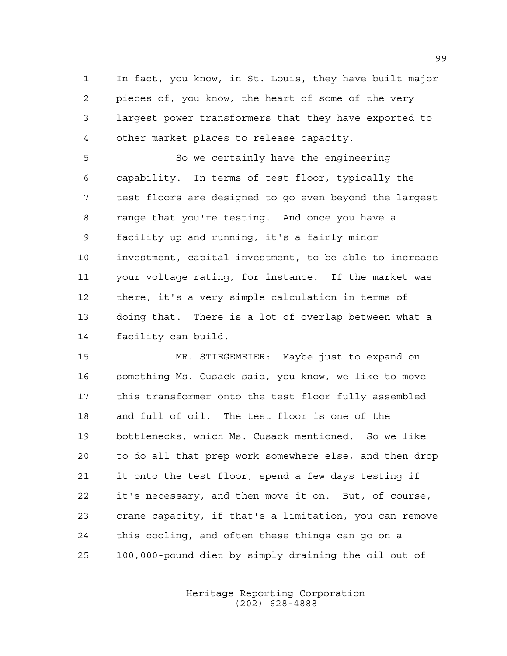In fact, you know, in St. Louis, they have built major pieces of, you know, the heart of some of the very largest power transformers that they have exported to other market places to release capacity.

 So we certainly have the engineering capability. In terms of test floor, typically the test floors are designed to go even beyond the largest range that you're testing. And once you have a facility up and running, it's a fairly minor investment, capital investment, to be able to increase your voltage rating, for instance. If the market was there, it's a very simple calculation in terms of doing that. There is a lot of overlap between what a facility can build.

 MR. STIEGEMEIER: Maybe just to expand on something Ms. Cusack said, you know, we like to move this transformer onto the test floor fully assembled and full of oil. The test floor is one of the bottlenecks, which Ms. Cusack mentioned. So we like to do all that prep work somewhere else, and then drop it onto the test floor, spend a few days testing if it's necessary, and then move it on. But, of course, crane capacity, if that's a limitation, you can remove this cooling, and often these things can go on a 100,000-pound diet by simply draining the oil out of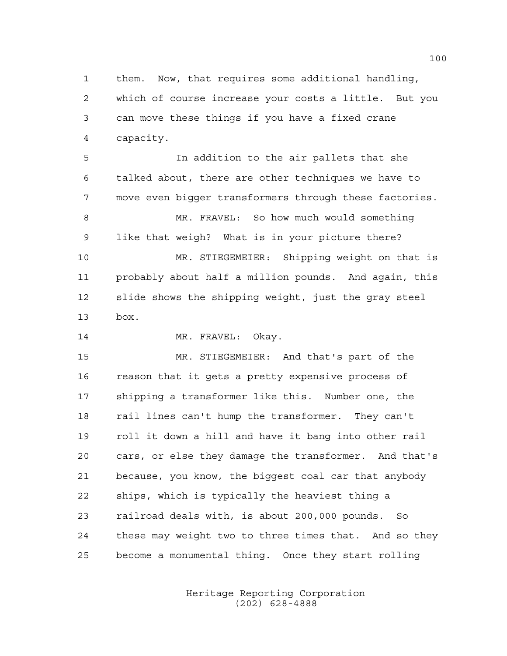them. Now, that requires some additional handling, which of course increase your costs a little. But you can move these things if you have a fixed crane capacity.

 In addition to the air pallets that she talked about, there are other techniques we have to move even bigger transformers through these factories. MR. FRAVEL: So how much would something like that weigh? What is in your picture there? MR. STIEGEMEIER: Shipping weight on that is probably about half a million pounds. And again, this slide shows the shipping weight, just the gray steel box.

14 MR. FRAVEL: Okay.

 MR. STIEGEMEIER: And that's part of the 16 reason that it gets a pretty expensive process of shipping a transformer like this. Number one, the rail lines can't hump the transformer. They can't roll it down a hill and have it bang into other rail cars, or else they damage the transformer. And that's because, you know, the biggest coal car that anybody ships, which is typically the heaviest thing a railroad deals with, is about 200,000 pounds. So these may weight two to three times that. And so they become a monumental thing. Once they start rolling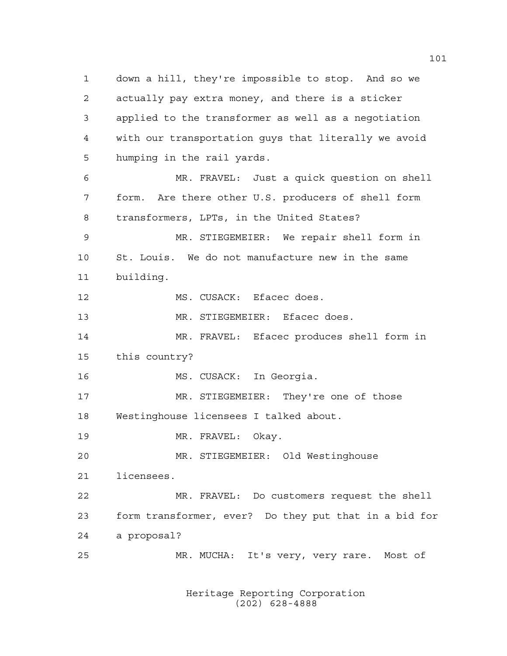down a hill, they're impossible to stop. And so we actually pay extra money, and there is a sticker applied to the transformer as well as a negotiation with our transportation guys that literally we avoid humping in the rail yards. MR. FRAVEL: Just a quick question on shell form. Are there other U.S. producers of shell form transformers, LPTs, in the United States? MR. STIEGEMEIER: We repair shell form in St. Louis. We do not manufacture new in the same building. MS. CUSACK: Efacec does. MR. STIEGEMEIER: Efacec does. MR. FRAVEL: Efacec produces shell form in this country? MS. CUSACK: In Georgia. MR. STIEGEMEIER: They're one of those Westinghouse licensees I talked about. MR. FRAVEL: Okay. MR. STIEGEMEIER: Old Westinghouse licensees. MR. FRAVEL: Do customers request the shell form transformer, ever? Do they put that in a bid for a proposal? MR. MUCHA: It's very, very rare. Most of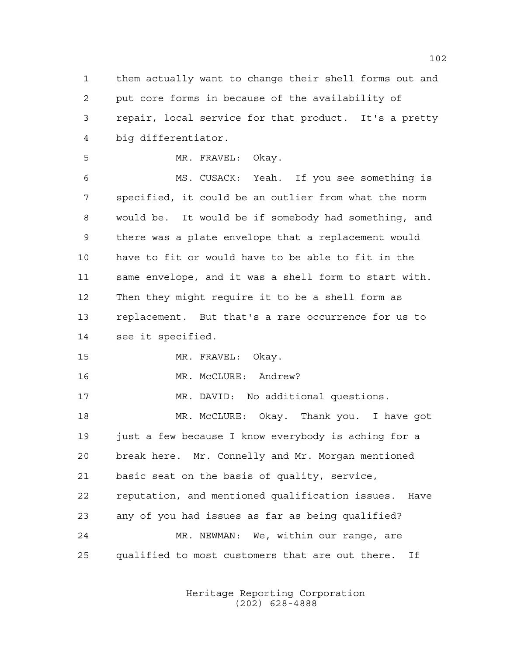them actually want to change their shell forms out and put core forms in because of the availability of repair, local service for that product. It's a pretty big differentiator.

MR. FRAVEL: Okay.

 MS. CUSACK: Yeah. If you see something is specified, it could be an outlier from what the norm would be. It would be if somebody had something, and there was a plate envelope that a replacement would have to fit or would have to be able to fit in the same envelope, and it was a shell form to start with. Then they might require it to be a shell form as replacement. But that's a rare occurrence for us to see it specified.

MR. FRAVEL: Okay.

MR. McCLURE: Andrew?

MR. DAVID: No additional questions.

 MR. McCLURE: Okay. Thank you. I have got just a few because I know everybody is aching for a break here. Mr. Connelly and Mr. Morgan mentioned basic seat on the basis of quality, service, reputation, and mentioned qualification issues. Have any of you had issues as far as being qualified? MR. NEWMAN: We, within our range, are qualified to most customers that are out there. If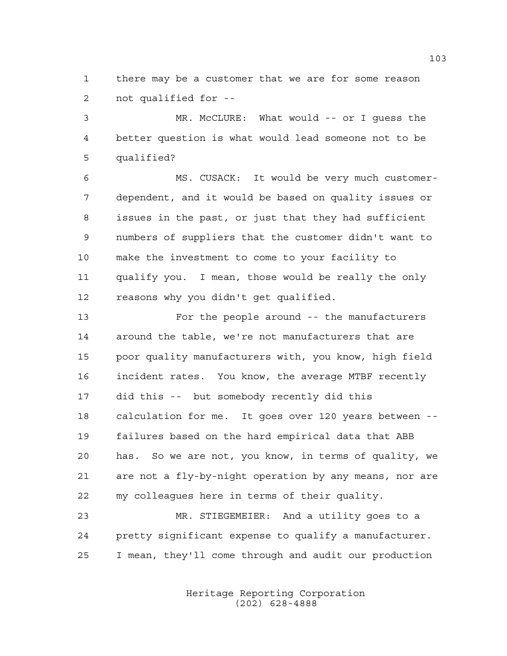there may be a customer that we are for some reason not qualified for --

 MR. McCLURE: What would -- or I guess the better question is what would lead someone not to be qualified?

 MS. CUSACK: It would be very much customer- dependent, and it would be based on quality issues or issues in the past, or just that they had sufficient numbers of suppliers that the customer didn't want to make the investment to come to your facility to qualify you. I mean, those would be really the only reasons why you didn't get qualified.

 For the people around -- the manufacturers around the table, we're not manufacturers that are poor quality manufacturers with, you know, high field incident rates. You know, the average MTBF recently did this -- but somebody recently did this calculation for me. It goes over 120 years between -- failures based on the hard empirical data that ABB has. So we are not, you know, in terms of quality, we are not a fly-by-night operation by any means, nor are my colleagues here in terms of their quality.

 MR. STIEGEMEIER: And a utility goes to a pretty significant expense to qualify a manufacturer. I mean, they'll come through and audit our production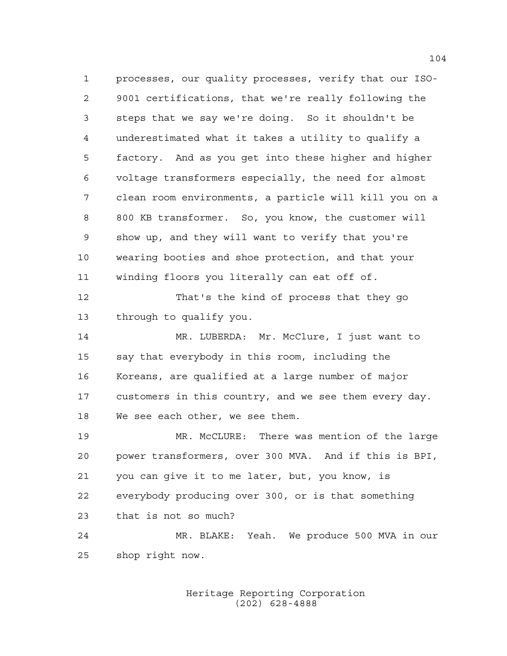processes, our quality processes, verify that our ISO- 9001 certifications, that we're really following the steps that we say we're doing. So it shouldn't be underestimated what it takes a utility to qualify a factory. And as you get into these higher and higher voltage transformers especially, the need for almost clean room environments, a particle will kill you on a 800 KB transformer. So, you know, the customer will show up, and they will want to verify that you're wearing booties and shoe protection, and that your winding floors you literally can eat off of. That's the kind of process that they go through to qualify you. MR. LUBERDA: Mr. McClure, I just want to say that everybody in this room, including the Koreans, are qualified at a large number of major customers in this country, and we see them every day. We see each other, we see them. MR. McCLURE: There was mention of the large power transformers, over 300 MVA. And if this is BPI, you can give it to me later, but, you know, is everybody producing over 300, or is that something that is not so much? MR. BLAKE: Yeah. We produce 500 MVA in our

shop right now.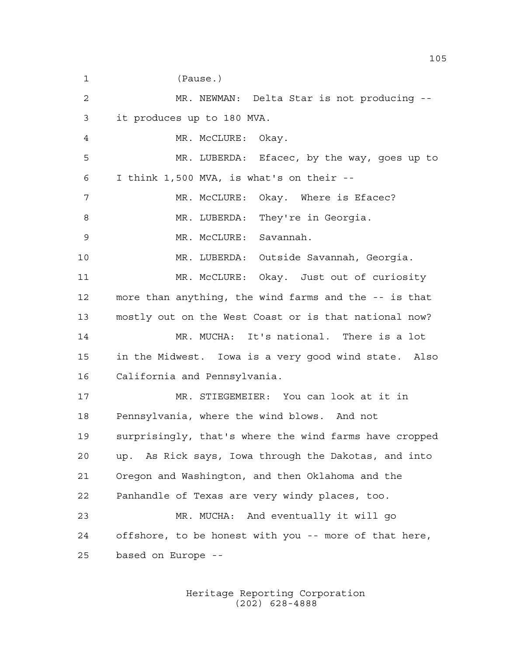(Pause.) MR. NEWMAN: Delta Star is not producing -- it produces up to 180 MVA. 4 MR. McCLURE: Okay. MR. LUBERDA: Efacec, by the way, goes up to I think 1,500 MVA, is what's on their -- 7 MR. McCLURE: Okay. Where is Efacec? 8 MR. LUBERDA: They're in Georgia. MR. McCLURE: Savannah. MR. LUBERDA: Outside Savannah, Georgia. MR. McCLURE: Okay. Just out of curiosity more than anything, the wind farms and the -- is that mostly out on the West Coast or is that national now? MR. MUCHA: It's national. There is a lot in the Midwest. Iowa is a very good wind state. Also California and Pennsylvania. MR. STIEGEMEIER: You can look at it in Pennsylvania, where the wind blows. And not surprisingly, that's where the wind farms have cropped up. As Rick says, Iowa through the Dakotas, and into Oregon and Washington, and then Oklahoma and the Panhandle of Texas are very windy places, too. MR. MUCHA: And eventually it will go offshore, to be honest with you -- more of that here, based on Europe --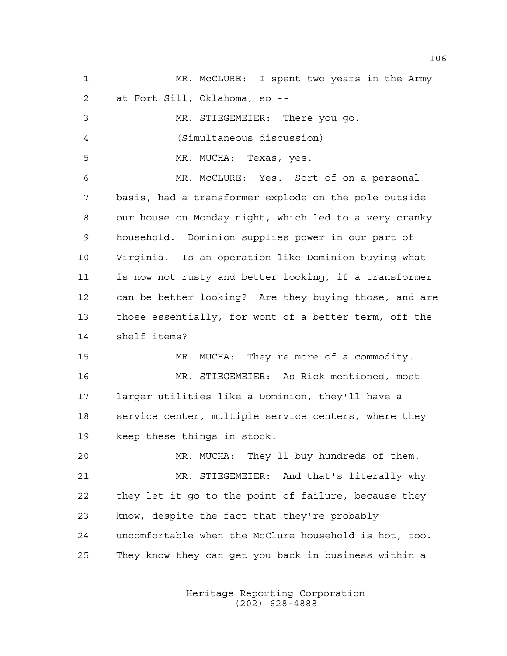| $\mathbf{1}$ | MR. McCLURE: I spent two years in the Army            |
|--------------|-------------------------------------------------------|
| 2            | at Fort Sill, Oklahoma, so --                         |
| 3            | MR. STIEGEMEIER: There you go.                        |
| 4            | (Simultaneous discussion)                             |
| 5            | MR. MUCHA: Texas, yes.                                |
| 6            | MR. McCLURE: Yes. Sort of on a personal               |
| 7            | basis, had a transformer explode on the pole outside  |
| 8            | our house on Monday night, which led to a very cranky |
| 9            | household. Dominion supplies power in our part of     |
| 10           | Virginia. Is an operation like Dominion buying what   |
| 11           | is now not rusty and better looking, if a transformer |
| 12           | can be better looking? Are they buying those, and are |
| 13           | those essentially, for wont of a better term, off the |
| 14           | shelf items?                                          |
| 15           | MR. MUCHA: They're more of a commodity.               |
| 16           | MR. STIEGEMEIER: As Rick mentioned, most              |
| 17           | larger utilities like a Dominion, they'll have a      |
| 18           | service center, multiple service centers, where they  |
| 19           | keep these things in stock.                           |
| 20           | MR. MUCHA: They'll buy hundreds of them.              |
| 21           | MR. STIEGEMEIER: And that's literally why             |
| 22           | they let it go to the point of failure, because they  |
| 23           | know, despite the fact that they're probably          |
| 24           | uncomfortable when the McClure household is hot, too. |
| 25           | They know they can get you back in business within a  |
|              |                                                       |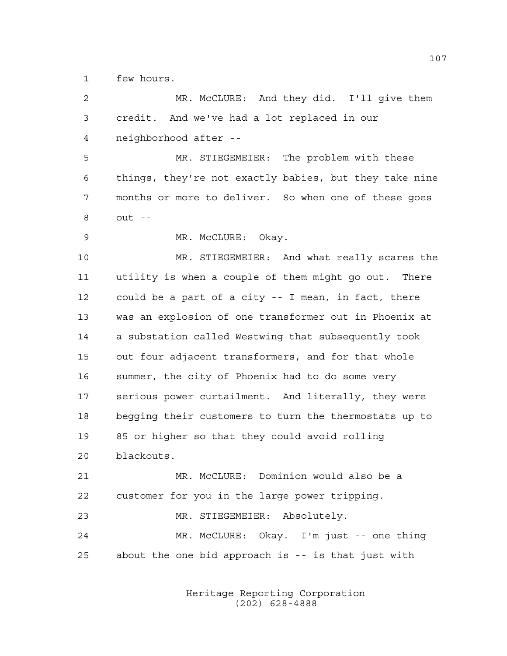few hours.

| 2      | MR. McCLURE: And they did. I'll give them              |
|--------|--------------------------------------------------------|
| 3      | credit. And we've had a lot replaced in our            |
| 4      | neighborhood after --                                  |
| 5      | MR. STIEGEMEIER: The problem with these                |
| 6      | things, they're not exactly babies, but they take nine |
| 7      | months or more to deliver. So when one of these goes   |
| 8      | $out - -$                                              |
| 9      | MR. McCLURE: Okay.                                     |
| 10     | MR. STIEGEMEIER: And what really scares the            |
| 11     | utility is when a couple of them might go out. There   |
| 12     | could be a part of a city -- I mean, in fact, there    |
| 13     | was an explosion of one transformer out in Phoenix at  |
| 14     | a substation called Westwing that subsequently took    |
| 15     | out four adjacent transformers, and for that whole     |
| 16     | summer, the city of Phoenix had to do some very        |
| 17     | serious power curtailment. And literally, they were    |
| $18\,$ | begging their customers to turn the thermostats up to  |
| 19     | 85 or higher so that they could avoid rolling          |
| 20     | blackouts.                                             |
| 21     | MR. McCLURE: Dominion would also be a                  |
| 22     | customer for you in the large power tripping.          |
| 23     | MR. STIEGEMEIER: Absolutely.                           |
| 24     | MR. McCLURE: Okay. I'm just -- one thing               |
| 25     | about the one bid approach is -- is that just with     |
|        |                                                        |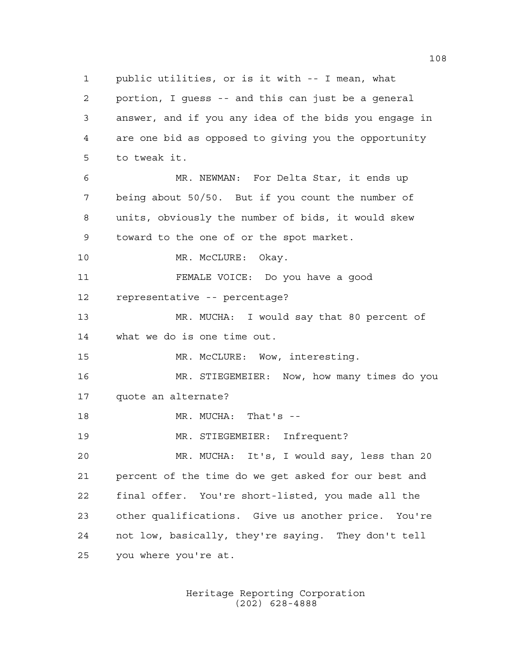public utilities, or is it with -- I mean, what portion, I guess -- and this can just be a general answer, and if you any idea of the bids you engage in are one bid as opposed to giving you the opportunity to tweak it. MR. NEWMAN: For Delta Star, it ends up being about 50/50. But if you count the number of units, obviously the number of bids, it would skew toward to the one of or the spot market. 10 MR. McCLURE: Okay. FEMALE VOICE: Do you have a good representative -- percentage? MR. MUCHA: I would say that 80 percent of what we do is one time out. MR. McCLURE: Wow, interesting. MR. STIEGEMEIER: Now, how many times do you quote an alternate? MR. MUCHA: That's -- MR. STIEGEMEIER: Infrequent? MR. MUCHA: It's, I would say, less than 20 percent of the time do we get asked for our best and final offer. You're short-listed, you made all the other qualifications. Give us another price. You're not low, basically, they're saying. They don't tell you where you're at.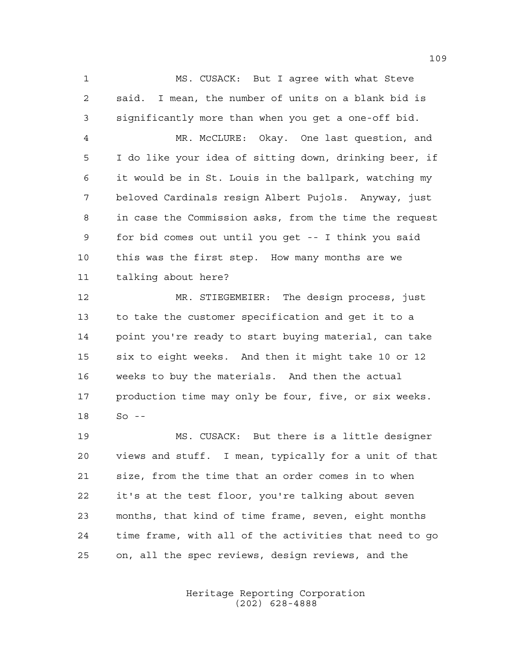MS. CUSACK: But I agree with what Steve said. I mean, the number of units on a blank bid is significantly more than when you get a one-off bid.

 MR. McCLURE: Okay. One last question, and I do like your idea of sitting down, drinking beer, if it would be in St. Louis in the ballpark, watching my beloved Cardinals resign Albert Pujols. Anyway, just in case the Commission asks, from the time the request for bid comes out until you get -- I think you said this was the first step. How many months are we talking about here?

 MR. STIEGEMEIER: The design process, just to take the customer specification and get it to a point you're ready to start buying material, can take six to eight weeks. And then it might take 10 or 12 weeks to buy the materials. And then the actual production time may only be four, five, or six weeks. So --

 MS. CUSACK: But there is a little designer views and stuff. I mean, typically for a unit of that size, from the time that an order comes in to when it's at the test floor, you're talking about seven months, that kind of time frame, seven, eight months time frame, with all of the activities that need to go on, all the spec reviews, design reviews, and the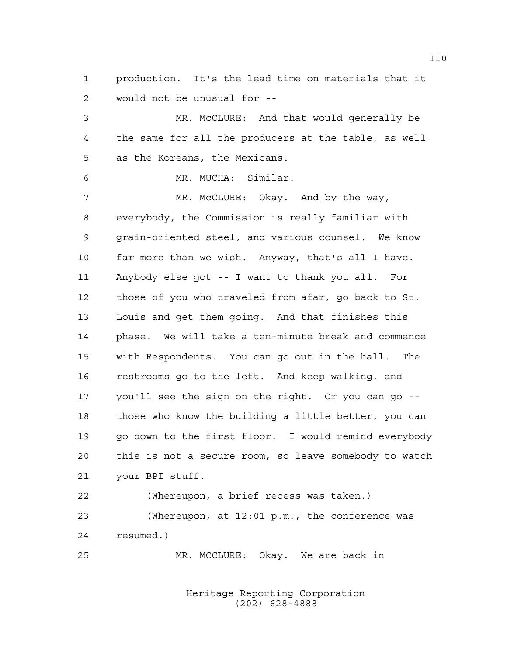production. It's the lead time on materials that it would not be unusual for --

 MR. McCLURE: And that would generally be the same for all the producers at the table, as well as the Koreans, the Mexicans.

MR. MUCHA: Similar.

7 MR. McCLURE: Okay. And by the way, everybody, the Commission is really familiar with grain-oriented steel, and various counsel. We know far more than we wish. Anyway, that's all I have. Anybody else got -- I want to thank you all. For those of you who traveled from afar, go back to St. Louis and get them going. And that finishes this phase. We will take a ten-minute break and commence with Respondents. You can go out in the hall. The restrooms go to the left. And keep walking, and you'll see the sign on the right. Or you can go -- those who know the building a little better, you can go down to the first floor. I would remind everybody this is not a secure room, so leave somebody to watch your BPI stuff.

 (Whereupon, a brief recess was taken.) (Whereupon, at 12:01 p.m., the conference was resumed.)

MR. MCCLURE: Okay. We are back in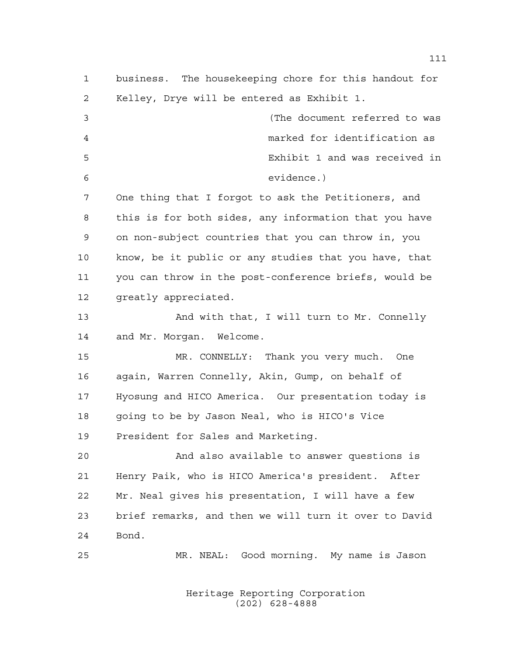business. The housekeeping chore for this handout for Kelley, Drye will be entered as Exhibit 1. (The document referred to was marked for identification as Exhibit 1 and was received in evidence.) One thing that I forgot to ask the Petitioners, and this is for both sides, any information that you have on non-subject countries that you can throw in, you know, be it public or any studies that you have, that you can throw in the post-conference briefs, would be 12 greatly appreciated. 13 And with that, I will turn to Mr. Connelly and Mr. Morgan. Welcome. MR. CONNELLY: Thank you very much. One again, Warren Connelly, Akin, Gump, on behalf of Hyosung and HICO America. Our presentation today is going to be by Jason Neal, who is HICO's Vice President for Sales and Marketing. And also available to answer questions is Henry Paik, who is HICO America's president. After Mr. Neal gives his presentation, I will have a few brief remarks, and then we will turn it over to David Bond. MR. NEAL: Good morning. My name is Jason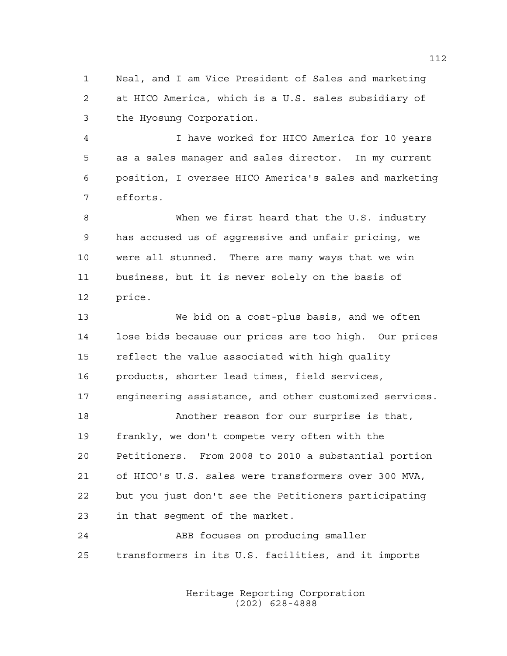Neal, and I am Vice President of Sales and marketing at HICO America, which is a U.S. sales subsidiary of the Hyosung Corporation.

 I have worked for HICO America for 10 years as a sales manager and sales director. In my current position, I oversee HICO America's sales and marketing efforts.

 When we first heard that the U.S. industry has accused us of aggressive and unfair pricing, we were all stunned. There are many ways that we win business, but it is never solely on the basis of price.

 We bid on a cost-plus basis, and we often lose bids because our prices are too high. Our prices reflect the value associated with high quality products, shorter lead times, field services, engineering assistance, and other customized services. Another reason for our surprise is that, frankly, we don't compete very often with the Petitioners. From 2008 to 2010 a substantial portion of HICO's U.S. sales were transformers over 300 MVA, but you just don't see the Petitioners participating in that segment of the market.

 ABB focuses on producing smaller transformers in its U.S. facilities, and it imports

> Heritage Reporting Corporation (202) 628-4888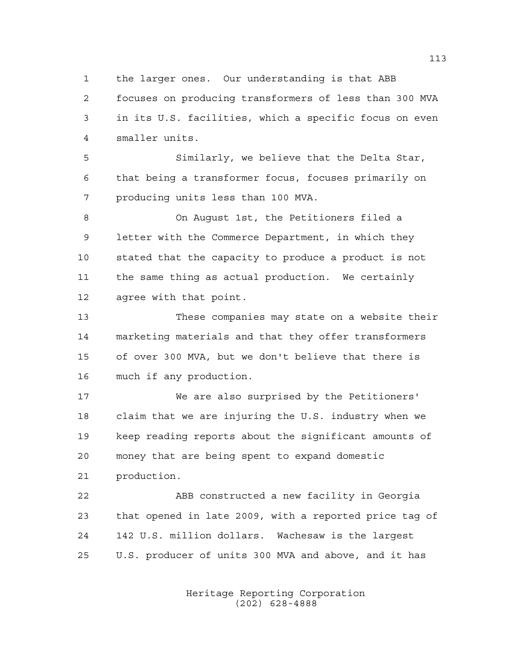the larger ones. Our understanding is that ABB

 focuses on producing transformers of less than 300 MVA in its U.S. facilities, which a specific focus on even smaller units.

 Similarly, we believe that the Delta Star, that being a transformer focus, focuses primarily on producing units less than 100 MVA.

 On August 1st, the Petitioners filed a letter with the Commerce Department, in which they stated that the capacity to produce a product is not the same thing as actual production. We certainly agree with that point.

 These companies may state on a website their marketing materials and that they offer transformers of over 300 MVA, but we don't believe that there is much if any production.

 We are also surprised by the Petitioners' claim that we are injuring the U.S. industry when we keep reading reports about the significant amounts of money that are being spent to expand domestic production.

 ABB constructed a new facility in Georgia that opened in late 2009, with a reported price tag of 142 U.S. million dollars. Wachesaw is the largest U.S. producer of units 300 MVA and above, and it has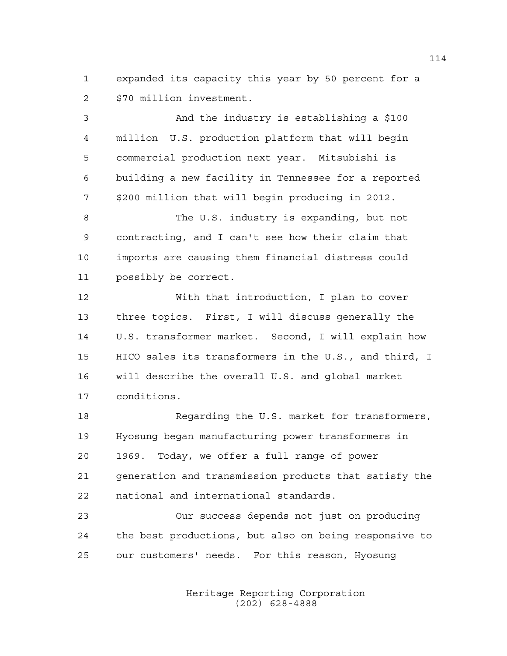expanded its capacity this year by 50 percent for a \$70 million investment.

 And the industry is establishing a \$100 million U.S. production platform that will begin commercial production next year. Mitsubishi is building a new facility in Tennessee for a reported \$200 million that will begin producing in 2012.

 The U.S. industry is expanding, but not contracting, and I can't see how their claim that imports are causing them financial distress could possibly be correct.

 With that introduction, I plan to cover three topics. First, I will discuss generally the U.S. transformer market. Second, I will explain how HICO sales its transformers in the U.S., and third, I will describe the overall U.S. and global market conditions.

 Regarding the U.S. market for transformers, Hyosung began manufacturing power transformers in 1969. Today, we offer a full range of power generation and transmission products that satisfy the national and international standards.

 Our success depends not just on producing the best productions, but also on being responsive to our customers' needs. For this reason, Hyosung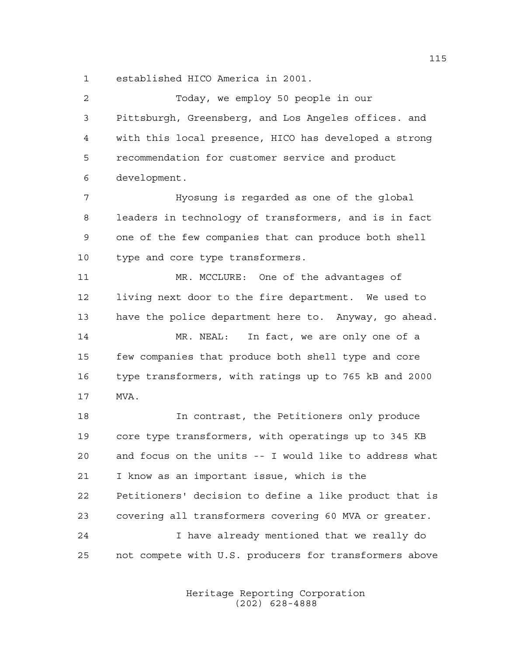established HICO America in 2001.

| $\overline{2}$ | Today, we employ 50 people in our                      |
|----------------|--------------------------------------------------------|
| 3              | Pittsburgh, Greensberg, and Los Angeles offices. and   |
| $\overline{4}$ | with this local presence, HICO has developed a strong  |
| 5              | recommendation for customer service and product        |
| 6              | development.                                           |
| 7              | Hyosung is regarded as one of the global               |
| 8              | leaders in technology of transformers, and is in fact  |
| 9              | one of the few companies that can produce both shell   |
| 10             | type and core type transformers.                       |
| 11             | MR. MCCLURE: One of the advantages of                  |
| 12             | living next door to the fire department. We used to    |
| 13             | have the police department here to. Anyway, go ahead.  |
| 14             | MR. NEAL: In fact, we are only one of a                |
| 15             | few companies that produce both shell type and core    |
| 16             | type transformers, with ratings up to 765 kB and 2000  |
| 17             | MVA.                                                   |
| 18             | In contrast, the Petitioners only produce              |
| 19             | core type transformers, with operatings up to 345 KB   |
| 20             | and focus on the units -- I would like to address what |
| 21             | I know as an important issue, which is the             |
| 22             | Petitioners' decision to define a like product that is |
| 23             | covering all transformers covering 60 MVA or greater.  |
| 24             | I have already mentioned that we really do             |
| 25             | not compete with U.S. producers for transformers above |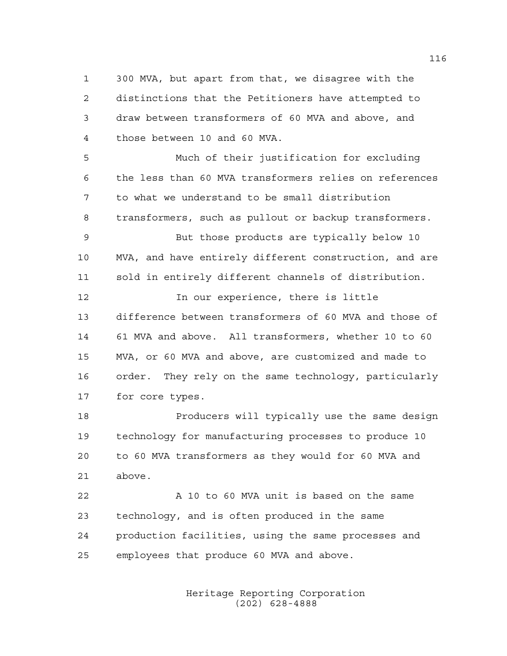300 MVA, but apart from that, we disagree with the distinctions that the Petitioners have attempted to draw between transformers of 60 MVA and above, and those between 10 and 60 MVA.

 Much of their justification for excluding the less than 60 MVA transformers relies on references to what we understand to be small distribution transformers, such as pullout or backup transformers.

 But those products are typically below 10 MVA, and have entirely different construction, and are sold in entirely different channels of distribution.

**In our experience, there is little**  difference between transformers of 60 MVA and those of 61 MVA and above. All transformers, whether 10 to 60 MVA, or 60 MVA and above, are customized and made to order. They rely on the same technology, particularly for core types.

 Producers will typically use the same design technology for manufacturing processes to produce 10 to 60 MVA transformers as they would for 60 MVA and above.

22 A 10 to 60 MVA unit is based on the same technology, and is often produced in the same production facilities, using the same processes and employees that produce 60 MVA and above.

> Heritage Reporting Corporation (202) 628-4888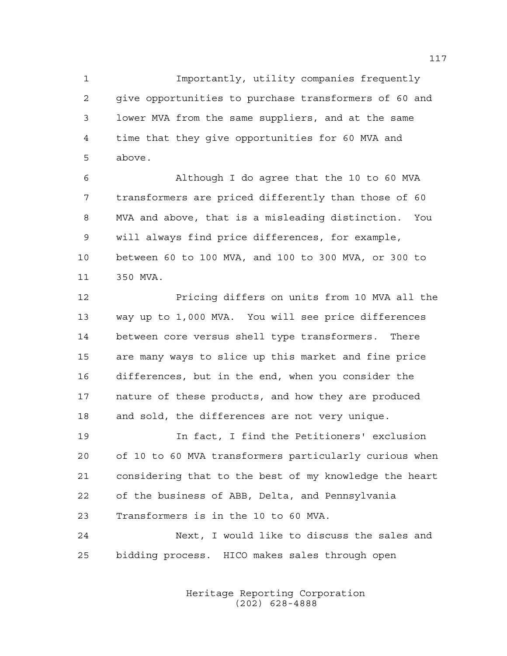Importantly, utility companies frequently give opportunities to purchase transformers of 60 and lower MVA from the same suppliers, and at the same time that they give opportunities for 60 MVA and above.

 Although I do agree that the 10 to 60 MVA transformers are priced differently than those of 60 MVA and above, that is a misleading distinction. You will always find price differences, for example, between 60 to 100 MVA, and 100 to 300 MVA, or 300 to 350 MVA.

 Pricing differs on units from 10 MVA all the way up to 1,000 MVA. You will see price differences between core versus shell type transformers. There are many ways to slice up this market and fine price differences, but in the end, when you consider the nature of these products, and how they are produced and sold, the differences are not very unique.

 In fact, I find the Petitioners' exclusion of 10 to 60 MVA transformers particularly curious when considering that to the best of my knowledge the heart of the business of ABB, Delta, and Pennsylvania Transformers is in the 10 to 60 MVA.

 Next, I would like to discuss the sales and bidding process. HICO makes sales through open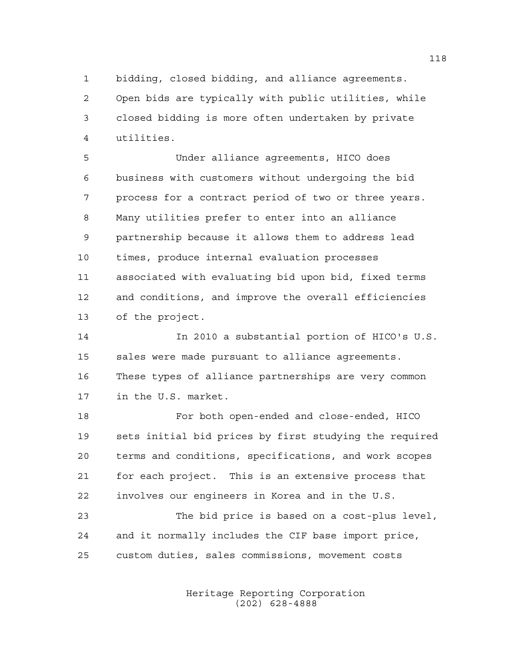bidding, closed bidding, and alliance agreements.

 Open bids are typically with public utilities, while closed bidding is more often undertaken by private utilities.

 Under alliance agreements, HICO does business with customers without undergoing the bid process for a contract period of two or three years. Many utilities prefer to enter into an alliance partnership because it allows them to address lead times, produce internal evaluation processes associated with evaluating bid upon bid, fixed terms and conditions, and improve the overall efficiencies of the project.

 In 2010 a substantial portion of HICO's U.S. sales were made pursuant to alliance agreements. These types of alliance partnerships are very common in the U.S. market.

 For both open-ended and close-ended, HICO sets initial bid prices by first studying the required terms and conditions, specifications, and work scopes for each project. This is an extensive process that involves our engineers in Korea and in the U.S.

 The bid price is based on a cost-plus level, and it normally includes the CIF base import price, custom duties, sales commissions, movement costs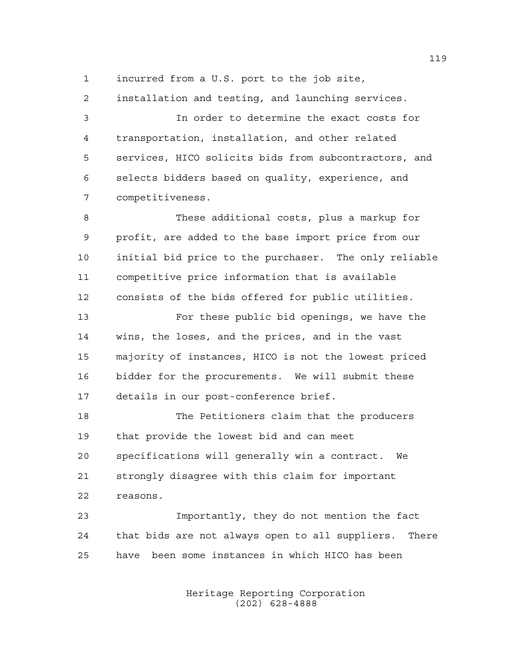incurred from a U.S. port to the job site,

installation and testing, and launching services.

 In order to determine the exact costs for transportation, installation, and other related services, HICO solicits bids from subcontractors, and selects bidders based on quality, experience, and competitiveness.

 These additional costs, plus a markup for profit, are added to the base import price from our initial bid price to the purchaser. The only reliable competitive price information that is available consists of the bids offered for public utilities.

 For these public bid openings, we have the wins, the loses, and the prices, and in the vast majority of instances, HICO is not the lowest priced bidder for the procurements. We will submit these details in our post-conference brief.

 The Petitioners claim that the producers that provide the lowest bid and can meet specifications will generally win a contract. We strongly disagree with this claim for important reasons.

 Importantly, they do not mention the fact that bids are not always open to all suppliers. There have been some instances in which HICO has been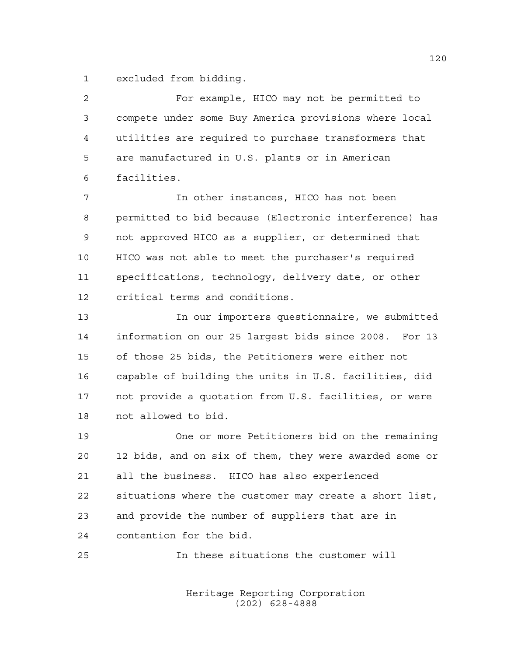excluded from bidding.

| 2  | For example, HICO may not be permitted to              |
|----|--------------------------------------------------------|
| 3  | compete under some Buy America provisions where local  |
| 4  | utilities are required to purchase transformers that   |
| 5  | are manufactured in U.S. plants or in American         |
| 6  | facilities.                                            |
| 7  | In other instances, HICO has not been                  |
| 8  | permitted to bid because (Electronic interference) has |
| 9  | not approved HICO as a supplier, or determined that    |
| 10 | HICO was not able to meet the purchaser's required     |
| 11 | specifications, technology, delivery date, or other    |
| 12 | critical terms and conditions.                         |
| 13 | In our importers questionnaire, we submitted           |
| 14 | information on our 25 largest bids since 2008. For 13  |
| 15 | of those 25 bids, the Petitioners were either not      |
| 16 | capable of building the units in U.S. facilities, did  |
| 17 | not provide a quotation from U.S. facilities, or were  |
| 18 | not allowed to bid.                                    |
| 19 | One or more Petitioners bid on the remaining           |
| 20 | 12 bids, and on six of them, they were awarded some or |
| 21 | all the business. HICO has also experienced            |
| 22 | situations where the customer may create a short list, |
| 23 | and provide the number of suppliers that are in        |
| 24 | contention for the bid.                                |
| 25 | In these situations the customer will                  |
|    |                                                        |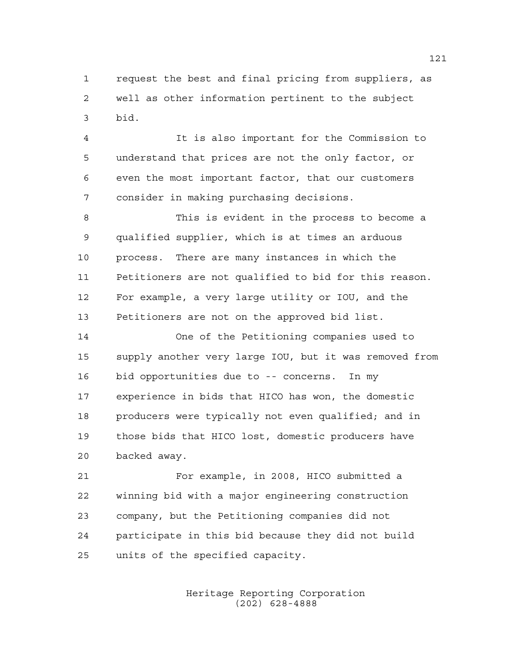request the best and final pricing from suppliers, as well as other information pertinent to the subject bid.

 It is also important for the Commission to understand that prices are not the only factor, or even the most important factor, that our customers consider in making purchasing decisions.

 This is evident in the process to become a qualified supplier, which is at times an arduous process. There are many instances in which the Petitioners are not qualified to bid for this reason. For example, a very large utility or IOU, and the Petitioners are not on the approved bid list.

 One of the Petitioning companies used to supply another very large IOU, but it was removed from bid opportunities due to -- concerns. In my experience in bids that HICO has won, the domestic producers were typically not even qualified; and in those bids that HICO lost, domestic producers have backed away.

 For example, in 2008, HICO submitted a winning bid with a major engineering construction company, but the Petitioning companies did not participate in this bid because they did not build units of the specified capacity.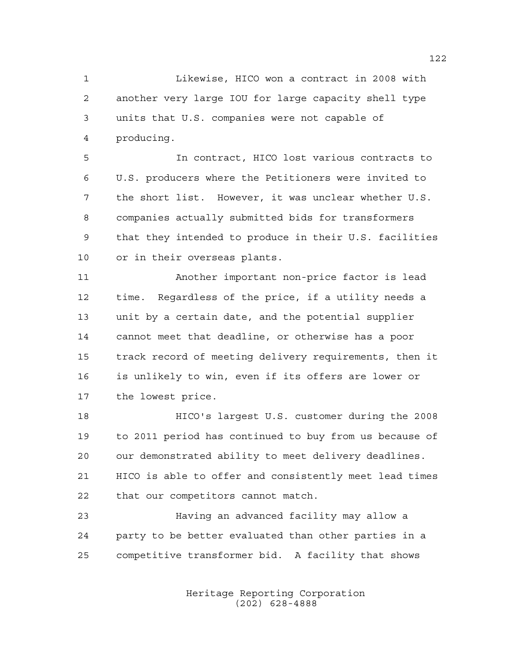Likewise, HICO won a contract in 2008 with another very large IOU for large capacity shell type units that U.S. companies were not capable of producing.

 In contract, HICO lost various contracts to U.S. producers where the Petitioners were invited to the short list. However, it was unclear whether U.S. companies actually submitted bids for transformers that they intended to produce in their U.S. facilities or in their overseas plants.

 Another important non-price factor is lead time. Regardless of the price, if a utility needs a unit by a certain date, and the potential supplier cannot meet that deadline, or otherwise has a poor track record of meeting delivery requirements, then it is unlikely to win, even if its offers are lower or the lowest price.

 HICO's largest U.S. customer during the 2008 to 2011 period has continued to buy from us because of our demonstrated ability to meet delivery deadlines. HICO is able to offer and consistently meet lead times that our competitors cannot match.

 Having an advanced facility may allow a party to be better evaluated than other parties in a competitive transformer bid. A facility that shows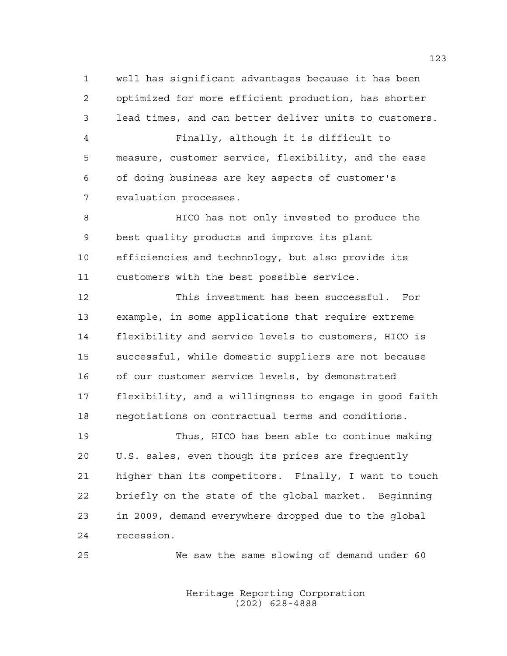well has significant advantages because it has been optimized for more efficient production, has shorter lead times, and can better deliver units to customers.

 Finally, although it is difficult to measure, customer service, flexibility, and the ease of doing business are key aspects of customer's evaluation processes.

 HICO has not only invested to produce the best quality products and improve its plant efficiencies and technology, but also provide its customers with the best possible service.

 This investment has been successful. For example, in some applications that require extreme flexibility and service levels to customers, HICO is successful, while domestic suppliers are not because of our customer service levels, by demonstrated flexibility, and a willingness to engage in good faith negotiations on contractual terms and conditions.

 Thus, HICO has been able to continue making U.S. sales, even though its prices are frequently higher than its competitors. Finally, I want to touch briefly on the state of the global market. Beginning in 2009, demand everywhere dropped due to the global recession.

We saw the same slowing of demand under 60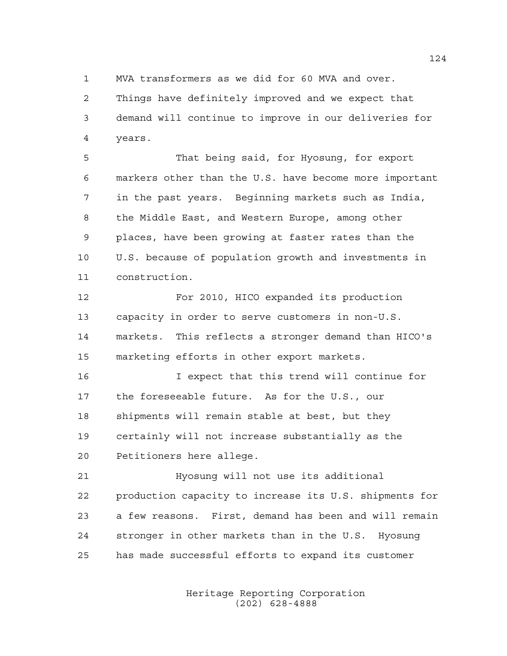MVA transformers as we did for 60 MVA and over.

 Things have definitely improved and we expect that demand will continue to improve in our deliveries for years.

 That being said, for Hyosung, for export markers other than the U.S. have become more important in the past years. Beginning markets such as India, the Middle East, and Western Europe, among other places, have been growing at faster rates than the U.S. because of population growth and investments in construction.

 For 2010, HICO expanded its production capacity in order to serve customers in non-U.S. markets. This reflects a stronger demand than HICO's marketing efforts in other export markets.

 I expect that this trend will continue for the foreseeable future. As for the U.S., our shipments will remain stable at best, but they certainly will not increase substantially as the Petitioners here allege.

 Hyosung will not use its additional production capacity to increase its U.S. shipments for a few reasons. First, demand has been and will remain stronger in other markets than in the U.S. Hyosung has made successful efforts to expand its customer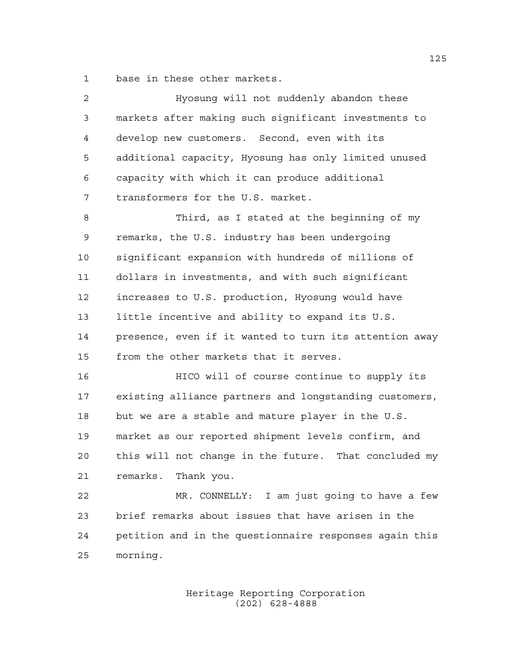base in these other markets.

| $\overline{2}$ | Hyosung will not suddenly abandon these                |
|----------------|--------------------------------------------------------|
| 3              | markets after making such significant investments to   |
| 4              | develop new customers. Second, even with its           |
| 5              | additional capacity, Hyosung has only limited unused   |
| 6              | capacity with which it can produce additional          |
| 7              | transformers for the U.S. market.                      |
| 8              | Third, as I stated at the beginning of my              |
| 9              | remarks, the U.S. industry has been undergoing         |
| 10             | significant expansion with hundreds of millions of     |
| 11             | dollars in investments, and with such significant      |
| 12             | increases to U.S. production, Hyosung would have       |
| 13             | little incentive and ability to expand its U.S.        |
| 14             | presence, even if it wanted to turn its attention away |
| 15             | from the other markets that it serves.                 |
| 16             | HICO will of course continue to supply its             |
| 17             | existing alliance partners and longstanding customers, |
| 18             | but we are a stable and mature player in the U.S.      |
| 19             | market as our reported shipment levels confirm, and    |
| 20             | this will not change in the future. That concluded my  |
| 21             | remarks. Thank you.                                    |
| 22             | MR. CONNELLY: I am just going to have a few            |
| 23             | brief remarks about issues that have arisen in the     |
| 24             | petition and in the questionnaire responses again this |
| 25             | morning.                                               |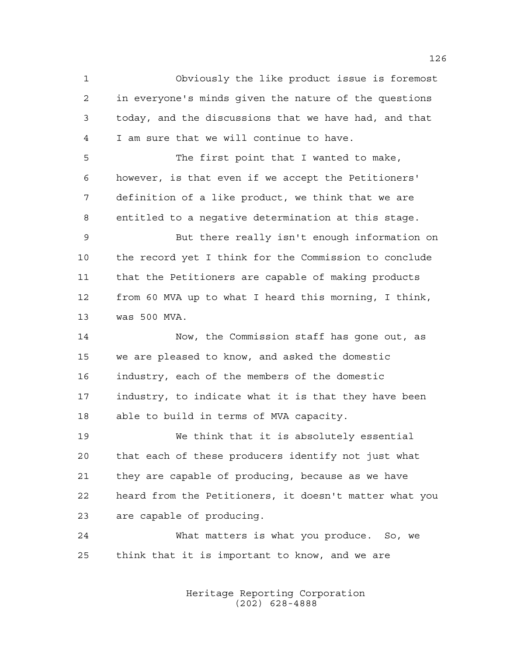Obviously the like product issue is foremost in everyone's minds given the nature of the questions today, and the discussions that we have had, and that I am sure that we will continue to have.

 The first point that I wanted to make, however, is that even if we accept the Petitioners' definition of a like product, we think that we are entitled to a negative determination at this stage.

 But there really isn't enough information on the record yet I think for the Commission to conclude that the Petitioners are capable of making products from 60 MVA up to what I heard this morning, I think, was 500 MVA.

 Now, the Commission staff has gone out, as we are pleased to know, and asked the domestic industry, each of the members of the domestic industry, to indicate what it is that they have been able to build in terms of MVA capacity.

 We think that it is absolutely essential that each of these producers identify not just what they are capable of producing, because as we have heard from the Petitioners, it doesn't matter what you are capable of producing.

 What matters is what you produce. So, we think that it is important to know, and we are

> Heritage Reporting Corporation (202) 628-4888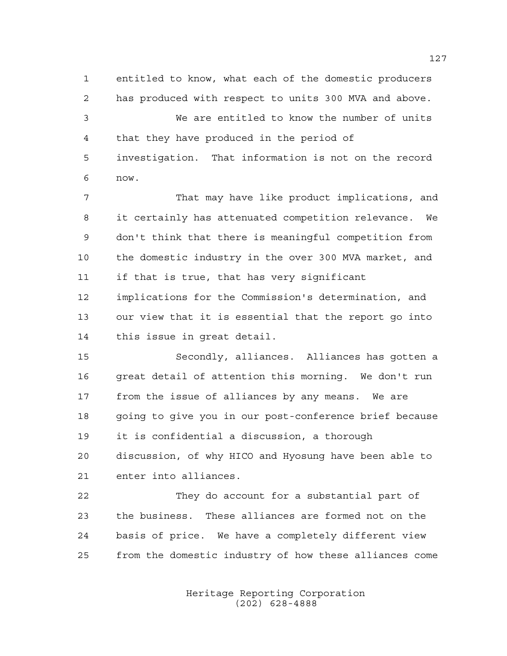entitled to know, what each of the domestic producers has produced with respect to units 300 MVA and above. We are entitled to know the number of units that they have produced in the period of investigation. That information is not on the record now. That may have like product implications, and it certainly has attenuated competition relevance. We don't think that there is meaningful competition from

 the domestic industry in the over 300 MVA market, and if that is true, that has very significant implications for the Commission's determination, and our view that it is essential that the report go into this issue in great detail.

 Secondly, alliances. Alliances has gotten a great detail of attention this morning. We don't run from the issue of alliances by any means. We are going to give you in our post-conference brief because it is confidential a discussion, a thorough discussion, of why HICO and Hyosung have been able to enter into alliances.

 They do account for a substantial part of the business. These alliances are formed not on the basis of price. We have a completely different view from the domestic industry of how these alliances come

> Heritage Reporting Corporation (202) 628-4888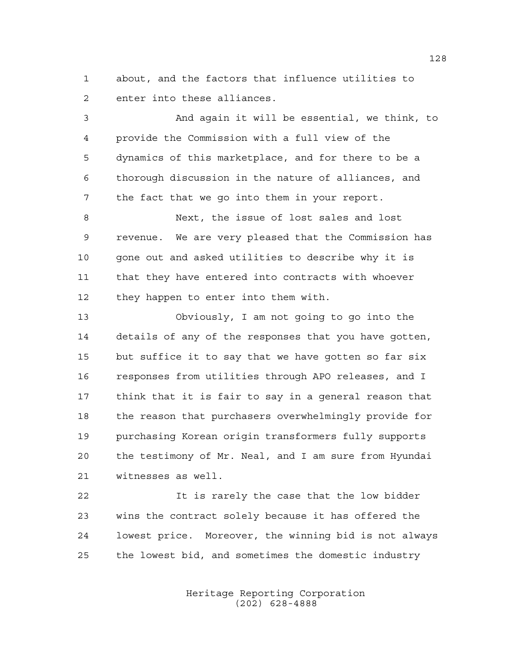about, and the factors that influence utilities to enter into these alliances.

 And again it will be essential, we think, to provide the Commission with a full view of the dynamics of this marketplace, and for there to be a thorough discussion in the nature of alliances, and the fact that we go into them in your report.

 Next, the issue of lost sales and lost revenue. We are very pleased that the Commission has gone out and asked utilities to describe why it is that they have entered into contracts with whoever they happen to enter into them with.

 Obviously, I am not going to go into the details of any of the responses that you have gotten, but suffice it to say that we have gotten so far six responses from utilities through APO releases, and I think that it is fair to say in a general reason that the reason that purchasers overwhelmingly provide for purchasing Korean origin transformers fully supports the testimony of Mr. Neal, and I am sure from Hyundai witnesses as well.

 It is rarely the case that the low bidder wins the contract solely because it has offered the lowest price. Moreover, the winning bid is not always the lowest bid, and sometimes the domestic industry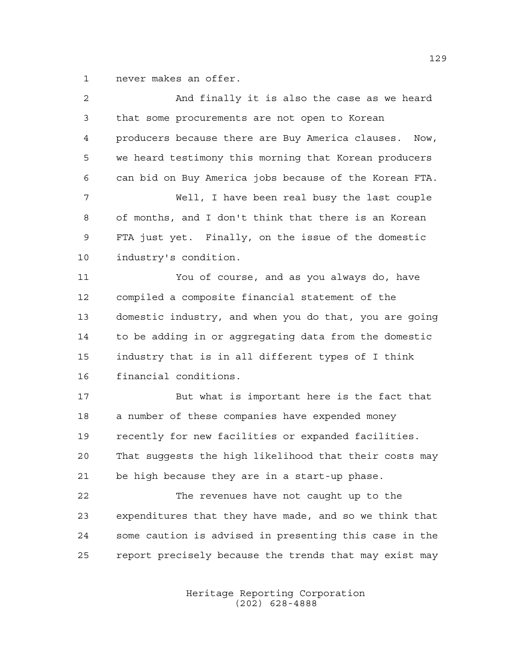never makes an offer.

| $\overline{a}$ | And finally it is also the case as we heard            |
|----------------|--------------------------------------------------------|
| 3              | that some procurements are not open to Korean          |
| 4              | producers because there are Buy America clauses. Now,  |
| 5              | we heard testimony this morning that Korean producers  |
| 6              | can bid on Buy America jobs because of the Korean FTA. |
| 7              | Well, I have been real busy the last couple            |
| 8              | of months, and I don't think that there is an Korean   |
| 9              | FTA just yet. Finally, on the issue of the domestic    |
| 10             | industry's condition.                                  |
| 11             | You of course, and as you always do, have              |
| 12             | compiled a composite financial statement of the        |
| 13             | domestic industry, and when you do that, you are going |
| 14             | to be adding in or aggregating data from the domestic  |
| 15             | industry that is in all different types of I think     |
| 16             | financial conditions.                                  |
| 17             | But what is important here is the fact that            |
| 18             | a number of these companies have expended money        |
| 19             | recently for new facilities or expanded facilities.    |
| 20             | That suggests the high likelihood that their costs may |
| 21             | be high because they are in a start-up phase.          |
| 22             | The revenues have not caught up to the                 |
| 23             | expenditures that they have made, and so we think that |
| 24             | some caution is advised in presenting this case in the |
| 25             | report precisely because the trends that may exist may |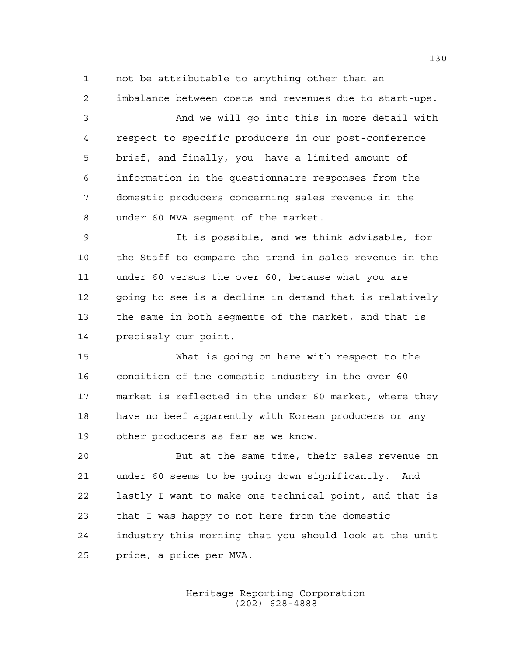not be attributable to anything other than an imbalance between costs and revenues due to start-ups.

 And we will go into this in more detail with respect to specific producers in our post-conference brief, and finally, you have a limited amount of information in the questionnaire responses from the domestic producers concerning sales revenue in the under 60 MVA segment of the market.

 It is possible, and we think advisable, for the Staff to compare the trend in sales revenue in the under 60 versus the over 60, because what you are 12 going to see is a decline in demand that is relatively the same in both segments of the market, and that is precisely our point.

 What is going on here with respect to the condition of the domestic industry in the over 60 market is reflected in the under 60 market, where they have no beef apparently with Korean producers or any other producers as far as we know.

 But at the same time, their sales revenue on under 60 seems to be going down significantly. And lastly I want to make one technical point, and that is that I was happy to not here from the domestic industry this morning that you should look at the unit price, a price per MVA.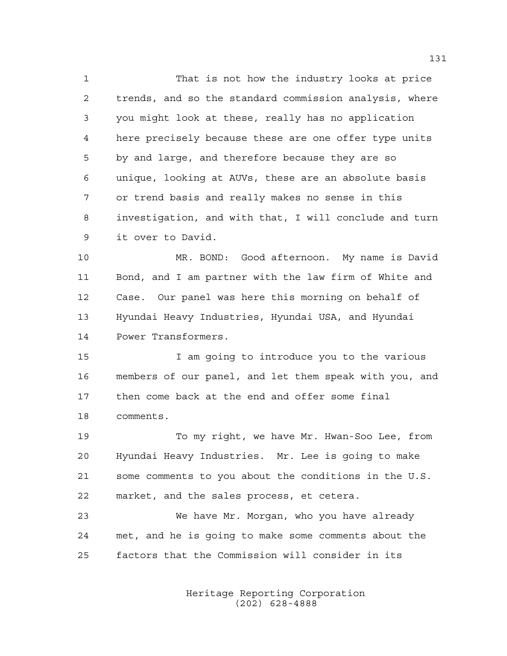That is not how the industry looks at price trends, and so the standard commission analysis, where you might look at these, really has no application here precisely because these are one offer type units by and large, and therefore because they are so unique, looking at AUVs, these are an absolute basis or trend basis and really makes no sense in this investigation, and with that, I will conclude and turn it over to David.

 MR. BOND: Good afternoon. My name is David Bond, and I am partner with the law firm of White and Case. Our panel was here this morning on behalf of Hyundai Heavy Industries, Hyundai USA, and Hyundai Power Transformers.

 I am going to introduce you to the various members of our panel, and let them speak with you, and then come back at the end and offer some final comments.

 To my right, we have Mr. Hwan-Soo Lee, from Hyundai Heavy Industries. Mr. Lee is going to make some comments to you about the conditions in the U.S. market, and the sales process, et cetera.

 We have Mr. Morgan, who you have already met, and he is going to make some comments about the factors that the Commission will consider in its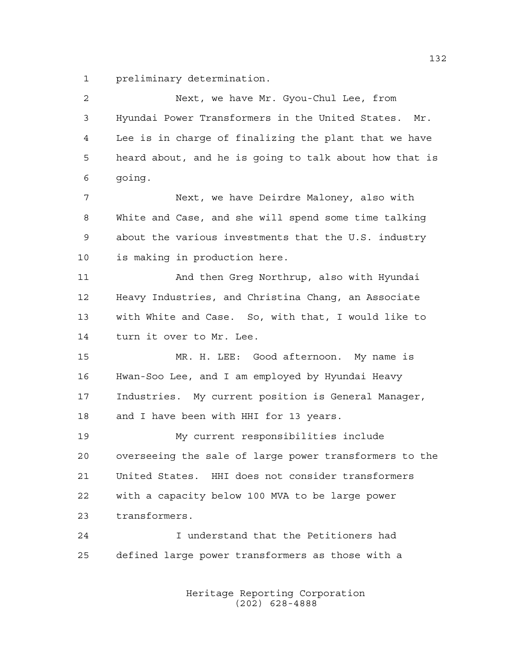preliminary determination.

| $\overline{c}$ | Next, we have Mr. Gyou-Chul Lee, from                  |
|----------------|--------------------------------------------------------|
| 3              | Hyundai Power Transformers in the United States. Mr.   |
| 4              | Lee is in charge of finalizing the plant that we have  |
| 5              | heard about, and he is going to talk about how that is |
| 6              | qoinq.                                                 |
| 7              | Next, we have Deirdre Maloney, also with               |
| 8              | White and Case, and she will spend some time talking   |
| 9              | about the various investments that the U.S. industry   |
| 10             | is making in production here.                          |
| 11             | And then Greg Northrup, also with Hyundai              |
| 12             | Heavy Industries, and Christina Chang, an Associate    |
| 13             | with White and Case. So, with that, I would like to    |
| 14             | turn it over to Mr. Lee.                               |
| 15             | MR. H. LEE: Good afternoon. My name is                 |
| 16             | Hwan-Soo Lee, and I am employed by Hyundai Heavy       |
| 17             | Industries. My current position is General Manager,    |
| 18             | and I have been with HHI for 13 years.                 |
| 19             | My current responsibilities include                    |
| 20             | overseeing the sale of large power transformers to the |
| 21             | United States. HHI does not consider transformers      |
| 22             | with a capacity below 100 MVA to be large power        |
| 23             | transformers.                                          |
| 24             | I understand that the Petitioners had                  |
| 25             | defined large power transformers as those with a       |
|                |                                                        |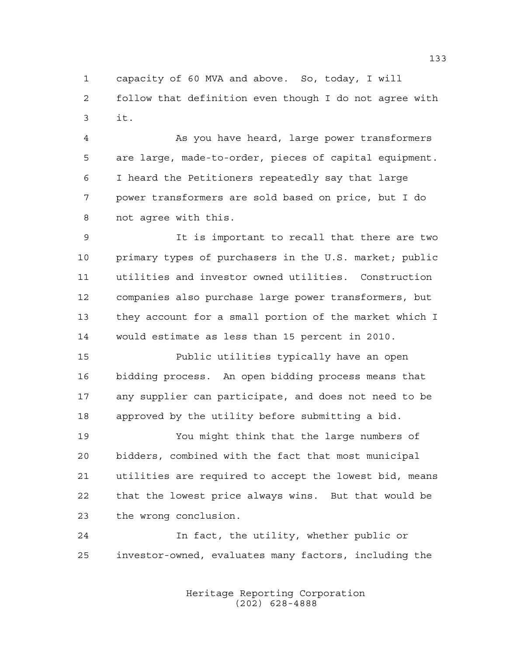capacity of 60 MVA and above. So, today, I will follow that definition even though I do not agree with it.

 As you have heard, large power transformers are large, made-to-order, pieces of capital equipment. I heard the Petitioners repeatedly say that large power transformers are sold based on price, but I do not agree with this.

 It is important to recall that there are two primary types of purchasers in the U.S. market; public utilities and investor owned utilities. Construction companies also purchase large power transformers, but they account for a small portion of the market which I would estimate as less than 15 percent in 2010.

 Public utilities typically have an open bidding process. An open bidding process means that any supplier can participate, and does not need to be approved by the utility before submitting a bid.

 You might think that the large numbers of bidders, combined with the fact that most municipal utilities are required to accept the lowest bid, means that the lowest price always wins. But that would be the wrong conclusion.

 In fact, the utility, whether public or investor-owned, evaluates many factors, including the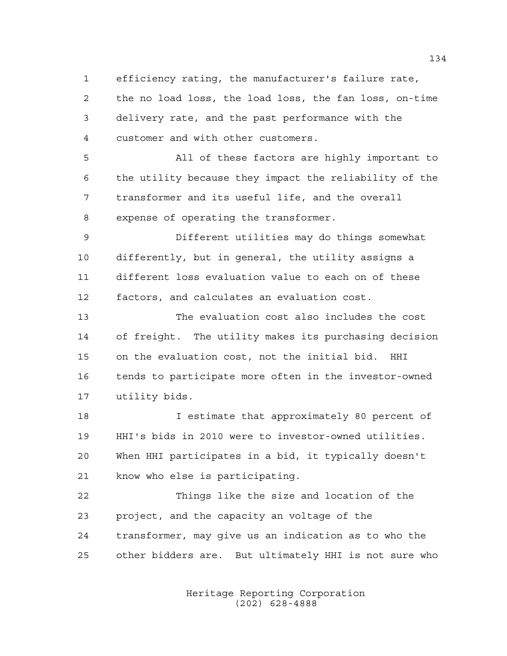efficiency rating, the manufacturer's failure rate, the no load loss, the load loss, the fan loss, on-time delivery rate, and the past performance with the customer and with other customers.

 All of these factors are highly important to the utility because they impact the reliability of the transformer and its useful life, and the overall expense of operating the transformer.

 Different utilities may do things somewhat differently, but in general, the utility assigns a different loss evaluation value to each on of these factors, and calculates an evaluation cost.

 The evaluation cost also includes the cost of freight. The utility makes its purchasing decision on the evaluation cost, not the initial bid. HHI tends to participate more often in the investor-owned utility bids.

 I estimate that approximately 80 percent of HHI's bids in 2010 were to investor-owned utilities. When HHI participates in a bid, it typically doesn't know who else is participating.

 Things like the size and location of the project, and the capacity an voltage of the transformer, may give us an indication as to who the other bidders are. But ultimately HHI is not sure who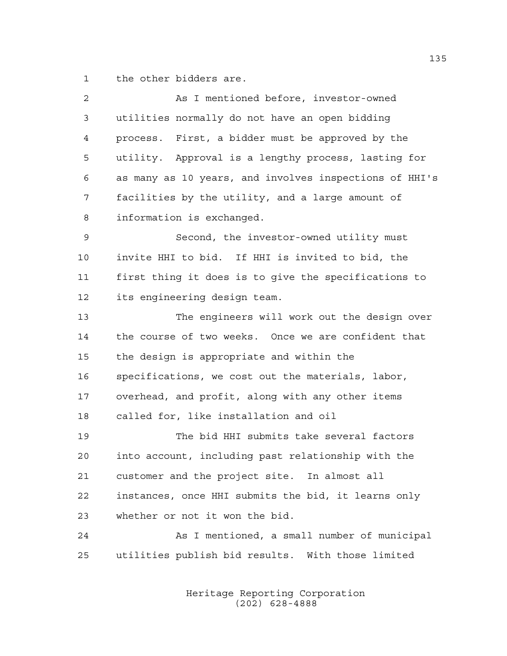the other bidders are.

| $\overline{c}$ | As I mentioned before, investor-owned                  |
|----------------|--------------------------------------------------------|
| 3              | utilities normally do not have an open bidding         |
| $\overline{4}$ | process. First, a bidder must be approved by the       |
| 5              | utility. Approval is a lengthy process, lasting for    |
| 6              | as many as 10 years, and involves inspections of HHI's |
| 7              | facilities by the utility, and a large amount of       |
| 8              | information is exchanged.                              |
| 9              | Second, the investor-owned utility must                |
| 10             | invite HHI to bid. If HHI is invited to bid, the       |
| 11             | first thing it does is to give the specifications to   |
| 12             | its engineering design team.                           |
| 13             | The engineers will work out the design over            |
| 14             | the course of two weeks. Once we are confident that    |
| 15             | the design is appropriate and within the               |
| 16             | specifications, we cost out the materials, labor,      |
| 17             | overhead, and profit, along with any other items       |
| 18             | called for, like installation and oil                  |
| 19             | The bid HHI submits take several factors               |
| 20             | into account, including past relationship with the     |
| 21             | customer and the project site. In almost all           |
| 22             | instances, once HHI submits the bid, it learns only    |
| 23             | whether or not it won the bid.                         |
| 24             | As I mentioned, a small number of municipal            |
| 25             | utilities publish bid results. With those limited      |
|                |                                                        |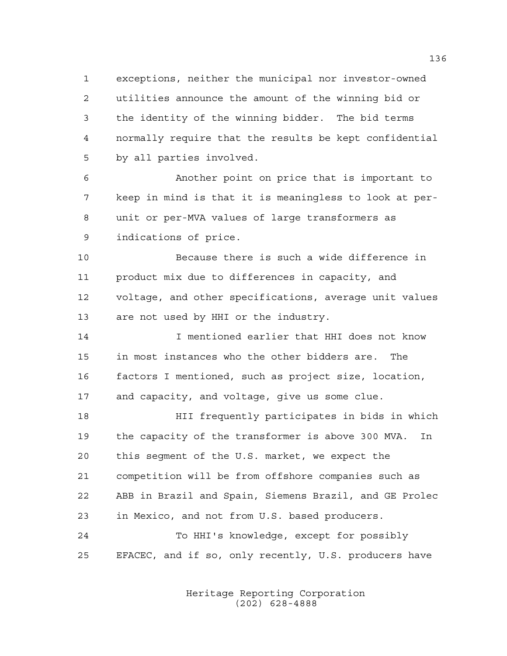exceptions, neither the municipal nor investor-owned utilities announce the amount of the winning bid or the identity of the winning bidder. The bid terms normally require that the results be kept confidential by all parties involved.

 Another point on price that is important to keep in mind is that it is meaningless to look at per- unit or per-MVA values of large transformers as indications of price.

 Because there is such a wide difference in product mix due to differences in capacity, and voltage, and other specifications, average unit values are not used by HHI or the industry.

 I mentioned earlier that HHI does not know in most instances who the other bidders are. The factors I mentioned, such as project size, location, and capacity, and voltage, give us some clue.

 HII frequently participates in bids in which the capacity of the transformer is above 300 MVA. In this segment of the U.S. market, we expect the competition will be from offshore companies such as ABB in Brazil and Spain, Siemens Brazil, and GE Prolec in Mexico, and not from U.S. based producers. To HHI's knowledge, except for possibly

EFACEC, and if so, only recently, U.S. producers have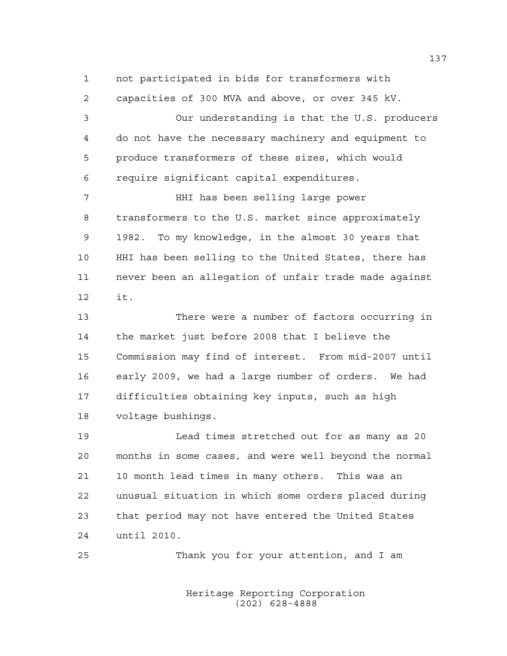not participated in bids for transformers with capacities of 300 MVA and above, or over 345 kV. Our understanding is that the U.S. producers do not have the necessary machinery and equipment to produce transformers of these sizes, which would require significant capital expenditures. HHI has been selling large power transformers to the U.S. market since approximately 1982. To my knowledge, in the almost 30 years that HHI has been selling to the United States, there has never been an allegation of unfair trade made against it.

 There were a number of factors occurring in the market just before 2008 that I believe the Commission may find of interest. From mid-2007 until early 2009, we had a large number of orders. We had difficulties obtaining key inputs, such as high voltage bushings.

 Lead times stretched out for as many as 20 months in some cases, and were well beyond the normal 10 month lead times in many others. This was an unusual situation in which some orders placed during that period may not have entered the United States until 2010.

Thank you for your attention, and I am

Heritage Reporting Corporation (202) 628-4888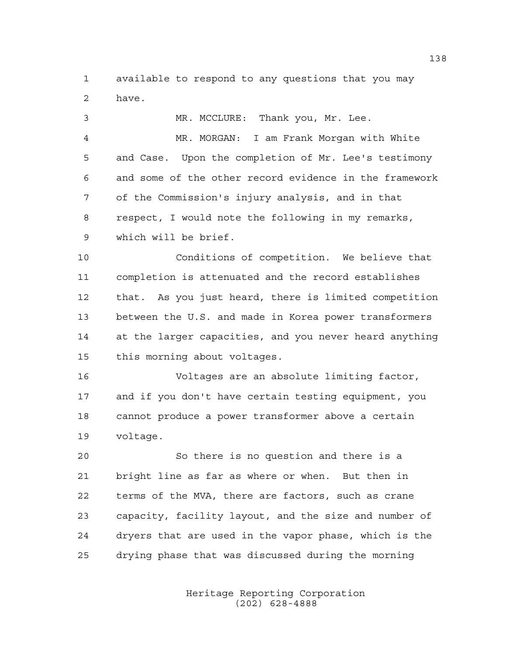available to respond to any questions that you may have.

 MR. MCCLURE: Thank you, Mr. Lee. MR. MORGAN: I am Frank Morgan with White and Case. Upon the completion of Mr. Lee's testimony and some of the other record evidence in the framework of the Commission's injury analysis, and in that respect, I would note the following in my remarks, which will be brief. Conditions of competition. We believe that completion is attenuated and the record establishes that. As you just heard, there is limited competition between the U.S. and made in Korea power transformers at the larger capacities, and you never heard anything this morning about voltages. Voltages are an absolute limiting factor, and if you don't have certain testing equipment, you cannot produce a power transformer above a certain voltage.

 So there is no question and there is a bright line as far as where or when. But then in terms of the MVA, there are factors, such as crane capacity, facility layout, and the size and number of dryers that are used in the vapor phase, which is the drying phase that was discussed during the morning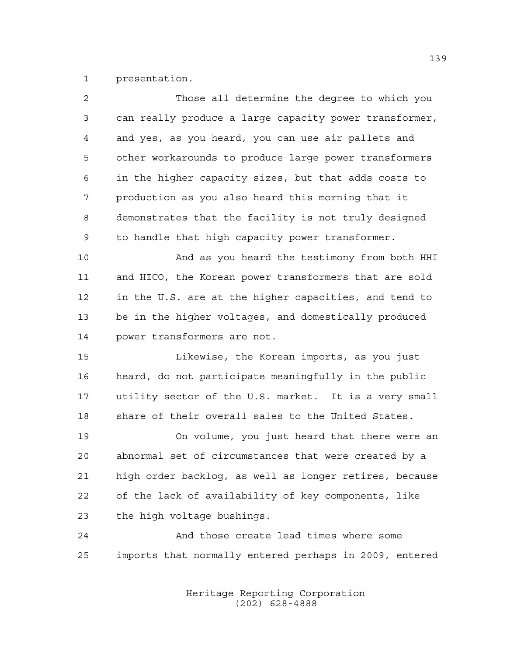presentation.

| $\overline{a}$ | Those all determine the degree to which you            |
|----------------|--------------------------------------------------------|
| 3              | can really produce a large capacity power transformer, |
| $\overline{4}$ | and yes, as you heard, you can use air pallets and     |
| 5              | other workarounds to produce large power transformers  |
| 6              | in the higher capacity sizes, but that adds costs to   |
| 7              | production as you also heard this morning that it      |
| 8              | demonstrates that the facility is not truly designed   |
| 9              | to handle that high capacity power transformer.        |
| 10             | And as you heard the testimony from both HHI           |
| 11             | and HICO, the Korean power transformers that are sold  |
| 12             | in the U.S. are at the higher capacities, and tend to  |
| 13             | be in the higher voltages, and domestically produced   |
| 14             | power transformers are not.                            |
| 15             | Likewise, the Korean imports, as you just              |
| 16             | heard, do not participate meaningfully in the public   |
| 17             | utility sector of the U.S. market. It is a very small  |
| 18             | share of their overall sales to the United States.     |
| 19             | On volume, you just heard that there were an           |
| 20             | abnormal set of circumstances that were created by a   |
| 21             | high order backlog, as well as longer retires, because |
| 22             | of the lack of availability of key components, like    |
| 23             | the high voltage bushings.                             |
| 24             | And those create lead times where some                 |
| 25             | imports that normally entered perhaps in 2009, entered |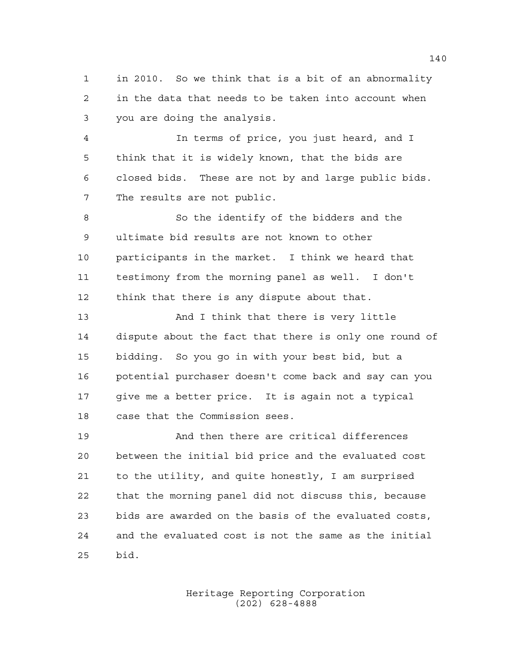in 2010. So we think that is a bit of an abnormality in the data that needs to be taken into account when you are doing the analysis.

 In terms of price, you just heard, and I think that it is widely known, that the bids are closed bids. These are not by and large public bids. The results are not public.

 So the identify of the bidders and the ultimate bid results are not known to other participants in the market. I think we heard that testimony from the morning panel as well. I don't think that there is any dispute about that.

 And I think that there is very little dispute about the fact that there is only one round of bidding. So you go in with your best bid, but a potential purchaser doesn't come back and say can you give me a better price. It is again not a typical case that the Commission sees.

 And then there are critical differences between the initial bid price and the evaluated cost to the utility, and quite honestly, I am surprised that the morning panel did not discuss this, because bids are awarded on the basis of the evaluated costs, and the evaluated cost is not the same as the initial bid.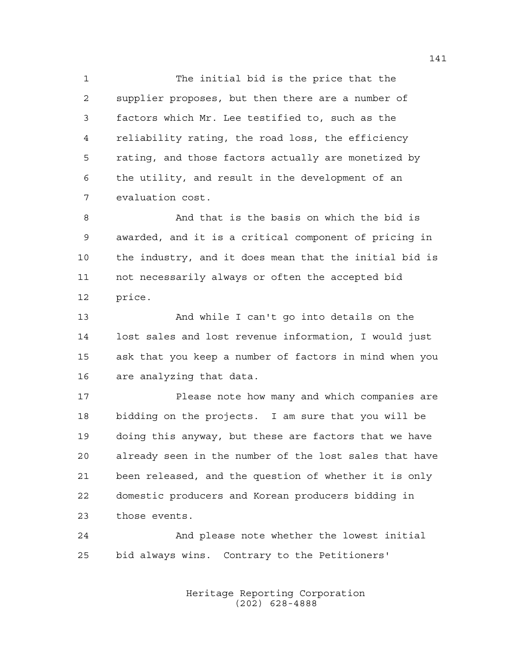The initial bid is the price that the supplier proposes, but then there are a number of factors which Mr. Lee testified to, such as the reliability rating, the road loss, the efficiency rating, and those factors actually are monetized by the utility, and result in the development of an evaluation cost.

 And that is the basis on which the bid is awarded, and it is a critical component of pricing in the industry, and it does mean that the initial bid is not necessarily always or often the accepted bid price.

 And while I can't go into details on the lost sales and lost revenue information, I would just ask that you keep a number of factors in mind when you are analyzing that data.

 Please note how many and which companies are bidding on the projects. I am sure that you will be doing this anyway, but these are factors that we have already seen in the number of the lost sales that have been released, and the question of whether it is only domestic producers and Korean producers bidding in those events.

 And please note whether the lowest initial bid always wins. Contrary to the Petitioners'

> Heritage Reporting Corporation (202) 628-4888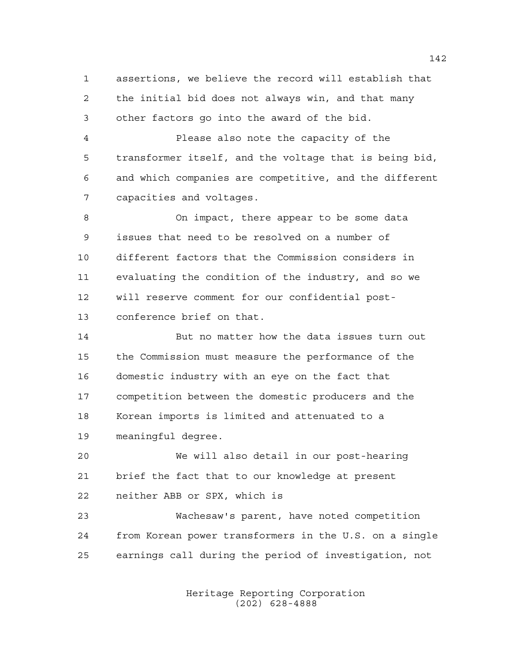assertions, we believe the record will establish that the initial bid does not always win, and that many other factors go into the award of the bid.

 Please also note the capacity of the transformer itself, and the voltage that is being bid, and which companies are competitive, and the different capacities and voltages.

 On impact, there appear to be some data issues that need to be resolved on a number of different factors that the Commission considers in evaluating the condition of the industry, and so we will reserve comment for our confidential post-conference brief on that.

 But no matter how the data issues turn out the Commission must measure the performance of the domestic industry with an eye on the fact that competition between the domestic producers and the Korean imports is limited and attenuated to a meaningful degree.

 We will also detail in our post-hearing brief the fact that to our knowledge at present neither ABB or SPX, which is

 Wachesaw's parent, have noted competition from Korean power transformers in the U.S. on a single earnings call during the period of investigation, not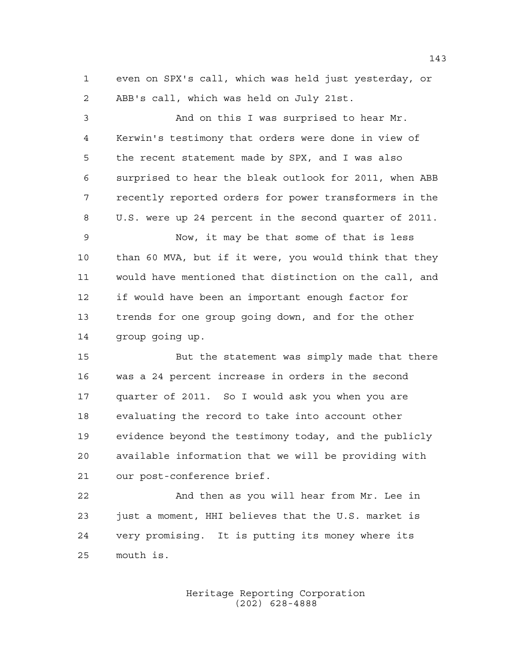even on SPX's call, which was held just yesterday, or ABB's call, which was held on July 21st.

 And on this I was surprised to hear Mr. Kerwin's testimony that orders were done in view of the recent statement made by SPX, and I was also surprised to hear the bleak outlook for 2011, when ABB recently reported orders for power transformers in the U.S. were up 24 percent in the second quarter of 2011.

 Now, it may be that some of that is less than 60 MVA, but if it were, you would think that they would have mentioned that distinction on the call, and if would have been an important enough factor for trends for one group going down, and for the other group going up.

 But the statement was simply made that there was a 24 percent increase in orders in the second quarter of 2011. So I would ask you when you are evaluating the record to take into account other evidence beyond the testimony today, and the publicly available information that we will be providing with our post-conference brief.

 And then as you will hear from Mr. Lee in just a moment, HHI believes that the U.S. market is very promising. It is putting its money where its mouth is.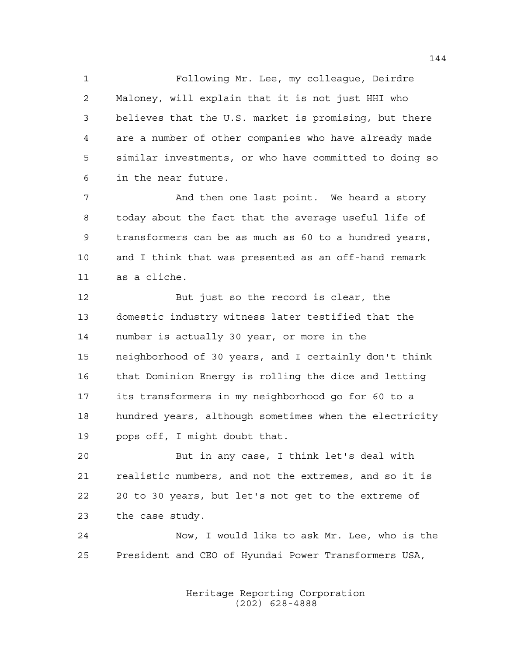Following Mr. Lee, my colleague, Deirdre Maloney, will explain that it is not just HHI who believes that the U.S. market is promising, but there are a number of other companies who have already made similar investments, or who have committed to doing so in the near future.

 And then one last point. We heard a story today about the fact that the average useful life of transformers can be as much as 60 to a hundred years, and I think that was presented as an off-hand remark as a cliche.

 But just so the record is clear, the domestic industry witness later testified that the number is actually 30 year, or more in the neighborhood of 30 years, and I certainly don't think that Dominion Energy is rolling the dice and letting its transformers in my neighborhood go for 60 to a hundred years, although sometimes when the electricity pops off, I might doubt that.

 But in any case, I think let's deal with realistic numbers, and not the extremes, and so it is 20 to 30 years, but let's not get to the extreme of the case study.

 Now, I would like to ask Mr. Lee, who is the President and CEO of Hyundai Power Transformers USA,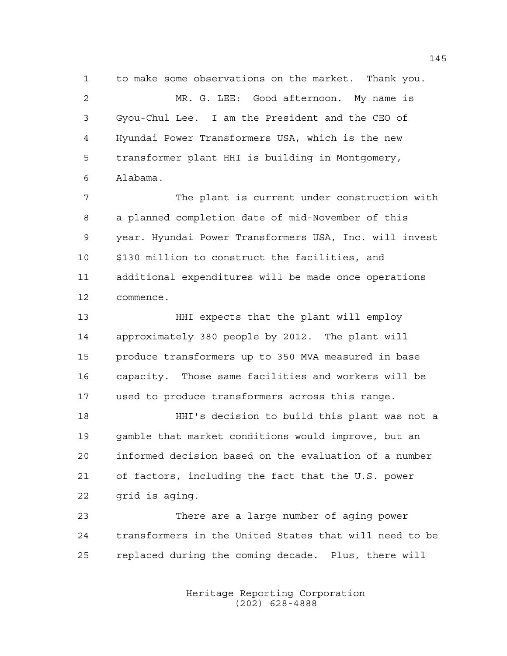to make some observations on the market. Thank you. MR. G. LEE: Good afternoon. My name is Gyou-Chul Lee. I am the President and the CEO of Hyundai Power Transformers USA, which is the new transformer plant HHI is building in Montgomery, Alabama.

 The plant is current under construction with a planned completion date of mid-November of this year. Hyundai Power Transformers USA, Inc. will invest \$130 million to construct the facilities, and additional expenditures will be made once operations commence.

 HHI expects that the plant will employ approximately 380 people by 2012. The plant will produce transformers up to 350 MVA measured in base capacity. Those same facilities and workers will be used to produce transformers across this range.

 HHI's decision to build this plant was not a gamble that market conditions would improve, but an informed decision based on the evaluation of a number of factors, including the fact that the U.S. power grid is aging.

 There are a large number of aging power transformers in the United States that will need to be replaced during the coming decade. Plus, there will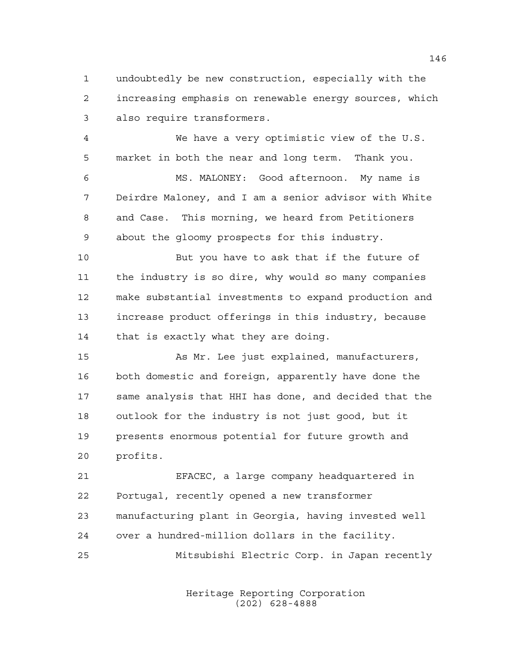undoubtedly be new construction, especially with the increasing emphasis on renewable energy sources, which also require transformers.

 We have a very optimistic view of the U.S. market in both the near and long term. Thank you.

 MS. MALONEY: Good afternoon. My name is Deirdre Maloney, and I am a senior advisor with White and Case. This morning, we heard from Petitioners about the gloomy prospects for this industry.

 But you have to ask that if the future of the industry is so dire, why would so many companies make substantial investments to expand production and increase product offerings in this industry, because that is exactly what they are doing.

 As Mr. Lee just explained, manufacturers, both domestic and foreign, apparently have done the same analysis that HHI has done, and decided that the outlook for the industry is not just good, but it presents enormous potential for future growth and profits.

 EFACEC, a large company headquartered in Portugal, recently opened a new transformer manufacturing plant in Georgia, having invested well over a hundred-million dollars in the facility.

Mitsubishi Electric Corp. in Japan recently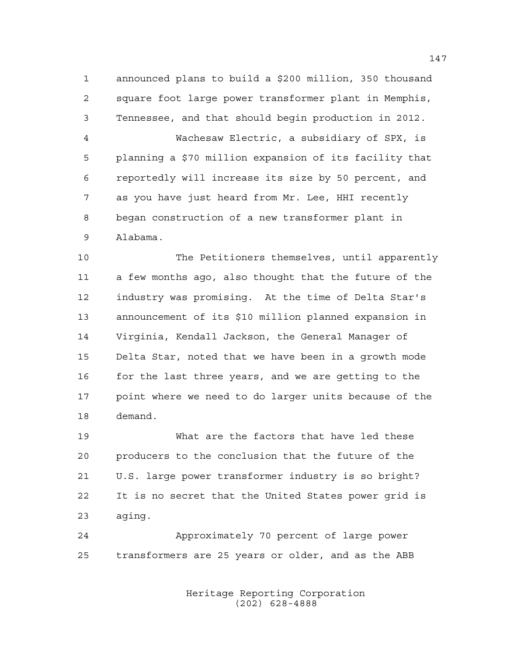announced plans to build a \$200 million, 350 thousand square foot large power transformer plant in Memphis, Tennessee, and that should begin production in 2012.

 Wachesaw Electric, a subsidiary of SPX, is planning a \$70 million expansion of its facility that reportedly will increase its size by 50 percent, and as you have just heard from Mr. Lee, HHI recently began construction of a new transformer plant in Alabama.

 The Petitioners themselves, until apparently a few months ago, also thought that the future of the industry was promising. At the time of Delta Star's announcement of its \$10 million planned expansion in Virginia, Kendall Jackson, the General Manager of Delta Star, noted that we have been in a growth mode 16 for the last three years, and we are getting to the point where we need to do larger units because of the demand.

 What are the factors that have led these producers to the conclusion that the future of the U.S. large power transformer industry is so bright? It is no secret that the United States power grid is aging.

 Approximately 70 percent of large power transformers are 25 years or older, and as the ABB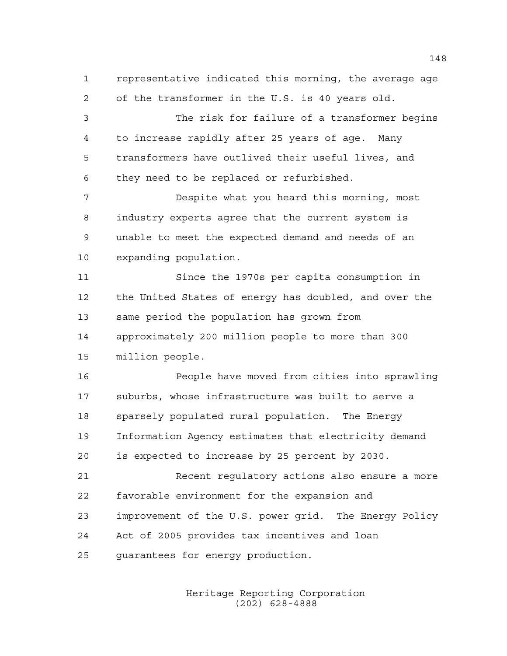representative indicated this morning, the average age of the transformer in the U.S. is 40 years old.

 The risk for failure of a transformer begins to increase rapidly after 25 years of age. Many transformers have outlived their useful lives, and they need to be replaced or refurbished.

 Despite what you heard this morning, most industry experts agree that the current system is unable to meet the expected demand and needs of an expanding population.

 Since the 1970s per capita consumption in the United States of energy has doubled, and over the same period the population has grown from approximately 200 million people to more than 300 million people.

 People have moved from cities into sprawling suburbs, whose infrastructure was built to serve a sparsely populated rural population. The Energy Information Agency estimates that electricity demand is expected to increase by 25 percent by 2030.

 Recent regulatory actions also ensure a more favorable environment for the expansion and improvement of the U.S. power grid. The Energy Policy Act of 2005 provides tax incentives and loan guarantees for energy production.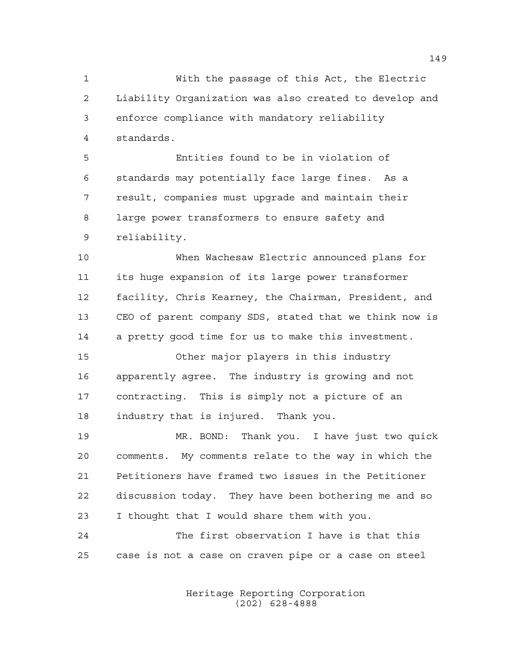With the passage of this Act, the Electric Liability Organization was also created to develop and enforce compliance with mandatory reliability standards.

 Entities found to be in violation of standards may potentially face large fines. As a result, companies must upgrade and maintain their large power transformers to ensure safety and reliability.

 When Wachesaw Electric announced plans for its huge expansion of its large power transformer facility, Chris Kearney, the Chairman, President, and CEO of parent company SDS, stated that we think now is a pretty good time for us to make this investment.

 Other major players in this industry apparently agree. The industry is growing and not contracting. This is simply not a picture of an industry that is injured. Thank you.

 MR. BOND: Thank you. I have just two quick comments. My comments relate to the way in which the Petitioners have framed two issues in the Petitioner discussion today. They have been bothering me and so I thought that I would share them with you.

 The first observation I have is that this case is not a case on craven pipe or a case on steel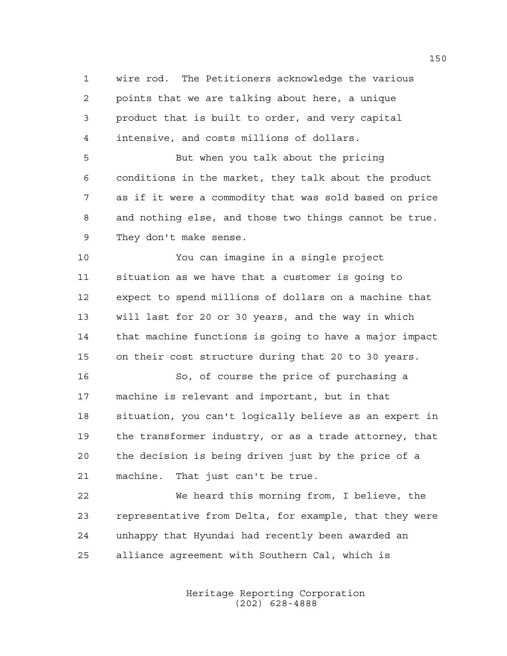wire rod. The Petitioners acknowledge the various points that we are talking about here, a unique product that is built to order, and very capital intensive, and costs millions of dollars.

 But when you talk about the pricing conditions in the market, they talk about the product as if it were a commodity that was sold based on price and nothing else, and those two things cannot be true. They don't make sense.

 You can imagine in a single project situation as we have that a customer is going to expect to spend millions of dollars on a machine that will last for 20 or 30 years, and the way in which that machine functions is going to have a major impact on their cost structure during that 20 to 30 years.

 So, of course the price of purchasing a machine is relevant and important, but in that situation, you can't logically believe as an expert in the transformer industry, or as a trade attorney, that the decision is being driven just by the price of a machine. That just can't be true.

 We heard this morning from, I believe, the representative from Delta, for example, that they were unhappy that Hyundai had recently been awarded an alliance agreement with Southern Cal, which is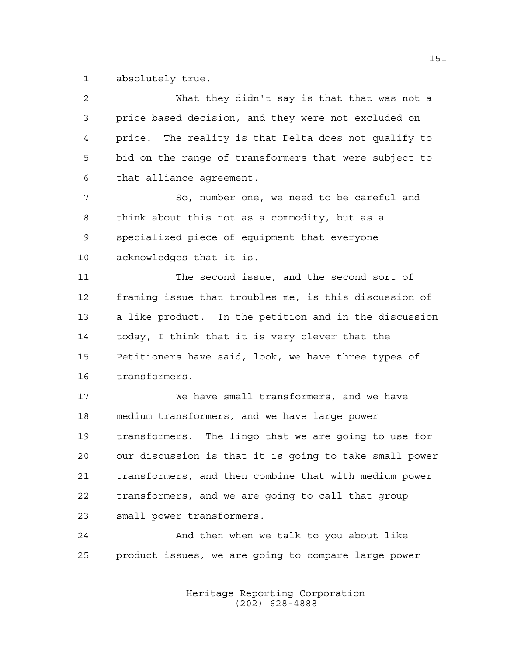absolutely true.

| 2  | What they didn't say is that that was not a            |
|----|--------------------------------------------------------|
| 3  | price based decision, and they were not excluded on    |
| 4  | price. The reality is that Delta does not qualify to   |
| 5  | bid on the range of transformers that were subject to  |
| 6  | that alliance agreement.                               |
| 7  | So, number one, we need to be careful and              |
| 8  | think about this not as a commodity, but as a          |
| 9  | specialized piece of equipment that everyone           |
| 10 | acknowledges that it is.                               |
| 11 | The second issue, and the second sort of               |
| 12 | framing issue that troubles me, is this discussion of  |
| 13 | a like product. In the petition and in the discussion  |
| 14 | today, I think that it is very clever that the         |
| 15 | Petitioners have said, look, we have three types of    |
| 16 | transformers.                                          |
| 17 | We have small transformers, and we have                |
| 18 | medium transformers, and we have large power           |
| 19 | transformers. The lingo that we are going to use for   |
| 20 | our discussion is that it is going to take small power |
| 21 | transformers, and then combine that with medium power  |
| 22 | transformers, and we are going to call that group      |
| 23 | small power transformers.                              |
| 24 | And then when we talk to you about like                |
| 25 | product issues, we are going to compare large power    |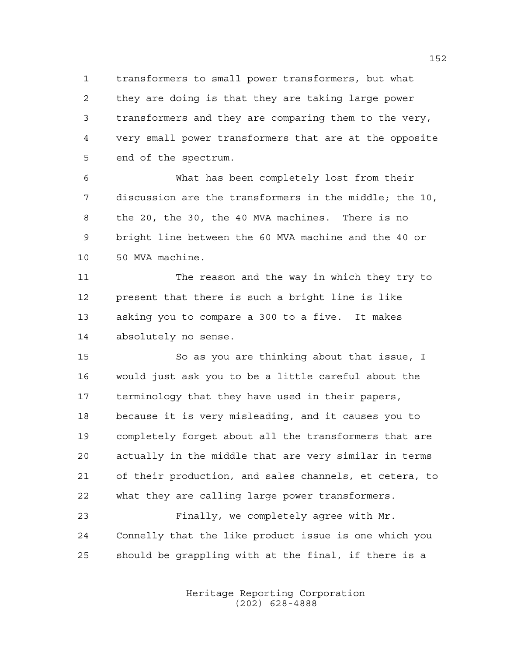transformers to small power transformers, but what they are doing is that they are taking large power transformers and they are comparing them to the very, very small power transformers that are at the opposite end of the spectrum.

 What has been completely lost from their discussion are the transformers in the middle; the 10, the 20, the 30, the 40 MVA machines. There is no bright line between the 60 MVA machine and the 40 or 50 MVA machine.

 The reason and the way in which they try to present that there is such a bright line is like asking you to compare a 300 to a five. It makes absolutely no sense.

 So as you are thinking about that issue, I would just ask you to be a little careful about the terminology that they have used in their papers, because it is very misleading, and it causes you to completely forget about all the transformers that are actually in the middle that are very similar in terms of their production, and sales channels, et cetera, to what they are calling large power transformers.

 Finally, we completely agree with Mr. Connelly that the like product issue is one which you should be grappling with at the final, if there is a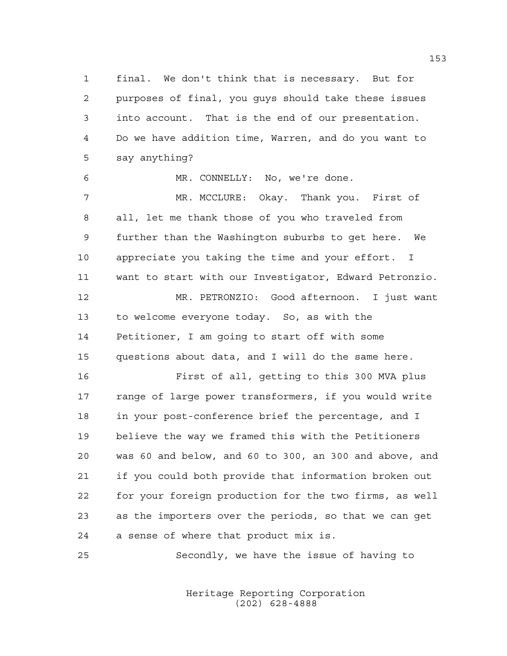final. We don't think that is necessary. But for purposes of final, you guys should take these issues into account. That is the end of our presentation. Do we have addition time, Warren, and do you want to say anything?

MR. CONNELLY: No, we're done.

 MR. MCCLURE: Okay. Thank you. First of all, let me thank those of you who traveled from further than the Washington suburbs to get here. We appreciate you taking the time and your effort. I want to start with our Investigator, Edward Petronzio. MR. PETRONZIO: Good afternoon. I just want to welcome everyone today. So, as with the

 Petitioner, I am going to start off with some questions about data, and I will do the same here.

 First of all, getting to this 300 MVA plus range of large power transformers, if you would write in your post-conference brief the percentage, and I believe the way we framed this with the Petitioners was 60 and below, and 60 to 300, an 300 and above, and if you could both provide that information broken out for your foreign production for the two firms, as well as the importers over the periods, so that we can get a sense of where that product mix is.

Secondly, we have the issue of having to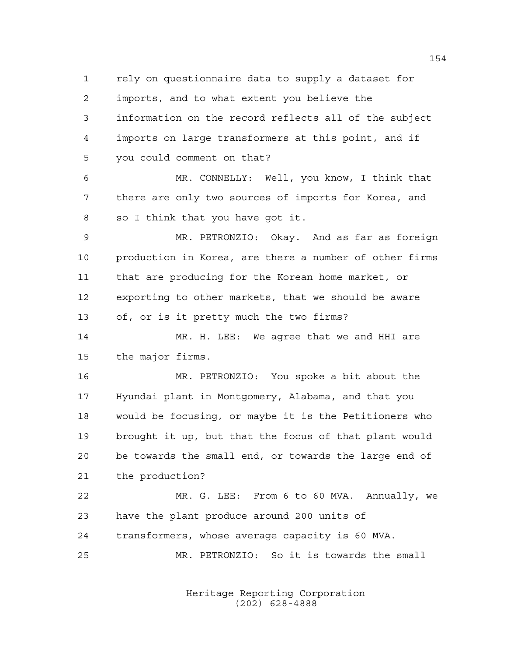rely on questionnaire data to supply a dataset for imports, and to what extent you believe the information on the record reflects all of the subject imports on large transformers at this point, and if you could comment on that?

 MR. CONNELLY: Well, you know, I think that there are only two sources of imports for Korea, and so I think that you have got it.

 MR. PETRONZIO: Okay. And as far as foreign production in Korea, are there a number of other firms that are producing for the Korean home market, or exporting to other markets, that we should be aware of, or is it pretty much the two firms?

 MR. H. LEE: We agree that we and HHI are the major firms.

 MR. PETRONZIO: You spoke a bit about the Hyundai plant in Montgomery, Alabama, and that you would be focusing, or maybe it is the Petitioners who brought it up, but that the focus of that plant would be towards the small end, or towards the large end of the production?

 MR. G. LEE: From 6 to 60 MVA. Annually, we have the plant produce around 200 units of transformers, whose average capacity is 60 MVA. MR. PETRONZIO: So it is towards the small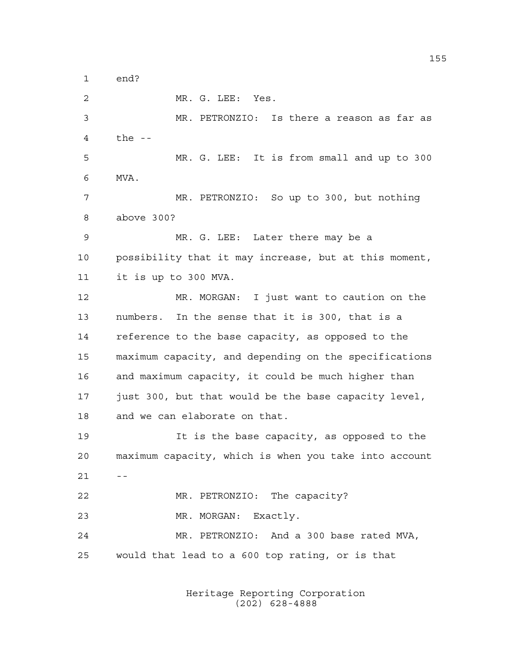end?

 MR. G. LEE: Yes. MR. PETRONZIO: Is there a reason as far as the -- MR. G. LEE: It is from small and up to 300 MVA. MR. PETRONZIO: So up to 300, but nothing above 300? MR. G. LEE: Later there may be a possibility that it may increase, but at this moment, it is up to 300 MVA. MR. MORGAN: I just want to caution on the numbers. In the sense that it is 300, that is a reference to the base capacity, as opposed to the maximum capacity, and depending on the specifications and maximum capacity, it could be much higher than just 300, but that would be the base capacity level, and we can elaborate on that. It is the base capacity, as opposed to the maximum capacity, which is when you take into account  $21 - -$  MR. PETRONZIO: The capacity? MR. MORGAN: Exactly. MR. PETRONZIO: And a 300 base rated MVA, would that lead to a 600 top rating, or is that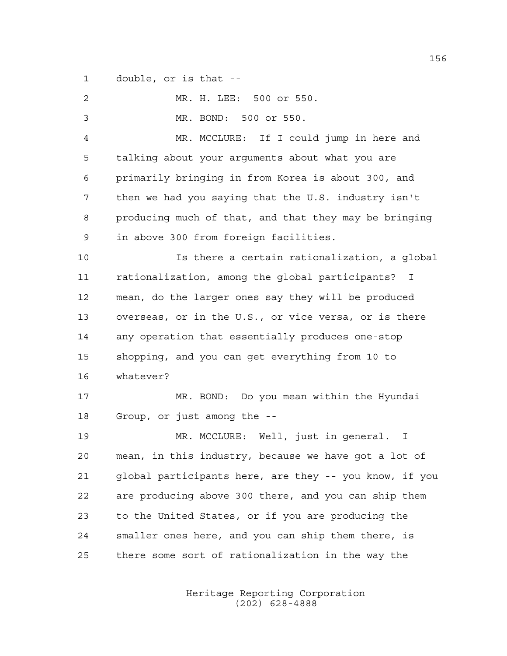double, or is that --

| 2  | MR. H. LEE: 500 or 550.                                |
|----|--------------------------------------------------------|
| 3  | MR. BOND: 500 or 550.                                  |
| 4  | MR. MCCLURE: If I could jump in here and               |
| 5  | talking about your arguments about what you are        |
| 6  | primarily bringing in from Korea is about 300, and     |
| 7  | then we had you saying that the U.S. industry isn't    |
| 8  | producing much of that, and that they may be bringing  |
| 9  | in above 300 from foreign facilities.                  |
| 10 | Is there a certain rationalization, a global           |
| 11 | rationalization, among the global participants?<br>I   |
| 12 | mean, do the larger ones say they will be produced     |
| 13 | overseas, or in the U.S., or vice versa, or is there   |
| 14 | any operation that essentially produces one-stop       |
| 15 | shopping, and you can get everything from 10 to        |
| 16 | whatever?                                              |
| 17 | MR. BOND: Do you mean within the Hyundai               |
| 18 | Group, or just among the --                            |
| 19 | MR. MCCLURE: Well, just in general. I                  |
| 20 | mean, in this industry, because we have got a lot of   |
| 21 | global participants here, are they -- you know, if you |
| 22 | are producing above 300 there, and you can ship them   |
| 23 | to the United States, or if you are producing the      |
| 24 | smaller ones here, and you can ship them there, is     |
| 25 | there some sort of rationalization in the way the      |
|    |                                                        |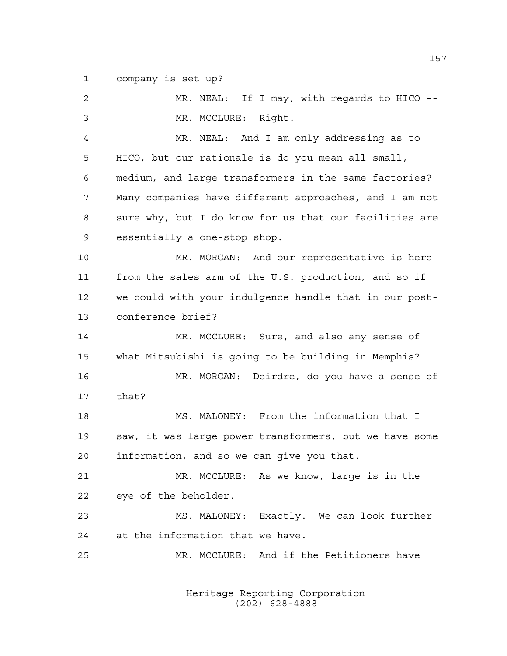company is set up?

| 2              | MR. NEAL: If I may, with regards to HICO --            |
|----------------|--------------------------------------------------------|
| $\mathfrak{Z}$ | MR. MCCLURE: Right.                                    |
| 4              | MR. NEAL: And I am only addressing as to               |
| 5              | HICO, but our rationale is do you mean all small,      |
| 6              | medium, and large transformers in the same factories?  |
| 7              | Many companies have different approaches, and I am not |
| 8              | sure why, but I do know for us that our facilities are |
| 9              | essentially a one-stop shop.                           |
| 10             | MR. MORGAN: And our representative is here             |
| 11             | from the sales arm of the U.S. production, and so if   |
| 12             | we could with your indulgence handle that in our post- |
| 13             | conference brief?                                      |
| 14             | MR. MCCLURE: Sure, and also any sense of               |
| 15             | what Mitsubishi is going to be building in Memphis?    |
| 16             | MR. MORGAN: Deirdre, do you have a sense of            |
| 17             | that?                                                  |
| 18             | MS. MALONEY: From the information that I               |
| 19             | saw, it was large power transformers, but we have some |
| 20             | information, and so we can give you that.              |
| 21             | MR. MCCLURE: As we know, large is in the               |
| 22             | eye of the beholder.                                   |
| 23             | MS. MALONEY: Exactly. We can look further              |
| 24             | at the information that we have.                       |
| 25             | MR. MCCLURE: And if the Petitioners have               |
|                |                                                        |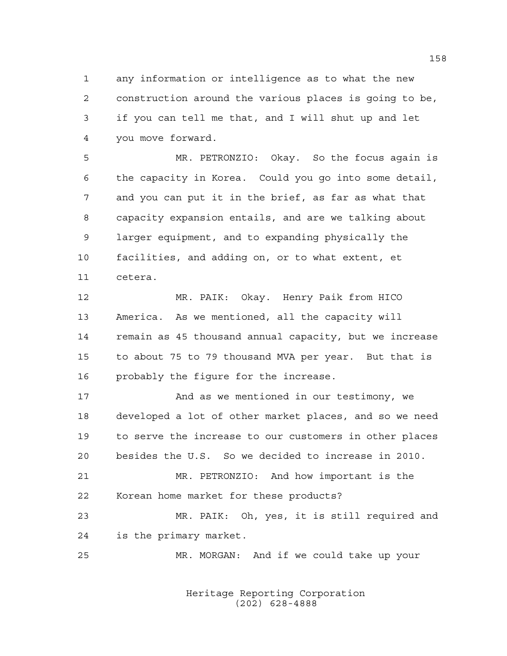any information or intelligence as to what the new construction around the various places is going to be, if you can tell me that, and I will shut up and let you move forward.

 MR. PETRONZIO: Okay. So the focus again is the capacity in Korea. Could you go into some detail, and you can put it in the brief, as far as what that capacity expansion entails, and are we talking about larger equipment, and to expanding physically the facilities, and adding on, or to what extent, et cetera.

 MR. PAIK: Okay. Henry Paik from HICO America. As we mentioned, all the capacity will remain as 45 thousand annual capacity, but we increase to about 75 to 79 thousand MVA per year. But that is probably the figure for the increase.

 And as we mentioned in our testimony, we developed a lot of other market places, and so we need to serve the increase to our customers in other places besides the U.S. So we decided to increase in 2010.

 MR. PETRONZIO: And how important is the Korean home market for these products?

 MR. PAIK: Oh, yes, it is still required and is the primary market.

MR. MORGAN: And if we could take up your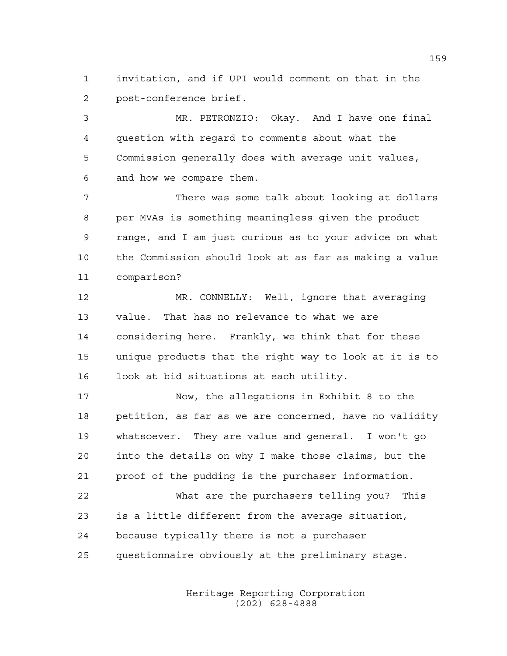invitation, and if UPI would comment on that in the post-conference brief.

 MR. PETRONZIO: Okay. And I have one final question with regard to comments about what the Commission generally does with average unit values, and how we compare them.

 There was some talk about looking at dollars per MVAs is something meaningless given the product range, and I am just curious as to your advice on what the Commission should look at as far as making a value comparison?

 MR. CONNELLY: Well, ignore that averaging value. That has no relevance to what we are considering here. Frankly, we think that for these unique products that the right way to look at it is to look at bid situations at each utility.

 Now, the allegations in Exhibit 8 to the petition, as far as we are concerned, have no validity whatsoever. They are value and general. I won't go into the details on why I make those claims, but the proof of the pudding is the purchaser information.

 What are the purchasers telling you? This is a little different from the average situation, because typically there is not a purchaser questionnaire obviously at the preliminary stage.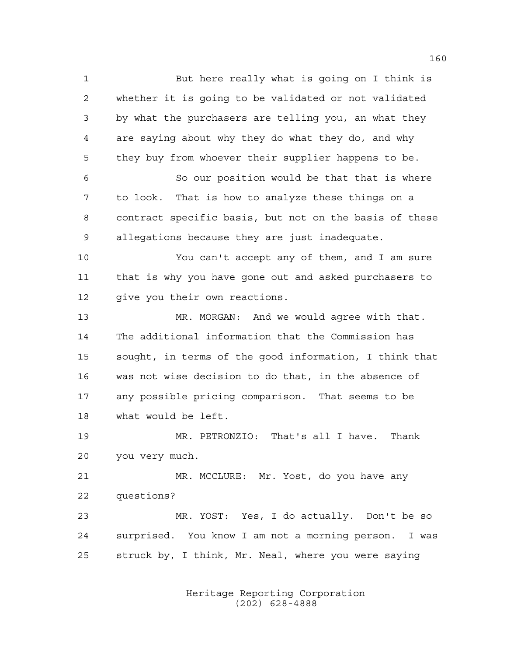But here really what is going on I think is whether it is going to be validated or not validated by what the purchasers are telling you, an what they are saying about why they do what they do, and why they buy from whoever their supplier happens to be. So our position would be that that is where to look. That is how to analyze these things on a contract specific basis, but not on the basis of these allegations because they are just inadequate. You can't accept any of them, and I am sure that is why you have gone out and asked purchasers to 12 give you their own reactions. MR. MORGAN: And we would agree with that. The additional information that the Commission has sought, in terms of the good information, I think that was not wise decision to do that, in the absence of any possible pricing comparison. That seems to be what would be left. MR. PETRONZIO: That's all I have. Thank you very much. MR. MCCLURE: Mr. Yost, do you have any questions? MR. YOST: Yes, I do actually. Don't be so surprised. You know I am not a morning person. I was struck by, I think, Mr. Neal, where you were saying

> Heritage Reporting Corporation (202) 628-4888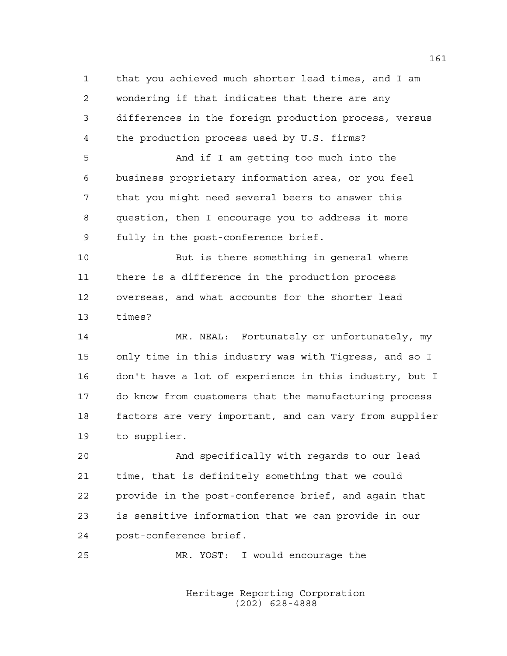that you achieved much shorter lead times, and I am wondering if that indicates that there are any differences in the foreign production process, versus the production process used by U.S. firms? And if I am getting too much into the business proprietary information area, or you feel that you might need several beers to answer this question, then I encourage you to address it more fully in the post-conference brief. But is there something in general where there is a difference in the production process overseas, and what accounts for the shorter lead times? MR. NEAL: Fortunately or unfortunately, my only time in this industry was with Tigress, and so I don't have a lot of experience in this industry, but I do know from customers that the manufacturing process factors are very important, and can vary from supplier to supplier. And specifically with regards to our lead time, that is definitely something that we could provide in the post-conference brief, and again that is sensitive information that we can provide in our post-conference brief. MR. YOST: I would encourage the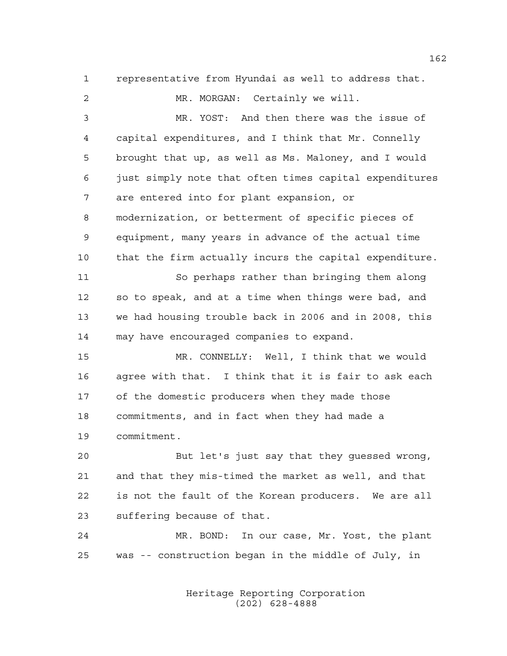representative from Hyundai as well to address that. MR. MORGAN: Certainly we will. MR. YOST: And then there was the issue of capital expenditures, and I think that Mr. Connelly brought that up, as well as Ms. Maloney, and I would just simply note that often times capital expenditures are entered into for plant expansion, or modernization, or betterment of specific pieces of equipment, many years in advance of the actual time that the firm actually incurs the capital expenditure. So perhaps rather than bringing them along so to speak, and at a time when things were bad, and we had housing trouble back in 2006 and in 2008, this may have encouraged companies to expand. MR. CONNELLY: Well, I think that we would agree with that. I think that it is fair to ask each 17 of the domestic producers when they made those commitments, and in fact when they had made a commitment. But let's just say that they guessed wrong, and that they mis-timed the market as well, and that is not the fault of the Korean producers. We are all suffering because of that.

 MR. BOND: In our case, Mr. Yost, the plant was -- construction began in the middle of July, in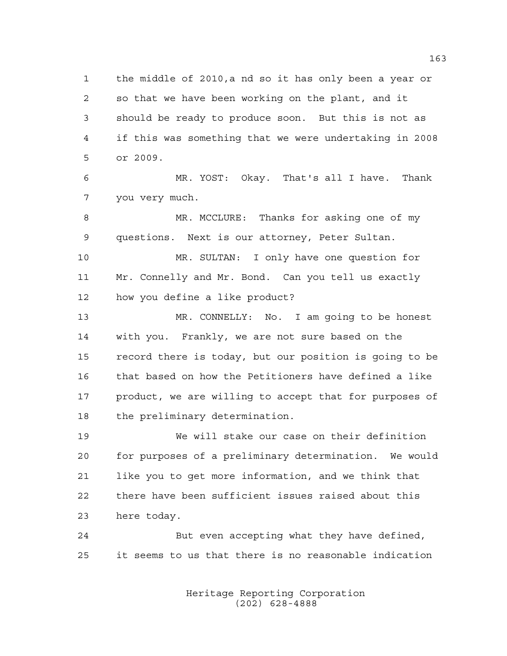the middle of 2010,a nd so it has only been a year or so that we have been working on the plant, and it should be ready to produce soon. But this is not as if this was something that we were undertaking in 2008 or 2009.

 MR. YOST: Okay. That's all I have. Thank you very much.

 MR. MCCLURE: Thanks for asking one of my questions. Next is our attorney, Peter Sultan.

 MR. SULTAN: I only have one question for Mr. Connelly and Mr. Bond. Can you tell us exactly how you define a like product?

 MR. CONNELLY: No. I am going to be honest with you. Frankly, we are not sure based on the record there is today, but our position is going to be that based on how the Petitioners have defined a like product, we are willing to accept that for purposes of the preliminary determination.

 We will stake our case on their definition for purposes of a preliminary determination. We would like you to get more information, and we think that there have been sufficient issues raised about this here today.

 But even accepting what they have defined, it seems to us that there is no reasonable indication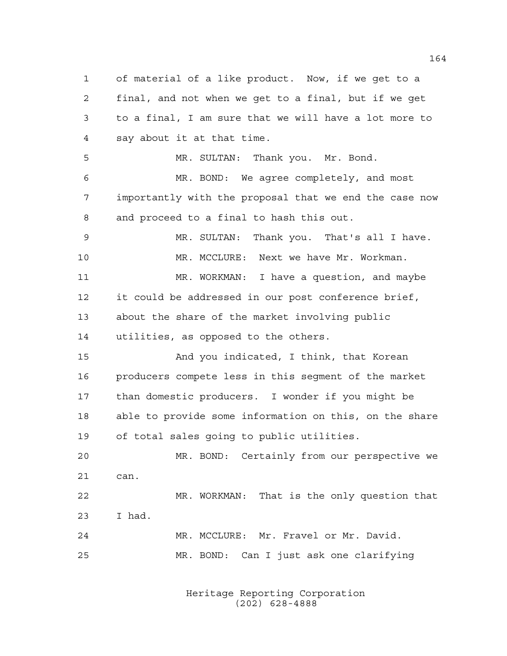of material of a like product. Now, if we get to a final, and not when we get to a final, but if we get to a final, I am sure that we will have a lot more to say about it at that time. MR. SULTAN: Thank you. Mr. Bond. MR. BOND: We agree completely, and most importantly with the proposal that we end the case now and proceed to a final to hash this out. MR. SULTAN: Thank you. That's all I have. MR. MCCLURE: Next we have Mr. Workman. MR. WORKMAN: I have a question, and maybe it could be addressed in our post conference brief, about the share of the market involving public utilities, as opposed to the others. And you indicated, I think, that Korean producers compete less in this segment of the market than domestic producers. I wonder if you might be able to provide some information on this, on the share of total sales going to public utilities. MR. BOND: Certainly from our perspective we can. MR. WORKMAN: That is the only question that I had. MR. MCCLURE: Mr. Fravel or Mr. David. MR. BOND: Can I just ask one clarifying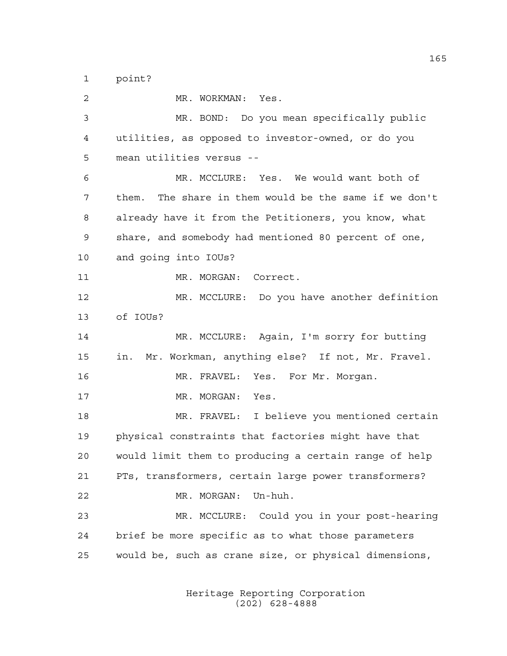point?

 MR. WORKMAN: Yes. MR. BOND: Do you mean specifically public utilities, as opposed to investor-owned, or do you mean utilities versus -- MR. MCCLURE: Yes. We would want both of them. The share in them would be the same if we don't already have it from the Petitioners, you know, what share, and somebody had mentioned 80 percent of one, and going into IOUs? 11 MR. MORGAN: Correct. MR. MCCLURE: Do you have another definition of IOUs? MR. MCCLURE: Again, I'm sorry for butting in. Mr. Workman, anything else? If not, Mr. Fravel. MR. FRAVEL: Yes. For Mr. Morgan. 17 MR. MORGAN: Yes. MR. FRAVEL: I believe you mentioned certain physical constraints that factories might have that would limit them to producing a certain range of help PTs, transformers, certain large power transformers? MR. MORGAN: Un-huh. MR. MCCLURE: Could you in your post-hearing brief be more specific as to what those parameters would be, such as crane size, or physical dimensions,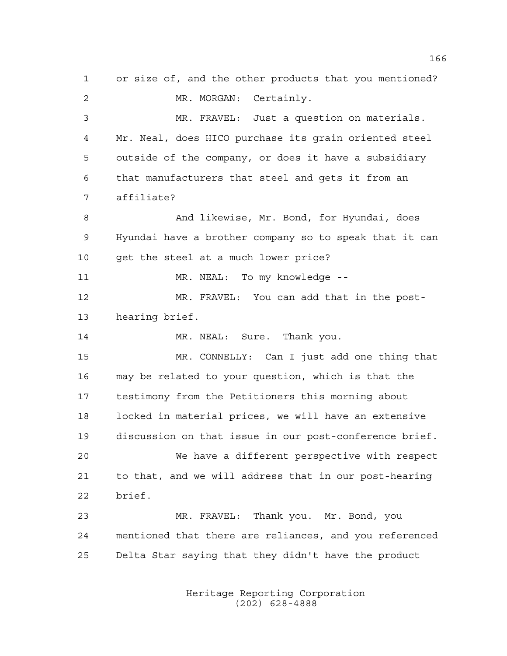or size of, and the other products that you mentioned? MR. MORGAN: Certainly. MR. FRAVEL: Just a question on materials. Mr. Neal, does HICO purchase its grain oriented steel outside of the company, or does it have a subsidiary that manufacturers that steel and gets it from an affiliate? 8 And likewise, Mr. Bond, for Hyundai, does Hyundai have a brother company so to speak that it can 10 get the steel at a much lower price? MR. NEAL: To my knowledge -- MR. FRAVEL: You can add that in the post- hearing brief. 14 MR. NEAL: Sure. Thank you. MR. CONNELLY: Can I just add one thing that may be related to your question, which is that the testimony from the Petitioners this morning about locked in material prices, we will have an extensive discussion on that issue in our post-conference brief. We have a different perspective with respect to that, and we will address that in our post-hearing brief. MR. FRAVEL: Thank you. Mr. Bond, you mentioned that there are reliances, and you referenced Delta Star saying that they didn't have the product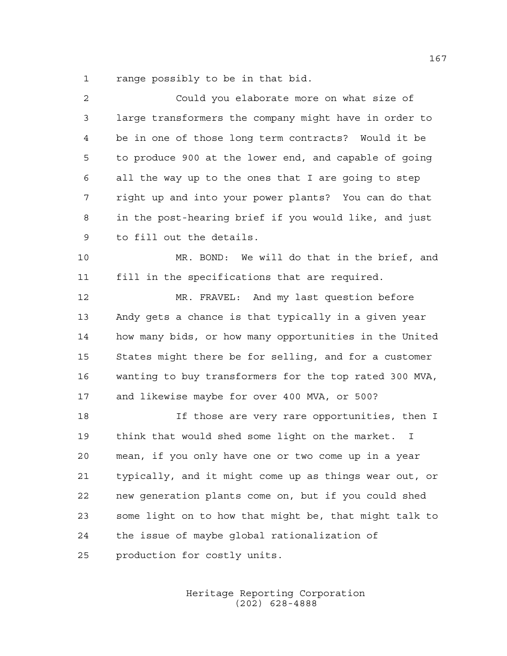range possibly to be in that bid.

| 2  | Could you elaborate more on what size of               |
|----|--------------------------------------------------------|
| 3  | large transformers the company might have in order to  |
| 4  | be in one of those long term contracts? Would it be    |
| 5  | to produce 900 at the lower end, and capable of going  |
| 6  | all the way up to the ones that I are going to step    |
| 7  | right up and into your power plants? You can do that   |
| 8  | in the post-hearing brief if you would like, and just  |
| 9  | to fill out the details.                               |
| 10 | MR. BOND: We will do that in the brief, and            |
| 11 | fill in the specifications that are required.          |
| 12 | MR. FRAVEL: And my last question before                |
| 13 | Andy gets a chance is that typically in a given year   |
| 14 | how many bids, or how many opportunities in the United |
| 15 | States might there be for selling, and for a customer  |
| 16 | wanting to buy transformers for the top rated 300 MVA, |
| 17 | and likewise maybe for over 400 MVA, or 500?           |
| 18 | If those are very rare opportunities, then I           |
| 19 | think that would shed some light on the market. I      |
| 20 | mean, if you only have one or two come up in a year    |
| 21 | typically, and it might come up as things wear out, or |
| 22 | new generation plants come on, but if you could shed   |
| 23 | some light on to how that might be, that might talk to |
| 24 | the issue of maybe global rationalization of           |
| 25 | production for costly units.                           |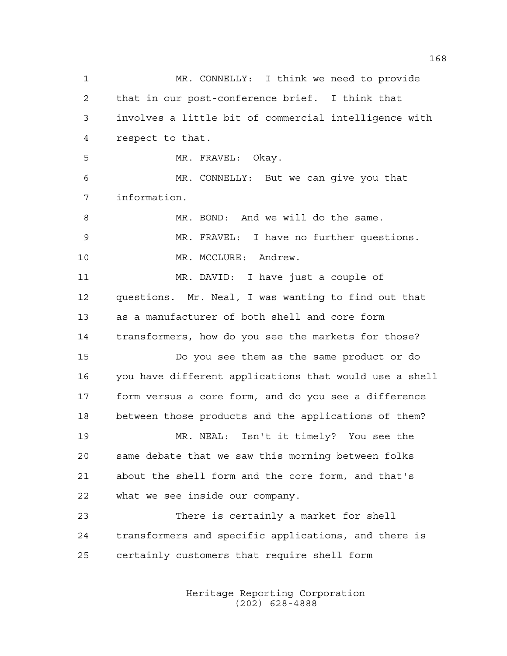MR. CONNELLY: I think we need to provide that in our post-conference brief. I think that involves a little bit of commercial intelligence with respect to that. MR. FRAVEL: Okay. MR. CONNELLY: But we can give you that information. MR. BOND: And we will do the same. MR. FRAVEL: I have no further questions. 10 MR. MCCLURE: Andrew. MR. DAVID: I have just a couple of questions. Mr. Neal, I was wanting to find out that as a manufacturer of both shell and core form transformers, how do you see the markets for those? Do you see them as the same product or do you have different applications that would use a shell form versus a core form, and do you see a difference between those products and the applications of them? MR. NEAL: Isn't it timely? You see the same debate that we saw this morning between folks about the shell form and the core form, and that's what we see inside our company. There is certainly a market for shell transformers and specific applications, and there is certainly customers that require shell form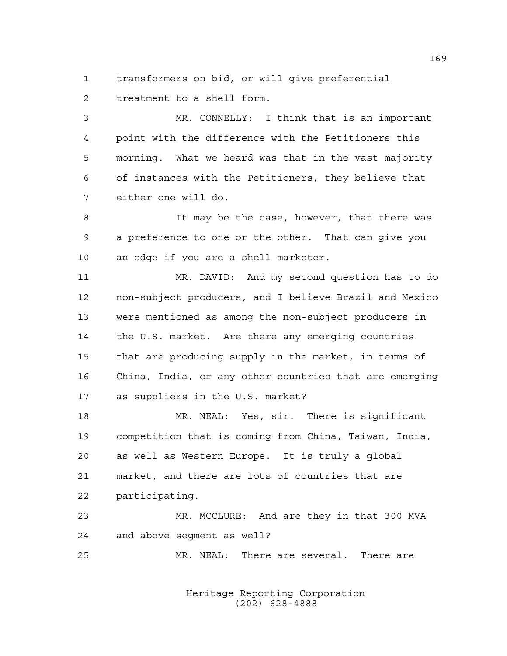transformers on bid, or will give preferential treatment to a shell form.

 MR. CONNELLY: I think that is an important point with the difference with the Petitioners this morning. What we heard was that in the vast majority of instances with the Petitioners, they believe that either one will do.

8 1t may be the case, however, that there was a preference to one or the other. That can give you an edge if you are a shell marketer.

 MR. DAVID: And my second question has to do non-subject producers, and I believe Brazil and Mexico were mentioned as among the non-subject producers in the U.S. market. Are there any emerging countries that are producing supply in the market, in terms of China, India, or any other countries that are emerging as suppliers in the U.S. market?

 MR. NEAL: Yes, sir. There is significant competition that is coming from China, Taiwan, India, as well as Western Europe. It is truly a global market, and there are lots of countries that are participating.

 MR. MCCLURE: And are they in that 300 MVA and above segment as well?

MR. NEAL: There are several. There are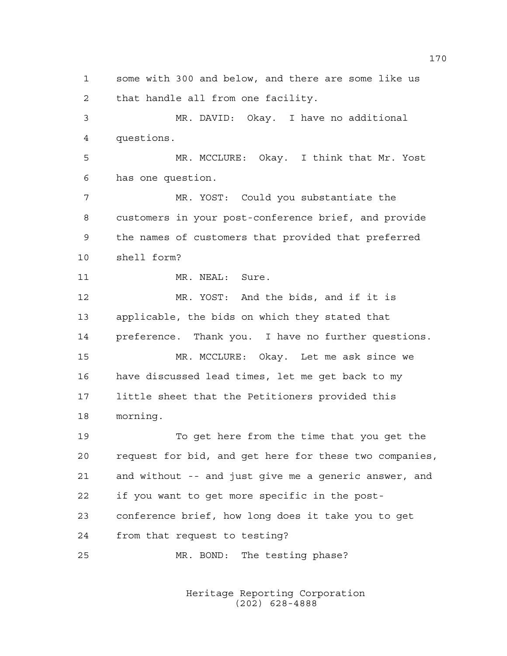some with 300 and below, and there are some like us that handle all from one facility. MR. DAVID: Okay. I have no additional questions. MR. MCCLURE: Okay. I think that Mr. Yost has one question. MR. YOST: Could you substantiate the customers in your post-conference brief, and provide the names of customers that provided that preferred shell form? 11 MR. NEAL: Sure. MR. YOST: And the bids, and if it is applicable, the bids on which they stated that preference. Thank you. I have no further questions. MR. MCCLURE: Okay. Let me ask since we have discussed lead times, let me get back to my little sheet that the Petitioners provided this morning. To get here from the time that you get the request for bid, and get here for these two companies, and without -- and just give me a generic answer, and if you want to get more specific in the post- conference brief, how long does it take you to get from that request to testing? MR. BOND: The testing phase?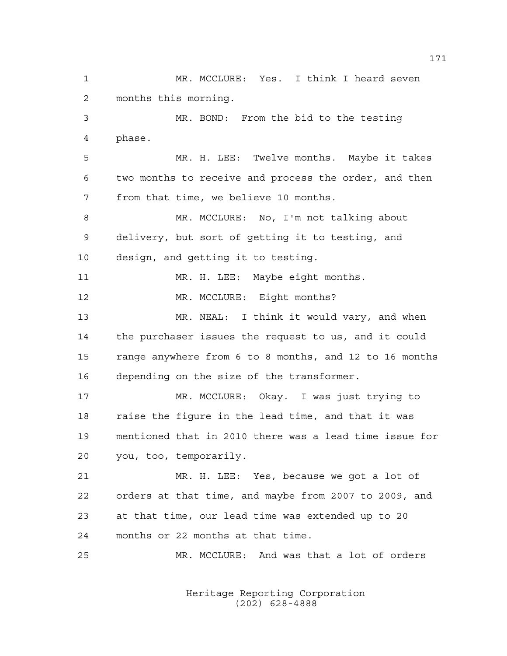MR. MCCLURE: Yes. I think I heard seven months this morning. MR. BOND: From the bid to the testing phase. MR. H. LEE: Twelve months. Maybe it takes two months to receive and process the order, and then from that time, we believe 10 months. MR. MCCLURE: No, I'm not talking about delivery, but sort of getting it to testing, and design, and getting it to testing. MR. H. LEE: Maybe eight months. 12 MR. MCCLURE: Eight months? MR. NEAL: I think it would vary, and when the purchaser issues the request to us, and it could range anywhere from 6 to 8 months, and 12 to 16 months depending on the size of the transformer. MR. MCCLURE: Okay. I was just trying to raise the figure in the lead time, and that it was mentioned that in 2010 there was a lead time issue for you, too, temporarily. MR. H. LEE: Yes, because we got a lot of orders at that time, and maybe from 2007 to 2009, and at that time, our lead time was extended up to 20 months or 22 months at that time. MR. MCCLURE: And was that a lot of orders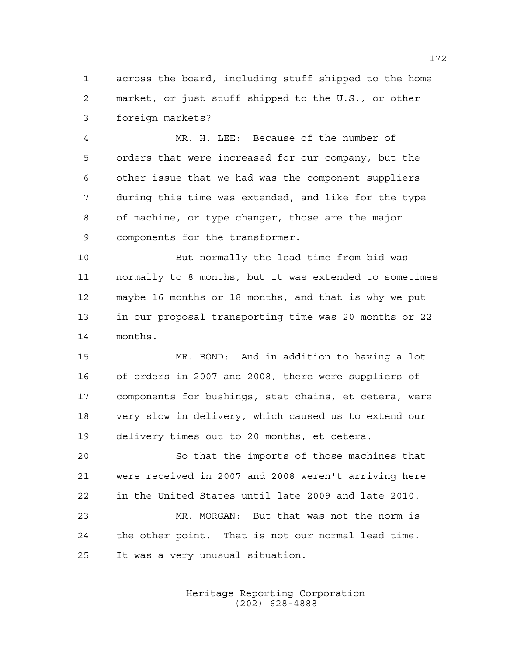across the board, including stuff shipped to the home market, or just stuff shipped to the U.S., or other foreign markets?

 MR. H. LEE: Because of the number of orders that were increased for our company, but the other issue that we had was the component suppliers during this time was extended, and like for the type of machine, or type changer, those are the major components for the transformer.

 But normally the lead time from bid was normally to 8 months, but it was extended to sometimes maybe 16 months or 18 months, and that is why we put in our proposal transporting time was 20 months or 22 months.

 MR. BOND: And in addition to having a lot of orders in 2007 and 2008, there were suppliers of components for bushings, stat chains, et cetera, were very slow in delivery, which caused us to extend our delivery times out to 20 months, et cetera.

 So that the imports of those machines that were received in 2007 and 2008 weren't arriving here in the United States until late 2009 and late 2010. MR. MORGAN: But that was not the norm is

 the other point. That is not our normal lead time. It was a very unusual situation.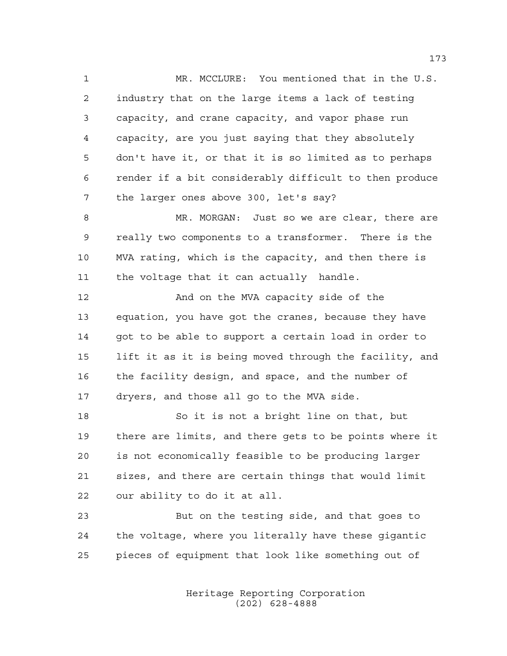MR. MCCLURE: You mentioned that in the U.S. industry that on the large items a lack of testing capacity, and crane capacity, and vapor phase run capacity, are you just saying that they absolutely don't have it, or that it is so limited as to perhaps render if a bit considerably difficult to then produce the larger ones above 300, let's say?

 MR. MORGAN: Just so we are clear, there are really two components to a transformer. There is the MVA rating, which is the capacity, and then there is the voltage that it can actually handle.

12 And on the MVA capacity side of the equation, you have got the cranes, because they have got to be able to support a certain load in order to lift it as it is being moved through the facility, and the facility design, and space, and the number of dryers, and those all go to the MVA side.

 So it is not a bright line on that, but there are limits, and there gets to be points where it is not economically feasible to be producing larger sizes, and there are certain things that would limit our ability to do it at all.

 But on the testing side, and that goes to the voltage, where you literally have these gigantic pieces of equipment that look like something out of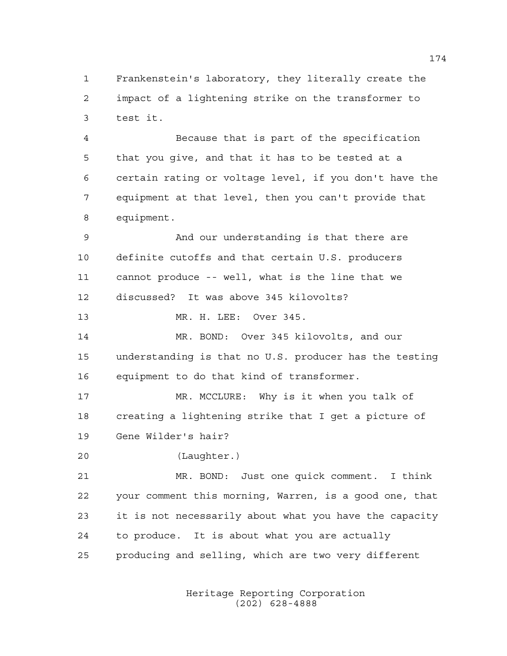Frankenstein's laboratory, they literally create the impact of a lightening strike on the transformer to test it.

 Because that is part of the specification that you give, and that it has to be tested at a certain rating or voltage level, if you don't have the equipment at that level, then you can't provide that equipment.

 And our understanding is that there are definite cutoffs and that certain U.S. producers cannot produce -- well, what is the line that we discussed? It was above 345 kilovolts?

MR. H. LEE: Over 345.

 MR. BOND: Over 345 kilovolts, and our understanding is that no U.S. producer has the testing equipment to do that kind of transformer.

 MR. MCCLURE: Why is it when you talk of creating a lightening strike that I get a picture of Gene Wilder's hair?

```
20 (Laughter.)
```
 MR. BOND: Just one quick comment. I think your comment this morning, Warren, is a good one, that it is not necessarily about what you have the capacity to produce. It is about what you are actually producing and selling, which are two very different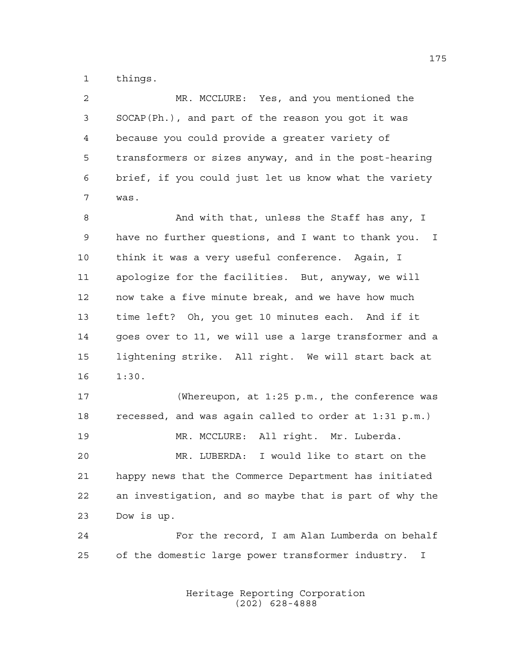things.

| $\overline{2}$ | MR. MCCLURE: Yes, and you mentioned the                |
|----------------|--------------------------------------------------------|
| 3              | SOCAP(Ph.), and part of the reason you got it was      |
| 4              | because you could provide a greater variety of         |
| 5              | transformers or sizes anyway, and in the post-hearing  |
| 6              | brief, if you could just let us know what the variety  |
| 7              | was.                                                   |
| 8              | And with that, unless the Staff has any, I             |
| 9              | have no further questions, and I want to thank you. I  |
| 10             | think it was a very useful conference. Again, I        |
| 11             | apologize for the facilities. But, anyway, we will     |
| 12             | now take a five minute break, and we have how much     |
| 13             | time left? Oh, you get 10 minutes each. And if it      |
| 14             | goes over to 11, we will use a large transformer and a |
| 15             | lightening strike. All right. We will start back at    |
| 16             | 1:30.                                                  |
| 17             | (Whereupon, at 1:25 p.m., the conference was           |
| 18             | recessed, and was again called to order at 1:31 p.m.)  |

MR. MCCLURE: All right. Mr. Luberda.

 MR. LUBERDA: I would like to start on the happy news that the Commerce Department has initiated an investigation, and so maybe that is part of why the Dow is up.

 For the record, I am Alan Lumberda on behalf of the domestic large power transformer industry. I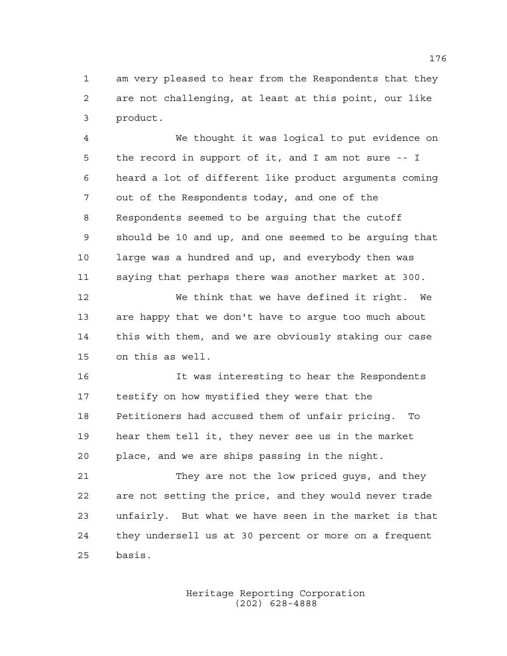am very pleased to hear from the Respondents that they are not challenging, at least at this point, our like product.

 We thought it was logical to put evidence on the record in support of it, and I am not sure -- I heard a lot of different like product arguments coming out of the Respondents today, and one of the Respondents seemed to be arguing that the cutoff should be 10 and up, and one seemed to be arguing that large was a hundred and up, and everybody then was saying that perhaps there was another market at 300.

 We think that we have defined it right. We are happy that we don't have to argue too much about this with them, and we are obviously staking our case on this as well.

 It was interesting to hear the Respondents testify on how mystified they were that the Petitioners had accused them of unfair pricing. To hear them tell it, they never see us in the market place, and we are ships passing in the night.

 They are not the low priced guys, and they are not setting the price, and they would never trade unfairly. But what we have seen in the market is that they undersell us at 30 percent or more on a frequent basis.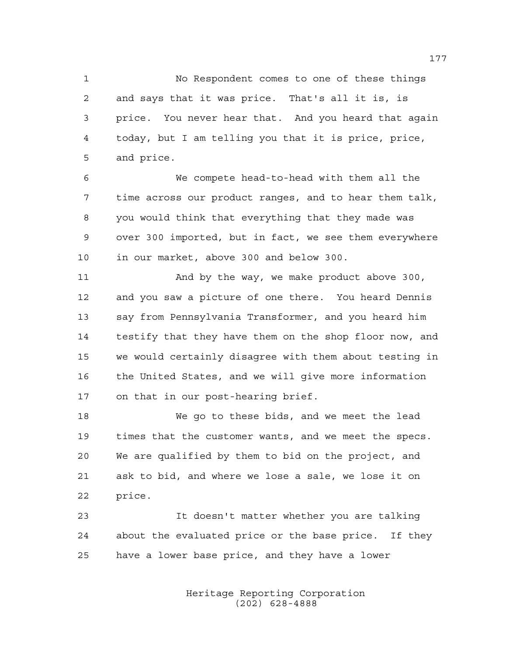No Respondent comes to one of these things and says that it was price. That's all it is, is price. You never hear that. And you heard that again today, but I am telling you that it is price, price, and price.

 We compete head-to-head with them all the time across our product ranges, and to hear them talk, you would think that everything that they made was over 300 imported, but in fact, we see them everywhere in our market, above 300 and below 300.

 And by the way, we make product above 300, and you saw a picture of one there. You heard Dennis say from Pennsylvania Transformer, and you heard him testify that they have them on the shop floor now, and we would certainly disagree with them about testing in the United States, and we will give more information on that in our post-hearing brief.

 We go to these bids, and we meet the lead times that the customer wants, and we meet the specs. We are qualified by them to bid on the project, and ask to bid, and where we lose a sale, we lose it on price.

 It doesn't matter whether you are talking about the evaluated price or the base price. If they have a lower base price, and they have a lower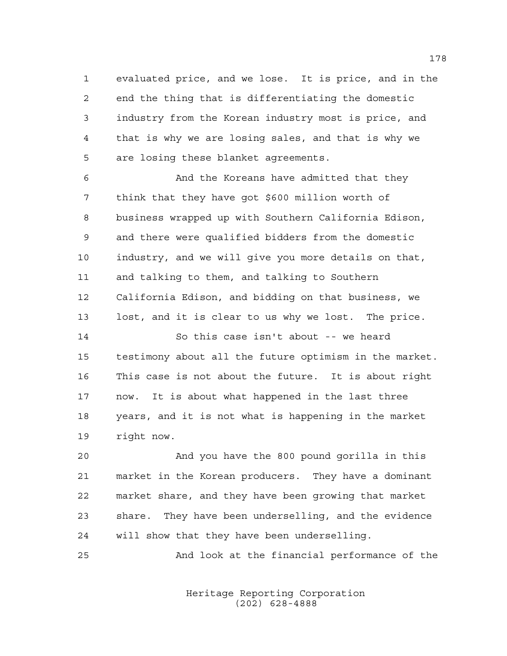evaluated price, and we lose. It is price, and in the end the thing that is differentiating the domestic industry from the Korean industry most is price, and that is why we are losing sales, and that is why we are losing these blanket agreements.

 And the Koreans have admitted that they think that they have got \$600 million worth of business wrapped up with Southern California Edison, and there were qualified bidders from the domestic industry, and we will give you more details on that, and talking to them, and talking to Southern California Edison, and bidding on that business, we lost, and it is clear to us why we lost. The price.

 So this case isn't about -- we heard testimony about all the future optimism in the market. This case is not about the future. It is about right now. It is about what happened in the last three years, and it is not what is happening in the market right now.

 And you have the 800 pound gorilla in this market in the Korean producers. They have a dominant market share, and they have been growing that market share. They have been underselling, and the evidence will show that they have been underselling.

And look at the financial performance of the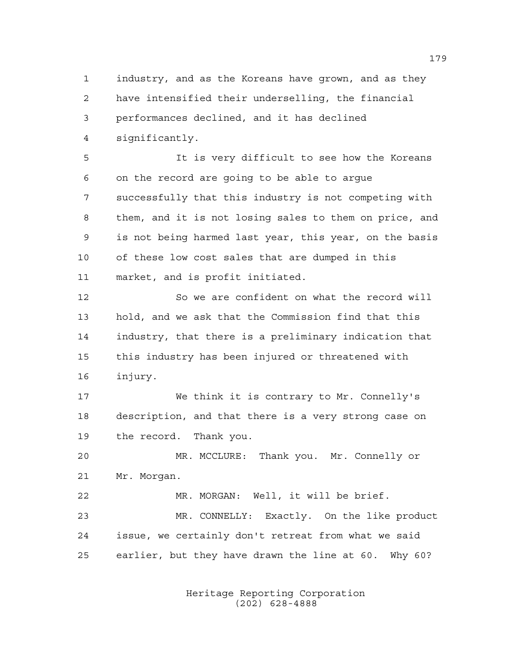industry, and as the Koreans have grown, and as they have intensified their underselling, the financial performances declined, and it has declined significantly.

 It is very difficult to see how the Koreans on the record are going to be able to argue successfully that this industry is not competing with them, and it is not losing sales to them on price, and is not being harmed last year, this year, on the basis of these low cost sales that are dumped in this market, and is profit initiated.

 So we are confident on what the record will hold, and we ask that the Commission find that this industry, that there is a preliminary indication that this industry has been injured or threatened with injury.

 We think it is contrary to Mr. Connelly's description, and that there is a very strong case on the record. Thank you.

 MR. MCCLURE: Thank you. Mr. Connelly or Mr. Morgan.

 MR. MORGAN: Well, it will be brief. MR. CONNELLY: Exactly. On the like product issue, we certainly don't retreat from what we said earlier, but they have drawn the line at 60. Why 60?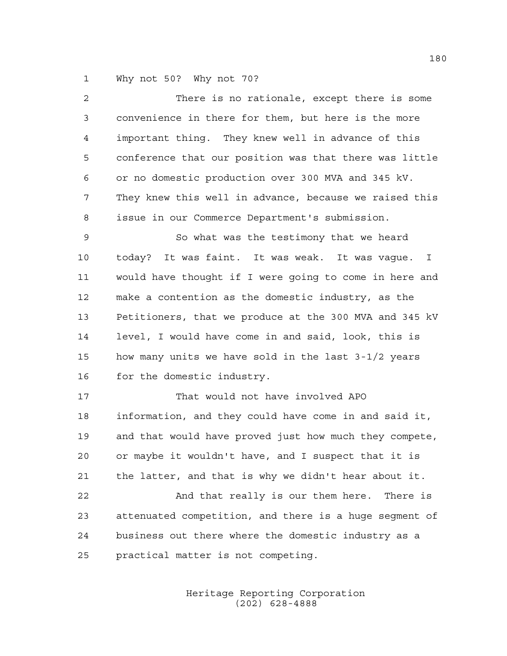Why not 50? Why not 70?

| $\overline{a}$ | There is no rationale, except there is some                     |
|----------------|-----------------------------------------------------------------|
| 3              | convenience in there for them, but here is the more             |
| 4              | important thing. They knew well in advance of this              |
| 5              | conference that our position was that there was little          |
| 6              | or no domestic production over 300 MVA and 345 kV.              |
| 7              | They knew this well in advance, because we raised this          |
| 8              | issue in our Commerce Department's submission.                  |
| $\mathsf 9$    | So what was the testimony that we heard                         |
| 10             | today? It was faint. It was weak. It was vague.<br>$\mathbf{I}$ |
| 11             | would have thought if I were going to come in here and          |
| 12             | make a contention as the domestic industry, as the              |
| 13             | Petitioners, that we produce at the 300 MVA and 345 kV          |
| 14             | level, I would have come in and said, look, this is             |
| 15             | how many units we have sold in the last 3-1/2 years             |
| 16             | for the domestic industry.                                      |
| 17             | That would not have involved APO                                |
| 18             | information, and they could have come in and said it,           |
| 19             | and that would have proved just how much they compete,          |
| 20             | or maybe it wouldn't have, and I suspect that it is             |
| 21             | the latter, and that is why we didn't hear about it.            |
| 22             | And that really is our them here. There is                      |
| 23             | attenuated competition, and there is a huge segment of          |
| 24             | business out there where the domestic industry as a             |
| 25             | practical matter is not competing.                              |
|                |                                                                 |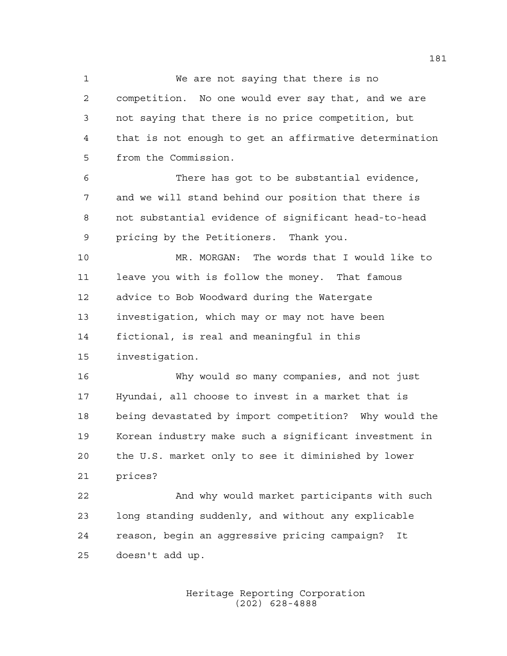We are not saying that there is no competition. No one would ever say that, and we are not saying that there is no price competition, but that is not enough to get an affirmative determination from the Commission.

 There has got to be substantial evidence, and we will stand behind our position that there is not substantial evidence of significant head-to-head pricing by the Petitioners. Thank you.

 MR. MORGAN: The words that I would like to leave you with is follow the money. That famous advice to Bob Woodward during the Watergate investigation, which may or may not have been fictional, is real and meaningful in this investigation.

 Why would so many companies, and not just Hyundai, all choose to invest in a market that is being devastated by import competition? Why would the Korean industry make such a significant investment in the U.S. market only to see it diminished by lower prices?

 And why would market participants with such long standing suddenly, and without any explicable reason, begin an aggressive pricing campaign? It doesn't add up.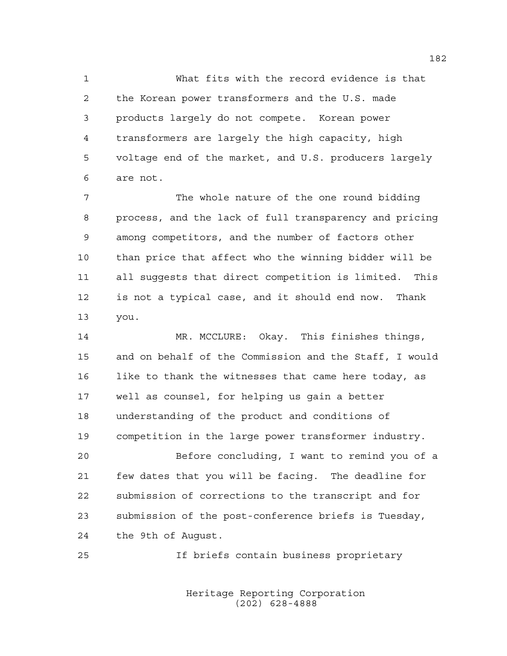What fits with the record evidence is that the Korean power transformers and the U.S. made products largely do not compete. Korean power transformers are largely the high capacity, high voltage end of the market, and U.S. producers largely are not.

 The whole nature of the one round bidding process, and the lack of full transparency and pricing among competitors, and the number of factors other than price that affect who the winning bidder will be all suggests that direct competition is limited. This is not a typical case, and it should end now. Thank you.

 MR. MCCLURE: Okay. This finishes things, and on behalf of the Commission and the Staff, I would 16 like to thank the witnesses that came here today, as well as counsel, for helping us gain a better understanding of the product and conditions of competition in the large power transformer industry. Before concluding, I want to remind you of a few dates that you will be facing. The deadline for submission of corrections to the transcript and for submission of the post-conference briefs is Tuesday, the 9th of August.

If briefs contain business proprietary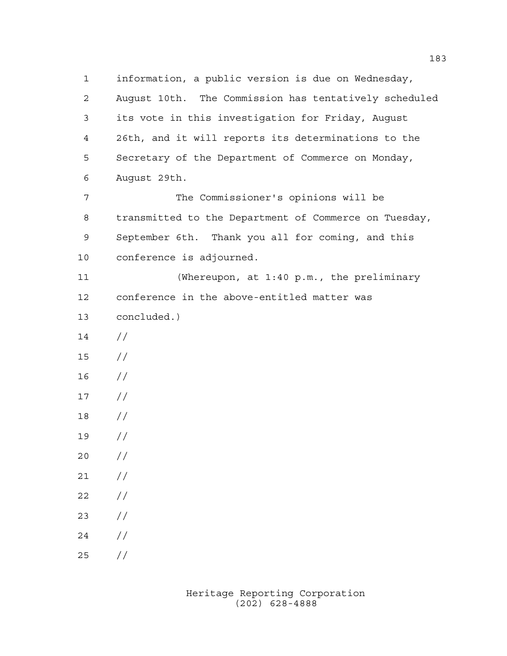information, a public version is due on Wednesday, August 10th. The Commission has tentatively scheduled its vote in this investigation for Friday, August 26th, and it will reports its determinations to the Secretary of the Department of Commerce on Monday, August 29th. The Commissioner's opinions will be transmitted to the Department of Commerce on Tuesday, September 6th. Thank you all for coming, and this conference is adjourned. (Whereupon, at 1:40 p.m., the preliminary conference in the above-entitled matter was concluded.)  $14 /$  // //  $17 /$  // //  $20 /$  $21 /$  $22 / /$  //  $24 /$  $25 / /$